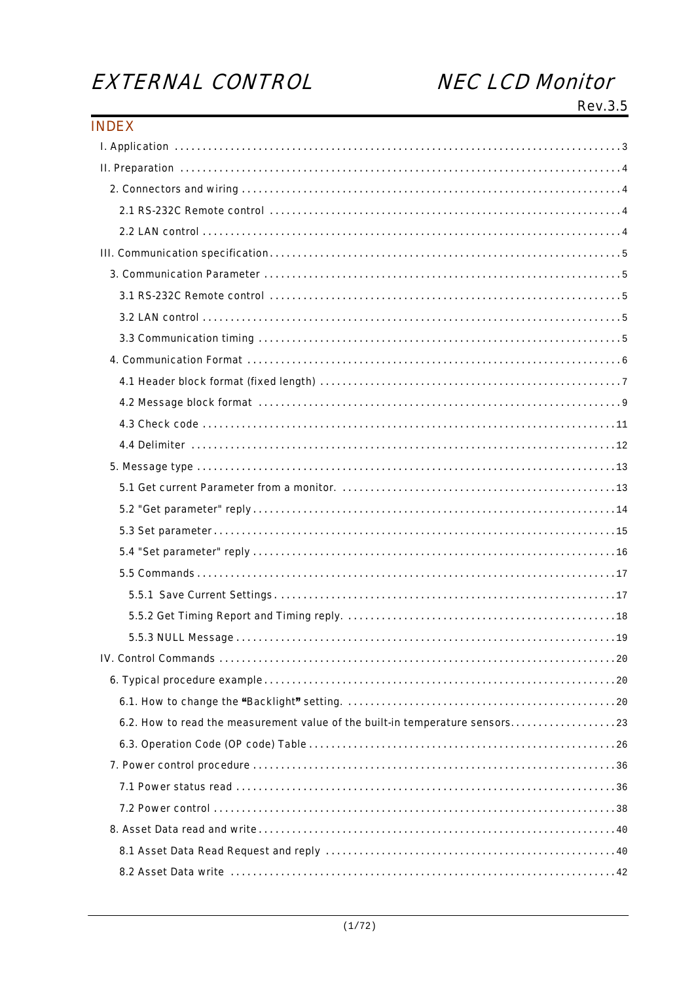# EXTERNAL CONTROL

# **NEC LCD Monitor**

Rev.3.5

| <b>INDEX</b>                                                                  |  |
|-------------------------------------------------------------------------------|--|
|                                                                               |  |
|                                                                               |  |
|                                                                               |  |
|                                                                               |  |
|                                                                               |  |
|                                                                               |  |
|                                                                               |  |
|                                                                               |  |
|                                                                               |  |
|                                                                               |  |
|                                                                               |  |
|                                                                               |  |
|                                                                               |  |
|                                                                               |  |
|                                                                               |  |
|                                                                               |  |
|                                                                               |  |
|                                                                               |  |
|                                                                               |  |
|                                                                               |  |
|                                                                               |  |
|                                                                               |  |
|                                                                               |  |
|                                                                               |  |
|                                                                               |  |
|                                                                               |  |
|                                                                               |  |
| 6.2. How to read the measurement value of the built-in temperature sensors 23 |  |
|                                                                               |  |
|                                                                               |  |
|                                                                               |  |
|                                                                               |  |
|                                                                               |  |
|                                                                               |  |
|                                                                               |  |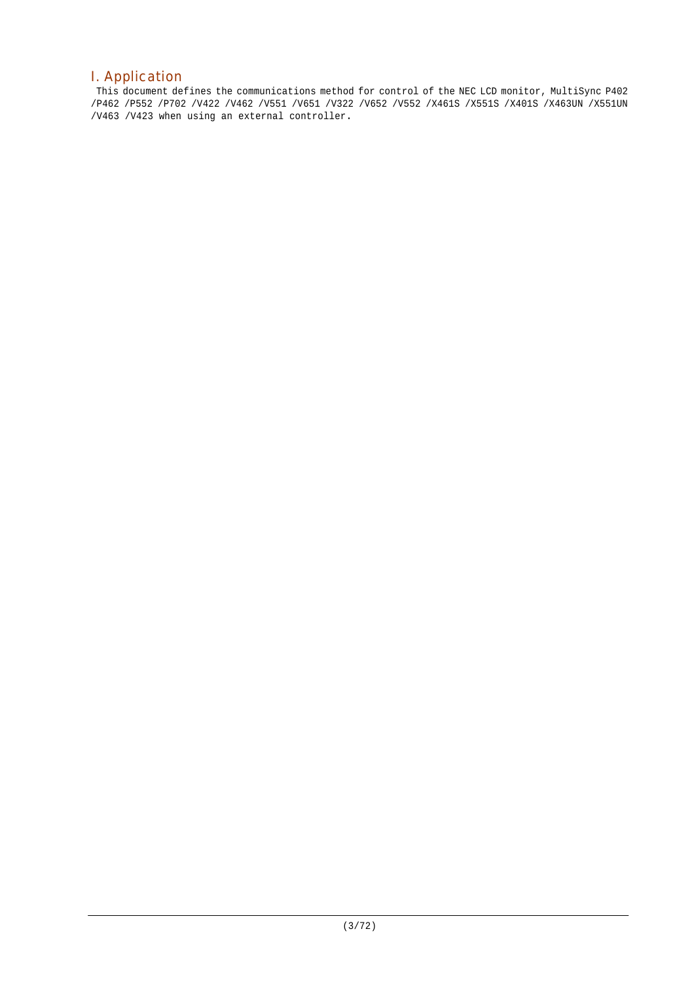# I. Application

This document defines the communications method for control of the NEC LCD monitor, MultiSync P402 /P462 /P552 /P702 /V422 /V462 /V551 /V651 /V322 /V652 /V552 /X461S /X551S /X401S /X463UN /X551UN /V463 /V423 when using an external controller.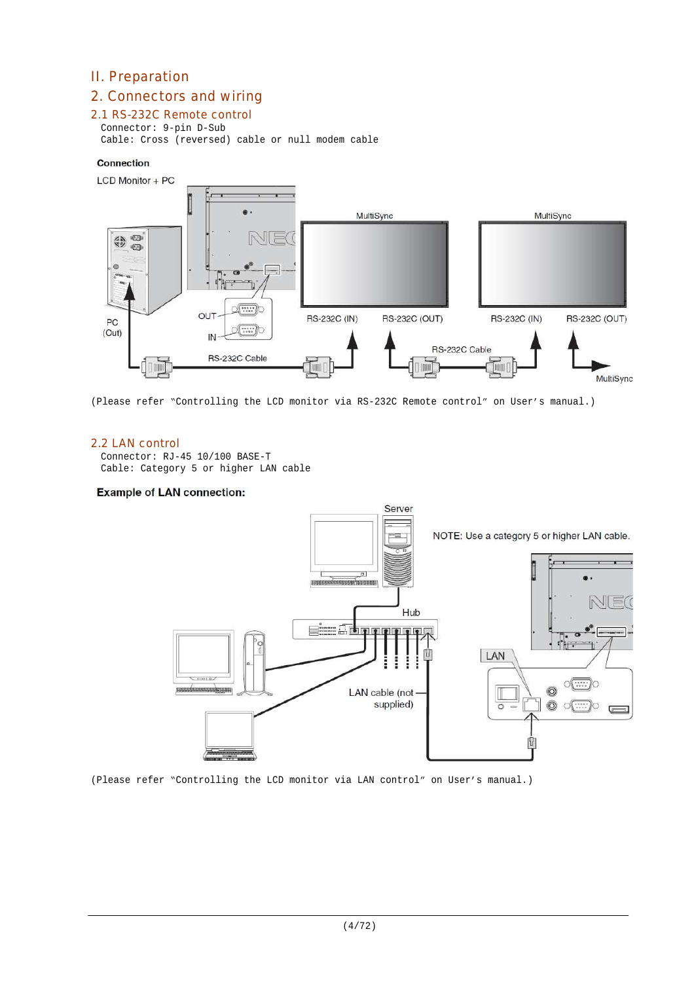# II. Preparation

# 2. Connectors and wiring

## 2.1 RS-232C Remote control

Connector: 9-pin D-Sub Cable: Cross (reversed) cable or null modem cable

#### Connection



(Please refer "Controlling the LCD monitor via RS-232C Remote control" on User's manual.)

## 2.2 LAN control

Connector: RJ-45 10/100 BASE-T Cable: Category 5 or higher LAN cable

#### **Example of LAN connection:**



(Please refer "Controlling the LCD monitor via LAN control" on User's manual.)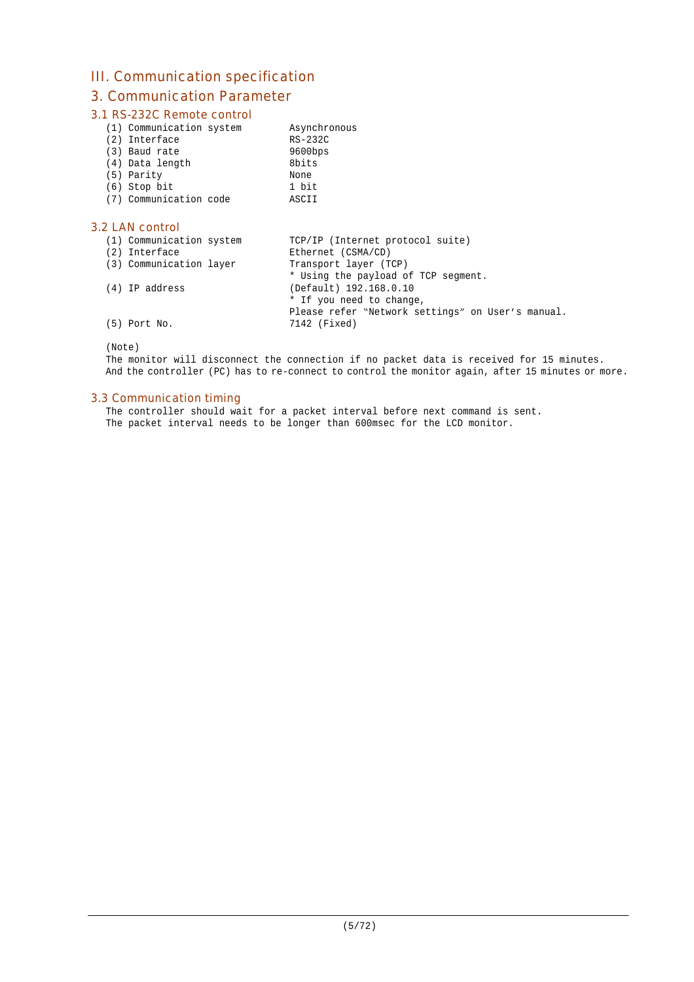# III. Communication specification

# 3. Communication Parameter

## 3.1 RS-232C Remote control

| (1) Communication system |  |
|--------------------------|--|
|--------------------------|--|

| (2) Interface   | RS-232C    |
|-----------------|------------|
| (3) Baud rate   | $9600$ bps |
| (4) Data length | 8bits      |
| (5) Parity      | None       |
| $(6)$ Stop bit  | 1 bit      |

(7) Communication code ASCII

## 3.2 LAN control

| (1) Communication system<br>(2) Interface | TCP/IP (Internet protocol suite)<br>Ethernet (CSMA/CD) |
|-------------------------------------------|--------------------------------------------------------|
| (3) Communication layer                   | Transport layer (TCP)                                  |
|                                           | * Using the payload of TCP segment.                    |
| (4) IP address                            | (Default) 192.168.0.10                                 |
|                                           | * If you need to change,                               |
|                                           | Please refer "Network settings" on User's manual.      |
| $(5)$ Port No.                            | 7142 (Fixed)                                           |

Asynchronous

(Note)

The monitor will disconnect the connection if no packet data is received for 15 minutes. And the controller (PC) has to re-connect to control the monitor again, after 15 minutes or more.

## 3.3 Communication timing

The controller should wait for a packet interval before next command is sent. The packet interval needs to be longer than 600msec for the LCD monitor.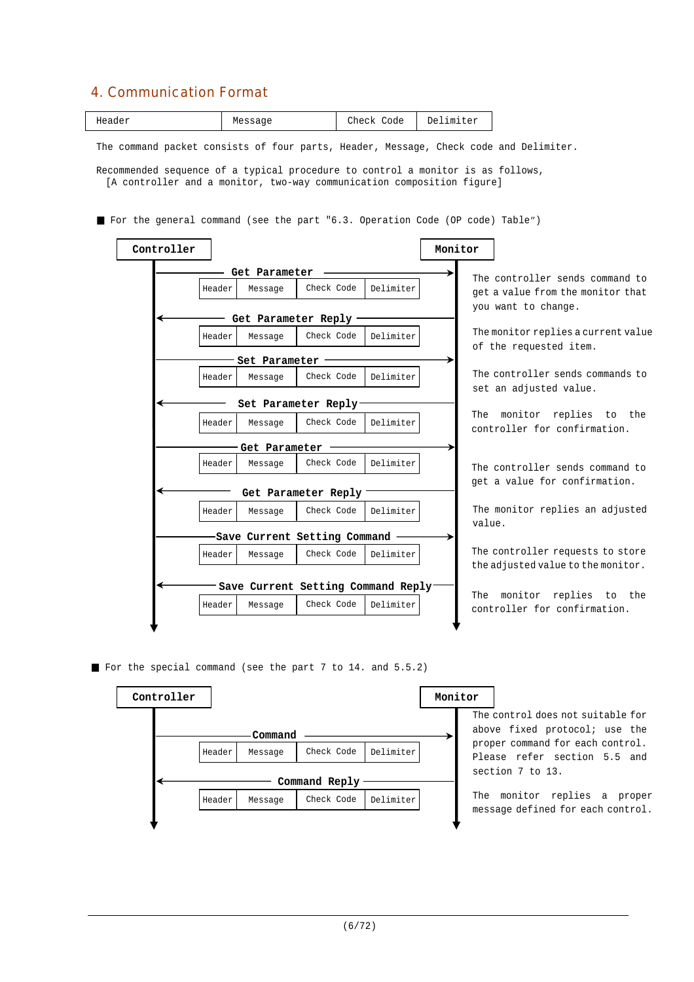# 4. Communication Format

|--|

The command packet consists of four parts, Header, Message, Check code and Delimiter.

Recommended sequence of a typical procedure to control a monitor is as follows, [A controller and a monitor, two-way communication composition figure]

For the general command (see the part "6.3. Operation Code (OP code) Table")



For the special command (see the part 7 to 14. and 5.5.2)

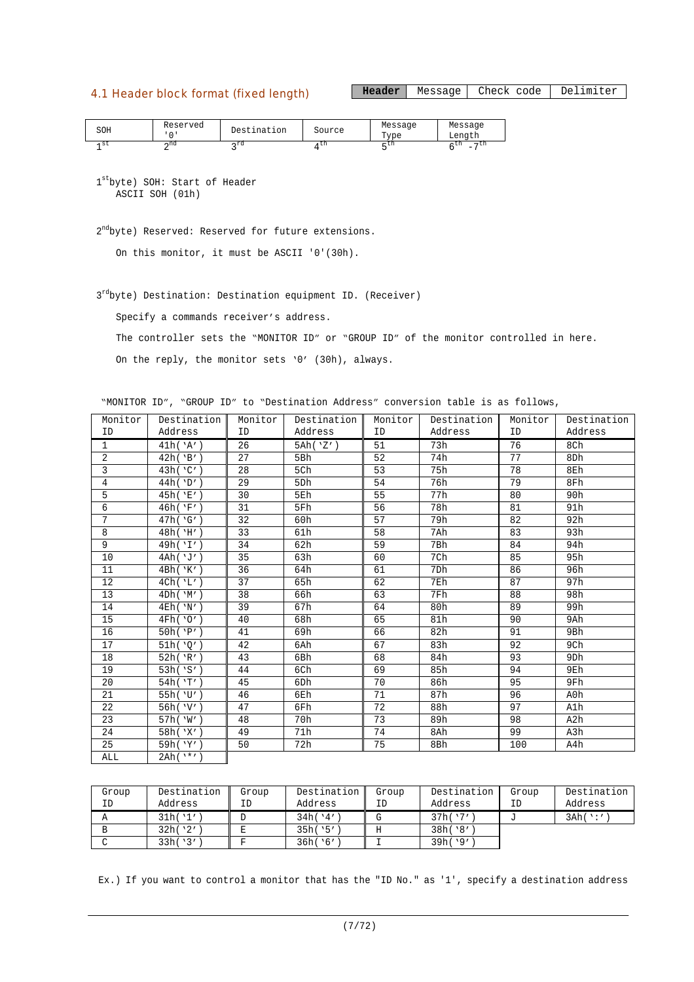## 4.1 Header block format (fixed length)

Header | Message | Check code | Delimiter

| SOH  | Reserved | Destination  | Source | Message<br>$T$ vpe | Message<br>Length                          |  |
|------|----------|--------------|--------|--------------------|--------------------------------------------|--|
| - st | ∽nd      | $\lambda$ rd | UП     | $-$ LH             | $-11$<br>- 611<br>$\overline{\phantom{a}}$ |  |

1 st byte) SOH: Start of Header ASCII SOH (01h)

2<sup>nd</sup>byte) Reserved: Reserved for future extensions.

On this monitor, it must be ASCII '0'(30h).

3<sup>rd</sup>byte) Destination: Destination equipment ID. (Receiver)

Specify a commands receiver's address.

The controller sets the "MONITOR ID" or "GROUP ID" of the monitor controlled in here.

On the reply, the monitor sets '0' (30h), always.

"MONITOR ID", "GROUP ID" to "Destination Address" conversion table is as follows,

| Monitor         | Destination    | Monitor | Destination     | Monitor | Destination | Monitor | Destination     |
|-----------------|----------------|---------|-----------------|---------|-------------|---------|-----------------|
| ID              | Address        | ID      | Address         | ID      | Address     | ID      | Address         |
| 1               | 41h('A')       | 26      | 5Ah('Z')        | 51      | 73h         | 76      | 8Ch             |
| 2               | 42h('B')       | 27      | 5Bh             | 52      | 74h         | 77      | 8Dh             |
| 3               | 43h('C')       | 28      | 5Ch             | 53      | 75h         | 78      | 8Eh             |
| $\overline{4}$  | 44h('D')       | 29      | 5Dh             | 54      | 76h         | 79      | 8Fh             |
| 5               | 45h('E')       | 30      | 5Eh             | 55      | 77h         | 80      | 90h             |
| 6               | 46h('F')       | 31      | 5Fh             | 56      | 78h         | 81      | 91h             |
| $7\overline{ }$ | 47h('G')       | 32      | 60h             | 57      | 79h         | 82      | 92h             |
| 8               | 48h('H')       | 33      | 61h             | 58      | 7Ah         | 83      | 93h             |
| 9               | 49h('I')       | 34      | 62h             | 59      | 7Bh         | 84      | 94h             |
| 10              | 4Ah('J')       | 35      | 63h             | 60      | 7Ch         | 85      | 95h             |
| 11              | 4Bh('K')       | 36      | 64h             | 61      | 7Dh         | 86      | 96h             |
| 12              | 4Ch('L')       | 37      | 65h             | 62      | 7Eh         | 87      | 97h             |
| 13              | 4Dh('M')       | 38      | 66h             | 63      | 7Fh         | 88      | 98h             |
| 14              | 4Eh('N')       | 39      | 67h             | 64      | 80h         | 89      | 99h             |
| 15              | 4Fh('0')       | 40      | 68h             | 65      | 81h         | 90      | 9Ah             |
| 16              | 50h('P')       | 41      | 69h             | 66      | 82h         | 91      | 9Bh             |
| 17              | 51h('0')       | 42      | 6Ah             | 67      | 83h         | 92      | 9Ch             |
| 18              | 52h('R')       | 43      | 6Bh             | 68      | 84h         | 93      | 9 <sub>Dh</sub> |
| 19              | 53h('S')       | 44      | 6Ch             | 69      | 85h         | 94      | 9Eh             |
| 20              | 54h('T')       | 45      | 6 <sub>Dh</sub> | 70      | 86h         | 95      | 9Fh             |
| 21              | 55h('U')       | 46      | 6Eh             | 71      | 87h         | 96      | A0h             |
| 22              | 56h('V')       | 47      | 6Fh             | 72      | 88h         | 97      | A1h             |
| 23              | 57h('W')       | 48      | 70h             | 73      | 89h         | 98      | A2h             |
| 24              | 58h('X')       | 49      | 71h             | 74      | 8Ah         | 99      | A3h             |
| 25              | 59h('Y')       | 50      | 72h             | 75      | 8Bh         | 100     | A4h             |
| ALL             | $2Ah(^{1*'}')$ |         |                 |         |             |         |                 |

| Group | Destination | Group | Destination | Group | Destination | Group | Destination |
|-------|-------------|-------|-------------|-------|-------------|-------|-------------|
| ΙD    | Address     | ΙD    | Address     | ΙD    | Address     | ID    | Address     |
|       | 31h('1')    |       | 34h(14')    |       | 37h('7')    |       | 3Ah('')     |
|       | 32h('2')    |       | 35h('5')    |       | 38h('8'     |       |             |
|       | 33h('3')    |       | 36h('6')    |       | 39h('9')    |       |             |

Ex.) If you want to control a monitor that has the "ID No." as '1', specify a destination address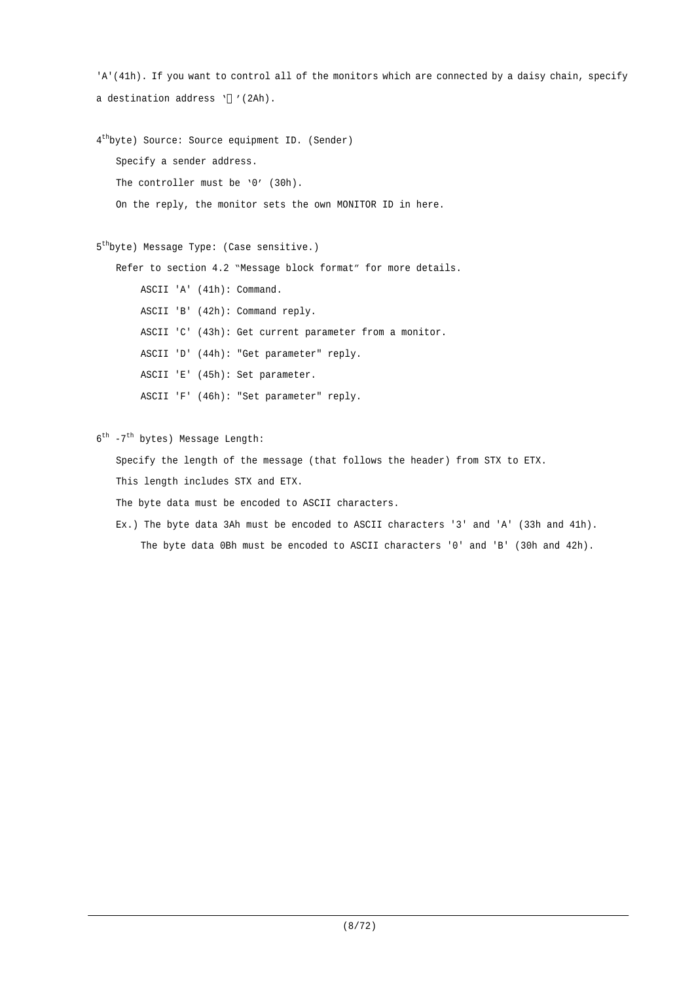```
'A'(41h). If you want to control all of the monitors which are connected by a daisy chain, specify
a destination address ' '(2Ah).
4
th
byte) Source: Source equipment ID. (Sender)
   Specify a sender address.
   The controller must be '0' (30h).
   On the reply, the monitor sets the own MONITOR ID in here.
5
th
byte) Message Type: (Case sensitive.)
   Refer to section 4.2 "Message block format" for more details.
        ASCII 'A' (41h): Command.
        ASCII 'B' (42h): Command reply.
        ASCII 'C' (43h): Get current parameter from a monitor.
        ASCII 'D' (44h): "Get parameter" reply.
        ASCII 'E' (45h): Set parameter.
        ASCII 'F' (46h): "Set parameter" reply.
6<sup>th</sup> -7<sup>th</sup> bytes) Message Length:
   Specify the length of the message (that follows the header) from STX to ETX.
```
This length includes STX and ETX.

The byte data must be encoded to ASCII characters.

Ex.) The byte data 3Ah must be encoded to ASCII characters '3' and 'A' (33h and 41h). The byte data 0Bh must be encoded to ASCII characters '0' and 'B' (30h and 42h).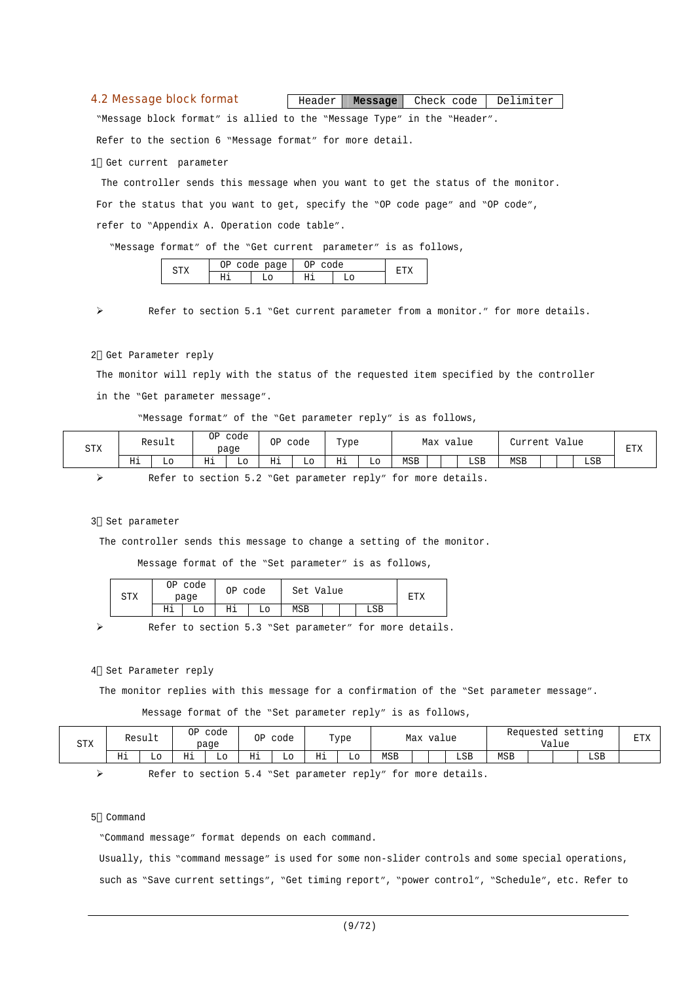#### 4.2 Message block format

**Header Message** Check code Delimiter

"Message block format" is allied to the "Message Type" in the "Header".

Refer to the section 6 "Message format" for more detail.

1 Get current parameter

The controller sends this message when you want to get the status of the monitor. For the status that you want to get, specify the "OP code page" and "OP code", refer to "Appendix A. Operation code table".

"Message format" of the "Get current parameter" is as follows,

|            | $\overline{\phantom{a}}$<br>۱T | page<br>∽<br>$\tilde{\phantom{a}}$ | $\sim$ |  |  |
|------------|--------------------------------|------------------------------------|--------|--|--|
| . .<br>--- | --                             |                                    | T      |  |  |
|            |                                |                                    |        |  |  |

Refer to section 5.1 "Get current parameter from a monitor." for more details.

#### 2 Get Parameter reply

The monitor will reply with the status of the requested item specified by the controller in the "Get parameter message".

"Message format" of the "Get parameter reply" is as follows,

| <b>STX</b> |    | Result | ΟP       | code<br>page | ΟP | code | Type<br>. . |    | Max<br>value |  |     | Value<br>Turreni |  |  | <b>DEA</b><br>△⊥⊔ت |  |
|------------|----|--------|----------|--------------|----|------|-------------|----|--------------|--|-----|------------------|--|--|--------------------|--|
|            | Нi | LО     | ᄑ<br>*** | ШU           | Ηi | Lо   | Ηi          | Lο | <b>MSB</b>   |  | LSB | MSB              |  |  | LSB                |  |

Refer to section 5.2 "Get parameter reply" for more details.

#### 3 Set parameter

The controller sends this message to change a setting of the monitor.

Message format of the "Set parameter" is as follows,

| amv<br>∆⊥د | code<br>ОP<br>page |    | ΟP | code | Set | Value |  |     |  |
|------------|--------------------|----|----|------|-----|-------|--|-----|--|
|            | Ηi                 | L٥ | Ηi | LО   | MSB |       |  | LSB |  |

Refer to section 5.3 "Set parameter" for more details.

#### 4 Set Parameter reply

The monitor replies with this message for a confirmation of the "Set parameter message".

Message format of the "Set parameter reply" is as follows,

| <b>STX</b> |           | Result | ΟP                 | code<br>page | ΟP                  | code     |         | Type     |            | Max | value |     |            | Requested | Value | setting | <b>DERV</b><br>۸- ت |
|------------|-----------|--------|--------------------|--------------|---------------------|----------|---------|----------|------------|-----|-------|-----|------------|-----------|-------|---------|---------------------|
|            | TI i<br>ᆧ | ப      | ਸ਼ਾਜ<br><b>III</b> | LО<br>__     | <b>++</b><br>எ∸<br> | Lo<br>__ | н÷<br>ᅭ | Lo<br>__ | <b>MSB</b> |     |       | LSB | <b>MSB</b> |           |       | LSB     |                     |

Refer to section 5.4 "Set parameter reply" for more details.

#### 5 Command

"Command message" format depends on each command.

Usually, this "command message" is used for some non-slider controls and some special operations, such as "Save current settings", "Get timing report", "power control", "Schedule", etc. Refer to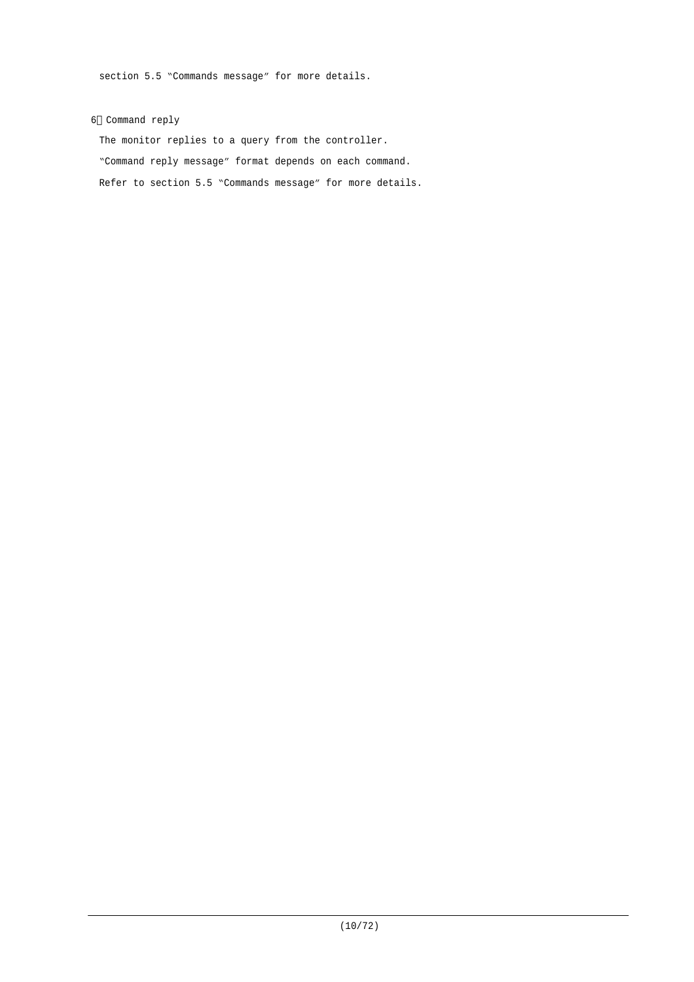section 5.5 "Commands message" for more details.

#### 6 Command reply

The monitor replies to a query from the controller. "Command reply message" format depends on each command. Refer to section 5.5 "Commands message" for more details.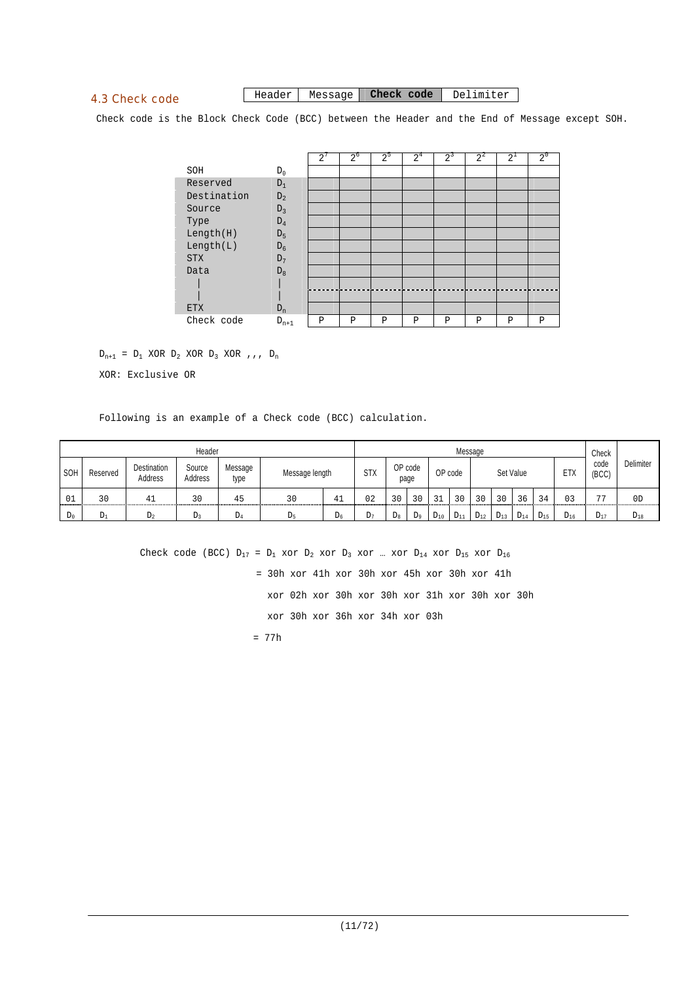## 4.3 Check code

#### Header Message **Check code** Delimiter

Check code is the Block Check Code (BCC) between the Header and the End of Message except SOH.

|             |           | $\overline{2}$ | $2^{\circ}$ | $2^{\circ}$ | 2 <sup>4</sup> | $2^3$ | $2^2$ | $2^{\perp}$ | $2^{\circ}$ |
|-------------|-----------|----------------|-------------|-------------|----------------|-------|-------|-------------|-------------|
| SOH         | $D_0$     |                |             |             |                |       |       |             |             |
| Reserved    | $D_1$     |                |             |             |                |       |       |             |             |
| Destination | $D_2$     |                |             |             |                |       |       |             |             |
| Source      | $D_3$     |                |             |             |                |       |       |             |             |
| Type        | $D_4$     |                |             |             |                |       |       |             |             |
| Length(H)   | $D_5$     |                |             |             |                |       |       |             |             |
| Length(L)   | $D_6$     |                |             |             |                |       |       |             |             |
| <b>STX</b>  | $D_7$     |                |             |             |                |       |       |             |             |
| Data        | $D_8$     |                |             |             |                |       |       |             |             |
|             |           |                |             |             |                |       |       |             |             |
|             |           |                |             |             |                |       |       |             |             |
| <b>ETX</b>  | $D_n$     |                |             |             |                |       |       |             |             |
| Check code  | $D_{n+1}$ | Ρ              | P           | P           | Ρ              | P     | P     | P           | P           |

 $D_{n+1}$  =  $D_1$  XOR  $D_2$  XOR  $D_3$  XOR , , ,  $D_n$ 

XOR: Exclusive OR

Following is an example of a Check code (BCC) calculation.

|       |          |                        | Header                   |                 |                |       |            |             |                 |          |          | Message  |          |           |          |          | Check          |                  |
|-------|----------|------------------------|--------------------------|-----------------|----------------|-------|------------|-------------|-----------------|----------|----------|----------|----------|-----------|----------|----------|----------------|------------------|
| SOH   | Reserved | Destination<br>Address | Source<br><b>Address</b> | Message<br>type | Message length |       | <b>STX</b> |             | OP code<br>page |          | OP code  |          |          | Set Value |          | ETX      | code<br>(BCC)  | <b>Delimiter</b> |
| 01    | 30       |                        | 30                       | 45              | 30             | 41    | 02         | 30          | 30              | $\sim$   | 3 U      | 30       | 30       | 36        | 34       | 03       | $\overline{a}$ | 0 <sub>D</sub>   |
| $D_0$ | Dı       | $D_2$                  | D٦                       | DΔ              | Dς             | $D_6$ | $L_{7}$    | $D_{\rm R}$ | D <sub>q</sub>  | $D_{10}$ | $D_{11}$ | $D_{12}$ | $D_{13}$ | $D_{14}$  | $D_{15}$ | $D_{16}$ | $D_{17}$       | $D_{18}$         |

Check code (BCC)  $D_{17} = D_1$  xor  $D_2$  xor  $D_3$  xor ... xor  $D_{14}$  xor  $D_{15}$  xor  $D_{16}$  = 30h xor 41h xor 30h xor 45h xor 30h xor 41h xor 02h xor 30h xor 30h xor 31h xor 30h xor 30h xor 30h xor 36h xor 34h xor 03h = 77h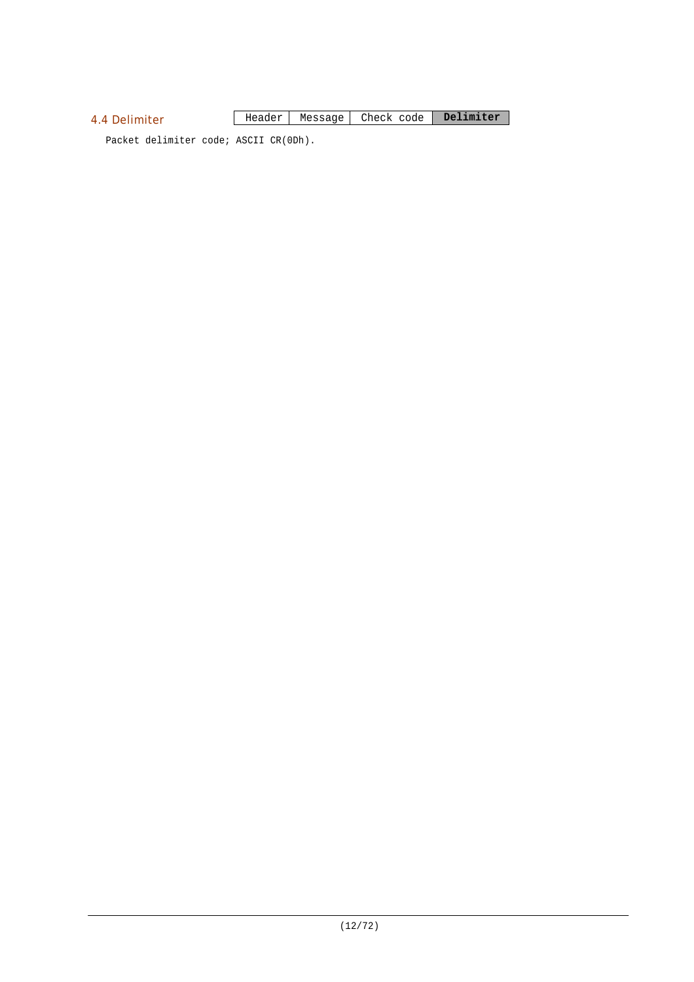## 4.4 Delimiter

Header Message Check code **Delimiter**

Packet delimiter code; ASCII CR(0Dh).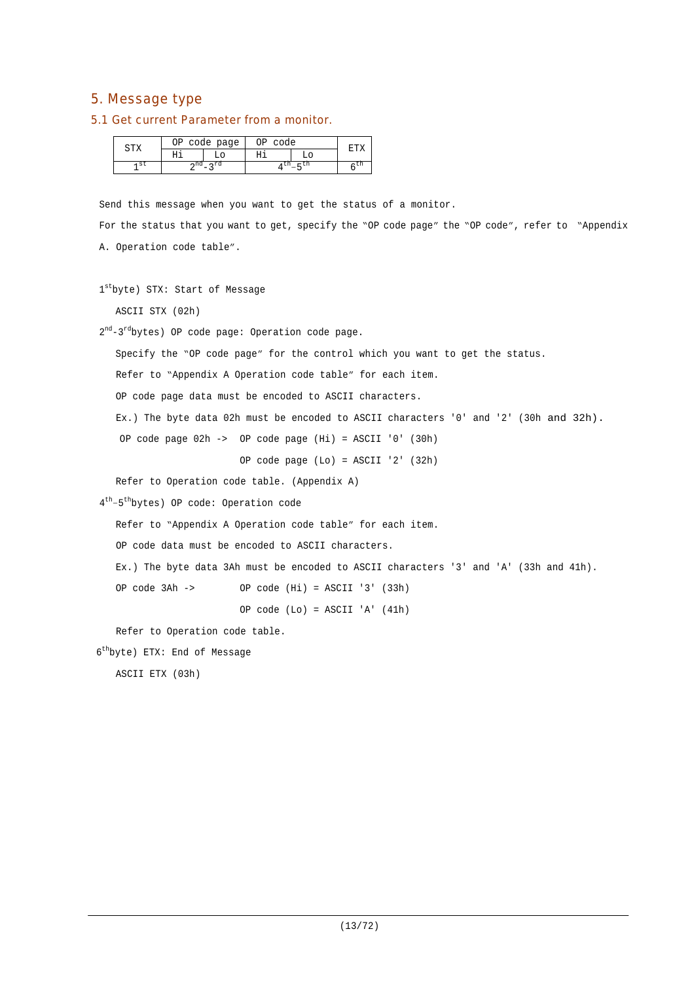## 5. Message type

#### 5.1 Get current Parameter from a monitor.

| טרח | NÞ | code page | ∩г<br>code |       |
|-----|----|-----------|------------|-------|
|     |    |           |            |       |
| st  |    |           |            | $-11$ |

Send this message when you want to get the status of a monitor.

For the status that you want to get, specify the "OP code page" the "OP code", refer to "Appendix A. Operation code table".

```
1stbyte) STX: Start of Message
```
ASCII STX (02h)

2<sup>nd</sup>-3<sup>rd</sup>bytes) OP code page: Operation code page.

Specify the "OP code page" for the control which you want to get the status.

Refer to "Appendix A Operation code table" for each item.

OP code page data must be encoded to ASCII characters.

Ex.) The byte data 02h must be encoded to ASCII characters '0' and '2' (30h and 32h).

OP code page 02h -> OP code page (Hi) = ASCII '0' (30h)

OP code page (Lo) = ASCII '2' (32h)

Refer to Operation code table. (Appendix A)

4 th –5 th bytes) OP code: Operation code

Refer to "Appendix A Operation code table" for each item.

OP code data must be encoded to ASCII characters.

Ex.) The byte data 3Ah must be encoded to ASCII characters '3' and 'A' (33h and 41h).

OP code 3Ah -> OP code (Hi) = ASCII '3' (33h)

OP code (Lo) = ASCII 'A' (41h)

Refer to Operation code table.

6 th byte) ETX: End of Message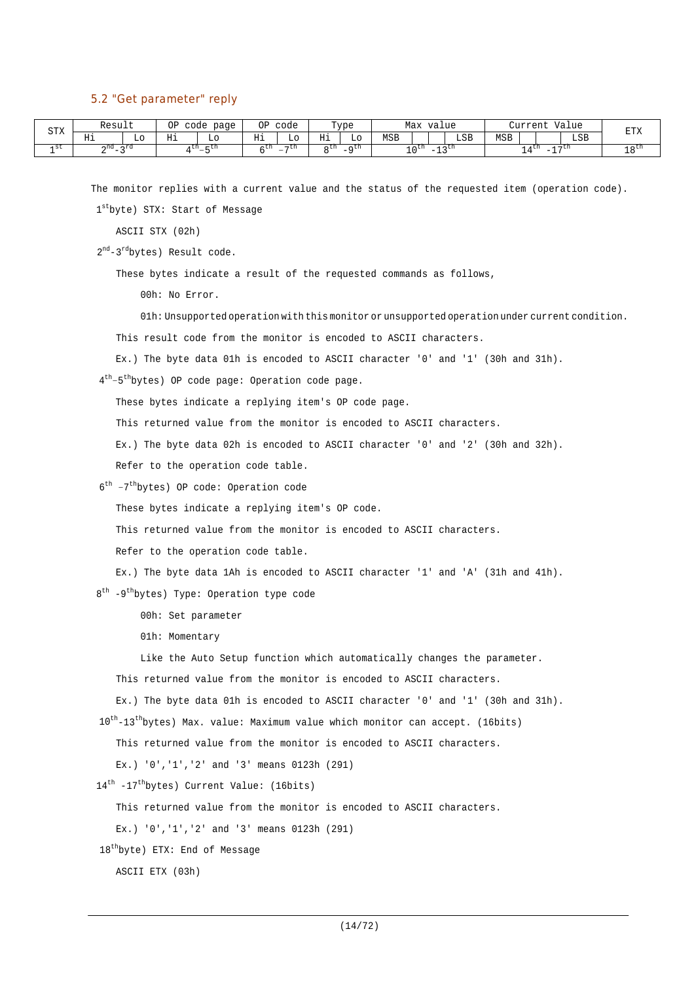#### 5.2 "Get parameter" reply

| STX  | Result                 |     | ΟP<br>code   | page         | ΟP       | code           |       | Type               |     | Max value   |                                                                              |     |            | Current       |                          | Value | <b>DEV</b>   |
|------|------------------------|-----|--------------|--------------|----------|----------------|-------|--------------------|-----|-------------|------------------------------------------------------------------------------|-----|------------|---------------|--------------------------|-------|--------------|
|      | Ηi                     | L٥  | Нi           | TО           | TT-<br>ᅭ | TО             | Нi    | Lο                 | MSB |             |                                                                              | LSB | <b>MSB</b> |               |                          | LSB   | △⊥ت          |
| 1 St | $\cap$ nd<br>$ -$<br>▵ | ∽rd | <b>1 LII</b> | – un<br>$-5$ | . LII    | $\neg$ cn<br>- | n LII | $-a$ <sup>th</sup> |     | $\sim$ 0.00 | $\sim$ $\sim$ $\sim$ $\sim$ $\sim$<br>$\overline{\phantom{a}}$<br><b>ســ</b> |     |            | 4 L.I.<br>- - | $\overline{\phantom{a}}$ | , ⊷tn | 1 O LU<br>ᅩ◡ |

The monitor replies with a current value and the status of the requested item (operation code).

1 st byte) STX: Start of Message

ASCII STX (02h)

2<sup>nd</sup>-3<sup>rd</sup>bytes) Result code.

These bytes indicate a result of the requested commands as follows,

00h: No Error.

01h: Unsupported operation with this monitor or unsupported operation under current condition.

This result code from the monitor is encoded to ASCII characters.

Ex.) The byte data 01h is encoded to ASCII character '0' and '1' (30h and 31h).

4<sup>th</sup>-5<sup>th</sup>bytes) OP code page: Operation code page.

These bytes indicate a replying item's OP code page.

This returned value from the monitor is encoded to ASCII characters.

Ex.) The byte data 02h is encoded to ASCII character '0' and '2' (30h and 32h).

Refer to the operation code table.

6 th –7 th bytes) OP code: Operation code

These bytes indicate a replying item's OP code.

This returned value from the monitor is encoded to ASCII characters.

Refer to the operation code table.

Ex.) The byte data 1Ah is encoded to ASCII character '1' and 'A' (31h and 41h).

8<sup>th</sup> -9<sup>th</sup>bytes) Type: Operation type code

00h: Set parameter

01h: Momentary

Like the Auto Setup function which automatically changes the parameter.

This returned value from the monitor is encoded to ASCII characters.

Ex.) The byte data 01h is encoded to ASCII character '0' and '1' (30h and 31h).

10<sup>th</sup>-13<sup>th</sup>bytes) Max. value: Maximum value which monitor can accept. (16bits)

This returned value from the monitor is encoded to ASCII characters.

Ex.) '0','1','2' and '3' means 0123h (291)

14<sup>th</sup> -17<sup>th</sup>bytes) Current Value: (16bits)

This returned value from the monitor is encoded to ASCII characters.

Ex.) '0','1','2' and '3' means 0123h (291)

18<sup>th</sup>byte) ETX: End of Message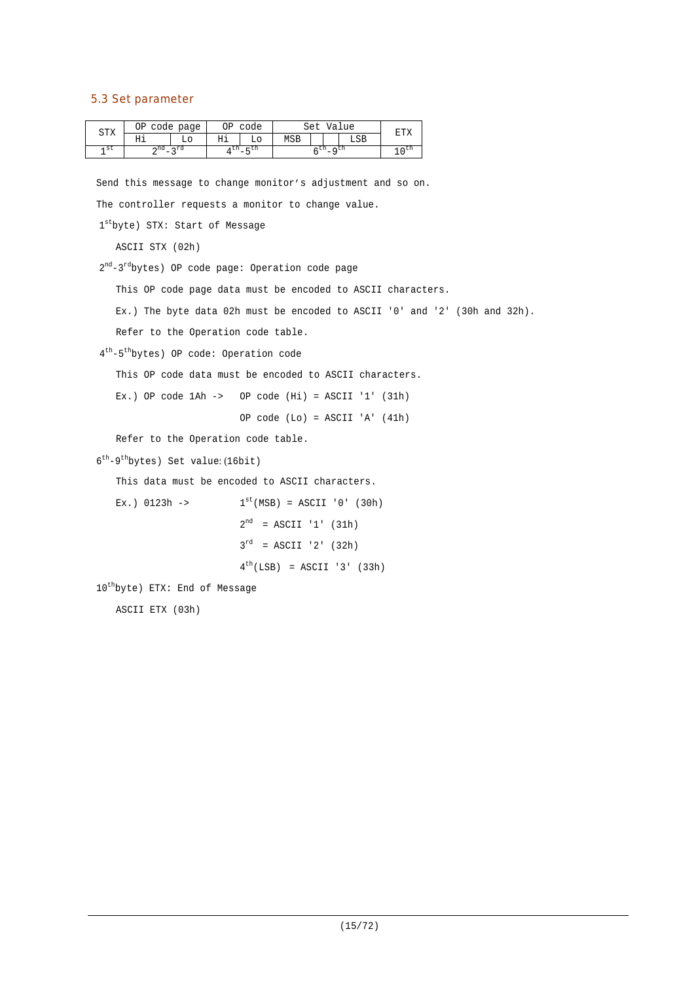## 5.3 Set parameter

| CTV  | ОP  | code page  | ЭP | code   |     | Set        |           | Value | ᠳ᠇ |
|------|-----|------------|----|--------|-----|------------|-----------|-------|----|
| ◡∸▵  | ᅭ   | LС         | Ηi | L٥     | MSB |            |           | LSB   |    |
| ۹ St | ∽nd | $\lnot$ rd | un | $-$ UH |     | <b>LII</b> | $\sim$ CD |       |    |

Send this message to change monitor's adjustment and so on. The controller requests a monitor to change value.

```
1stbyte) STX: Start of Message
```
ASCII STX (02h)

2<sup>nd</sup>-3<sup>rd</sup>bytes) OP code page: Operation code page

This OP code page data must be encoded to ASCII characters.

Ex.) The byte data 02h must be encoded to ASCII '0' and '2' (30h and 32h).

Refer to the Operation code table.

4 th -5 th bytes) OP code: Operation code

This OP code data must be encoded to ASCII characters.

Ex.) OP code  $1$ Ah -> OP code  $(Hi)$  = ASCII '1'  $(31h)$ 

OP code (Lo) = ASCII 'A' (41h)

Refer to the Operation code table.

6<sup>th</sup>-9<sup>th</sup>bytes) Set value: (16bit)

This data must be encoded to ASCII characters.

```
Ex.) 0123h ->
                               ^{\text{st}}(\text{MSB}) = \text{ASCII} '0' (30h)2^{nd} = ASCII '1' (31h)
                             3^{rd} = ASCII '2' (32h)
                             4^{th}(LSB) = ASCII '3' (33h)
```
10 th byte) ETX: End of Message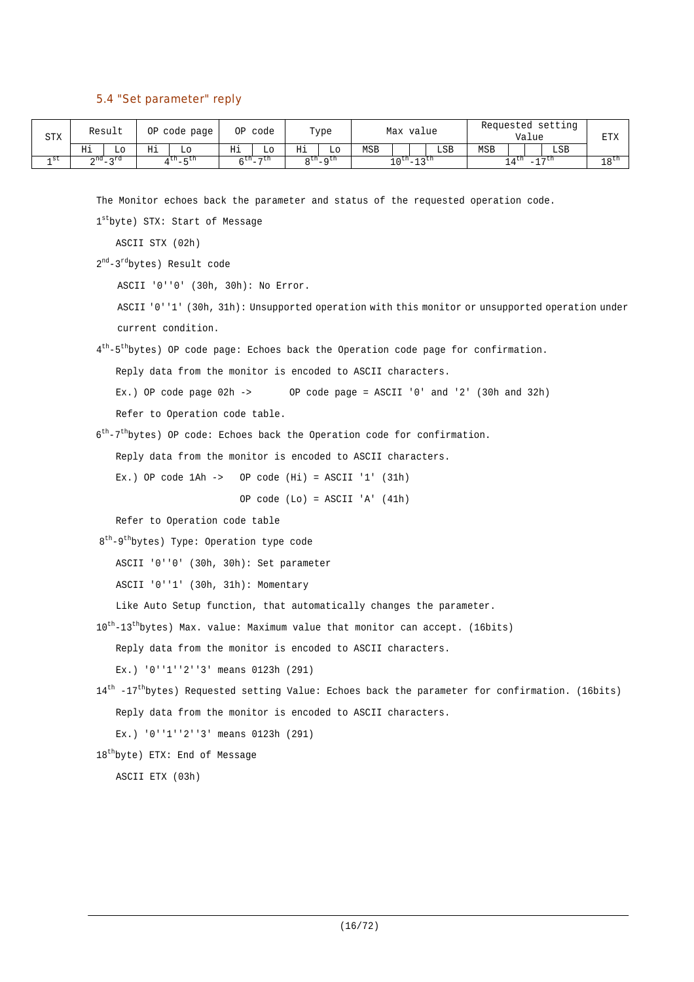## 5.4 "Set parameter" reply

| <b>STX</b> |    | Result                            |    | OP code page |       | OP code        |    | Type              |     | Max value  |                          |     |            | Requested setting<br>Value |           | <b>ETX</b>       |
|------------|----|-----------------------------------|----|--------------|-------|----------------|----|-------------------|-----|------------|--------------------------|-----|------------|----------------------------|-----------|------------------|
|            | Ηi | LO.                               | Ηi |              | Ηi    | Lο             | Ηi | Lο                | MSB |            |                          | LSB | <b>MSB</b> |                            | LSB       |                  |
| 1 St       |    | rd מת<br>$\overline{\phantom{a}}$ |    | $4th - 5th$  | ςth − | $\neg$ th<br>- |    | $R^{th}$ $R^{th}$ |     | ⊥∩th 」 っth | $\overline{\phantom{a}}$ |     |            | 4 th                       | າໆth<br>- | 18 <sup>th</sup> |

The Monitor echoes back the parameter and status of the requested operation code.

1 st byte) STX: Start of Message

ASCII STX (02h)

2<sup>nd</sup>-3<sup>rd</sup>bytes) Result code

ASCII '0''0' (30h, 30h): No Error.

ASCII '0''1' (30h, 31h): Unsupported operation with this monitor or unsupported operation under current condition.

4<sup>th</sup>-5<sup>th</sup>bytes) OP code page: Echoes back the Operation code page for confirmation.

Reply data from the monitor is encoded to ASCII characters.

Ex.) OP code page  $02h \rightarrow$  OP code page = ASCII '0' and '2' (30h and 32h)

Refer to Operation code table.

6<sup>th</sup>-7<sup>th</sup>bytes) OP code: Echoes back the Operation code for confirmation.

Reply data from the monitor is encoded to ASCII characters.

Ex.) OP code  $1Ah \rightarrow$  OP code  $(Hi) = ASCII '1' (31h)$ 

OP code (Lo) = ASCII 'A' (41h)

Refer to Operation code table

8<sup>th</sup>-9<sup>th</sup>bytes) Type: Operation type code

ASCII '0''0' (30h, 30h): Set parameter

ASCII '0''1' (30h, 31h): Momentary

Like Auto Setup function, that automatically changes the parameter.

10<sup>th</sup>-13<sup>th</sup>bytes) Max. value: Maximum value that monitor can accept. (16bits)

Reply data from the monitor is encoded to ASCII characters.

Ex.) '0''1''2''3' means 0123h (291)

```
14<sup>th</sup> -17<sup>th</sup>bytes) Requested setting Value: Echoes back the parameter for confirmation. (16bits)
   Reply data from the monitor is encoded to ASCII characters.
```
Ex.) '0''1''2''3' means 0123h (291)

18 th byte) ETX: End of Message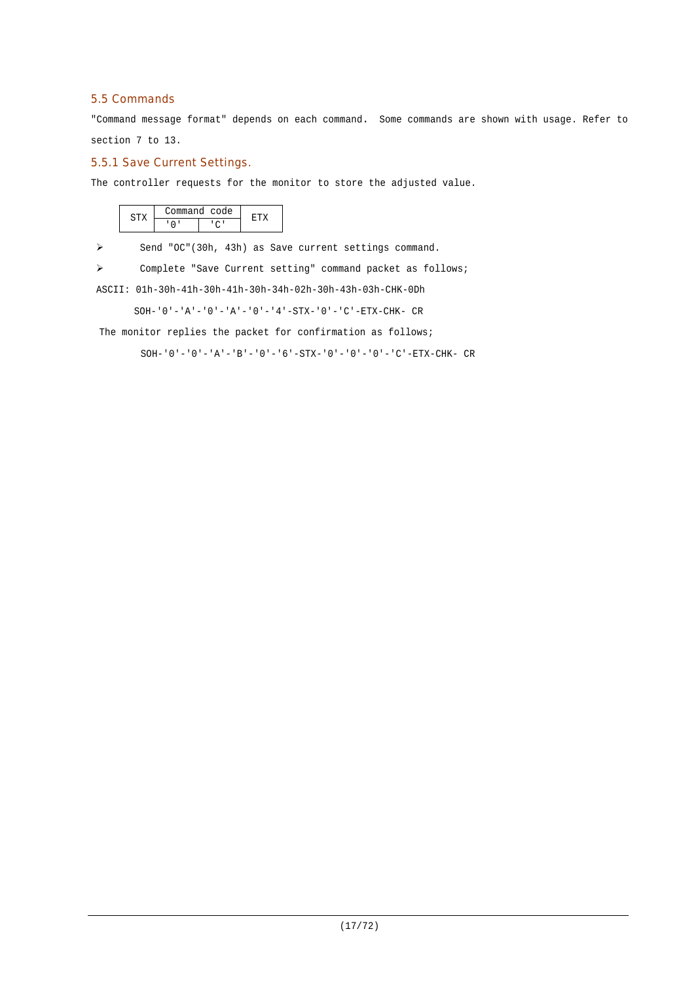## 5.5 Commands

"Command message format" depends on each command. Some commands are shown with usage. Refer to section 7 to 13.

#### 5.5.1 Save Current Settings.

The controller requests for the monitor to store the adjusted value.

|  | 'ommand code |  |
|--|--------------|--|
|  |              |  |

> Send "OC"(30h, 43h) as Save current settings command.

Complete "Save Current setting" command packet as follows;

ASCII: 01h-30h-41h-30h-41h-30h-34h-02h-30h-43h-03h-CHK-0Dh

SOH-'0'-'A'-'0'-'A'-'0'-'4'-STX-'0'-'C'-ETX-CHK- CR

The monitor replies the packet for confirmation as follows;

SOH-'0'-'0'-'A'-'B'-'0'-'6'-STX-'0'-'0'-'0'-'C'-ETX-CHK- CR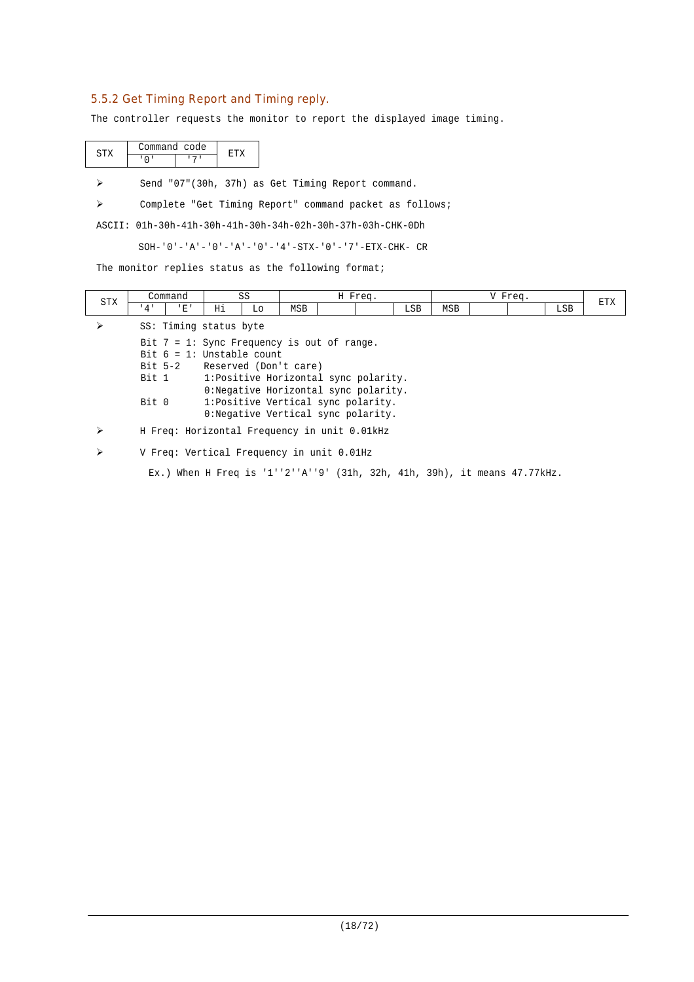## 5.5.2 Get Timing Report and Timing reply.

The controller requests the monitor to report the displayed image timing.

|  | ommand code |  |
|--|-------------|--|
|  |             |  |

Send "07"(30h, 37h) as Get Timing Report command.

Complete "Get Timing Report" command packet as follows;

ASCII: 01h-30h-41h-30h-41h-30h-34h-02h-30h-37h-03h-CHK-0Dh

SOH-'0'-'A'-'0'-'A'-'0'-'4'-STX-'0'-'7'-ETX-CHK- CR

The monitor replies status as the following format;

| <b>STX</b> |       | Command                      |    | SS |                                               | H Freq.                               |            |            | V Freq. |     | <b>ETX</b> |
|------------|-------|------------------------------|----|----|-----------------------------------------------|---------------------------------------|------------|------------|---------|-----|------------|
|            | 4'    | 'E'                          | Ηi | Lo | MSB                                           |                                       | <b>LSB</b> | <b>MSB</b> |         | LSB |            |
|            |       | SS: Timing status byte       |    |    |                                               |                                       |            |            |         |     |            |
|            |       |                              |    |    | Bit $7 = 1$ : Sync Frequency is out of range. |                                       |            |            |         |     |            |
|            |       | Bit $6 = 1$ : Unstable count |    |    |                                               |                                       |            |            |         |     |            |
|            |       |                              |    |    | Bit 5-2 Reserved (Don't care)                 |                                       |            |            |         |     |            |
|            | Bit 1 |                              |    |    |                                               | 1: Positive Horizontal sync polarity. |            |            |         |     |            |
|            |       |                              |    |    |                                               | 0: Negative Horizontal sync polarity. |            |            |         |     |            |
|            | Bit 0 |                              |    |    |                                               | 1:Positive Vertical sync polarity.    |            |            |         |     |            |
|            |       |                              |    |    |                                               | 0: Negative Vertical sync polarity.   |            |            |         |     |            |
|            |       |                              |    |    | H Freq: Horizontal Frequency in unit 0.01kHz  |                                       |            |            |         |     |            |
|            |       |                              |    |    | V Freq: Vertical Frequency in unit 0.01Hz     |                                       |            |            |         |     |            |

Ex.) When H Freq is '1''2''A''9' (31h, 32h, 41h, 39h), it means 47.77kHz.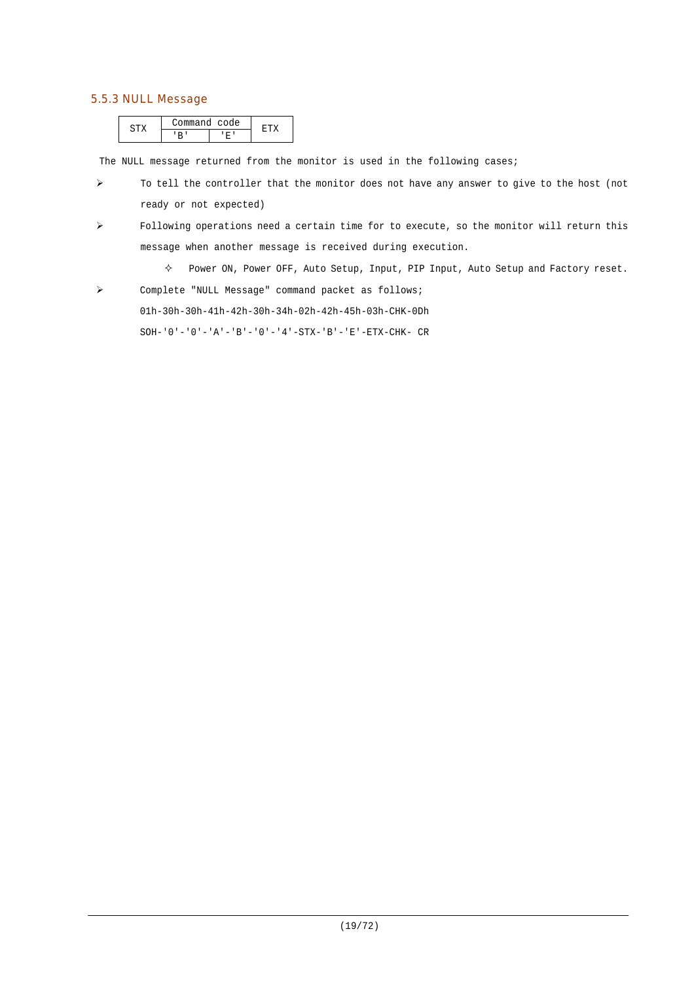## 5.5.3 NULL Message

| . | ommand code |  |
|---|-------------|--|
|   |             |  |

The NULL message returned from the monitor is used in the following cases;

- $\triangleright$  To tell the controller that the monitor does not have any answer to give to the host (not ready or not expected)
- Following operations need a certain time for to execute, so the monitor will return this message when another message is received during execution.
	- $\diamond$  Power ON, Power OFF, Auto Setup, Input, PIP Input, Auto Setup and Factory reset.
- Complete "NULL Message" command packet as follows;

01h-30h-30h-41h-42h-30h-34h-02h-42h-45h-03h-CHK-0Dh

 $\texttt{SOH-}\ '0\ '-\ '0\ '-\ 'A\ '-\ 'B\ '-\ '0\ '-\ '4\ '-\ \texttt{STX-}\ 'B\ '-\ 'E\ '-\ \texttt{ETX-CHK-}\ \ \texttt{CR}$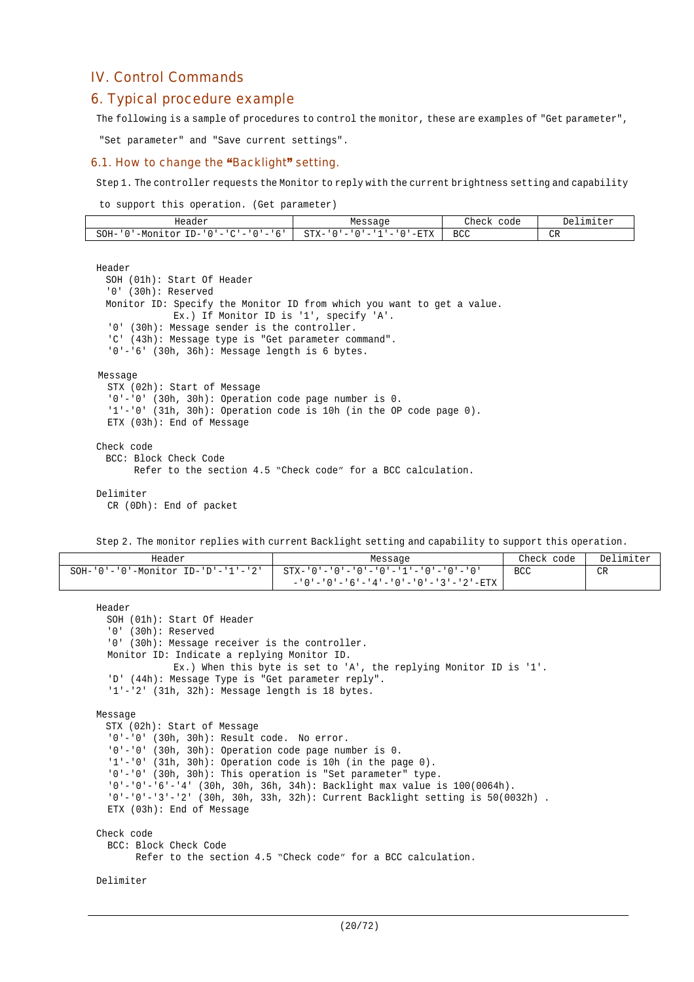## IV. Control Commands

## 6. Typical procedure example

The following is a sample of procedures to control the monitor, these are examples of "Get parameter",

"Set parameter" and "Save current settings".

#### 6.1. How to change the "Backlight" setting.

Step 1. The controller requests the Monitor to reply with the current brightness setting and capability

to support this operation. (Get parameter)

| Header                                                                                                         | Message                                                                                              | Check<br>code    | Del<br>.imiter<br>$F \triangle T$     |
|----------------------------------------------------------------------------------------------------------------|------------------------------------------------------------------------------------------------------|------------------|---------------------------------------|
| $SOH-$<br>--<br>–M∩r<br>∴∩γ<br>$\mathbf{D}$<br>$\overline{\phantom{a}}$<br>- 11 11<br>$\overline{\phantom{a}}$ | $STX-$<br>$-ETX$<br>$\overline{\phantom{a}}$<br>$\overline{\phantom{a}}$<br>$\overline{\phantom{a}}$ | <b>BCC</b><br>__ | $\cap$<br><b>VIV</b><br>$\sim$ $\sim$ |

#### Header

```
SOH (01h): Start Of Header
  '0' (30h): Reserved
 Monitor ID: Specify the Monitor ID from which you want to get a value.
             Ex.) If Monitor ID is '1', specify 'A'.
  '0' (30h): Message sender is the controller.
  'C' (43h): Message type is "Get parameter command".
  '0'-'6' (30h, 36h): Message length is 6 bytes.
Message
  STX (02h): Start of Message
  '0'-'0' (30h, 30h): Operation code page number is 0.
  '1'-'0' (31h, 30h): Operation code is 10h (in the OP code page 0).
 ETX (03h): End of Message
Check code
 BCC: Block Check Code
       Refer to the section 4.5 "Check code" for a BCC calculation.
Delimiter
  CR (0Dh): End of packet
```
Step 2. The monitor replies with current Backlight setting and capability to support this operation.

| Header                                           | Message                                                               | Check code | Delimiter |
|--------------------------------------------------|-----------------------------------------------------------------------|------------|-----------|
| $SOH - '0' - '0' - Monitor ID - 'D' - '1' - '2'$ | - STX-'0'-'0'-'0'-'0'-'1'-'0'-'0'-'0'                                 | BCC        | CR        |
|                                                  | - ' 0 ' - ' 0 ' - ' 6 ' - ' 4 ' - ' 0 ' - ' 0 ' - ' 3 ' - ' 2 ' - ETX |            |           |

```
Header
 SOH (01h): Start Of Header
  '0' (30h): Reserved
  '0' (30h): Message receiver is the controller.
 Monitor ID: Indicate a replying Monitor ID.
             Ex.) When this byte is set to 'A', the replying Monitor ID is '1'.
  'D' (44h): Message Type is "Get parameter reply".
  '1'-'2' (31h, 32h): Message length is 18 bytes.
Message
 STX (02h): Start of Message
  '0'-'0' (30h, 30h): Result code. No error.
  '0'-'0' (30h, 30h): Operation code page number is 0.
  '1'-'0' (31h, 30h): Operation code is 10h (in the page 0).
  '0'-'0' (30h, 30h): This operation is "Set parameter" type.
  '0'-'0'-'6'-'4' (30h, 30h, 36h, 34h): Backlight max value is 100(0064h).
  '0'-'0'-'3'-'2' (30h, 30h, 33h, 32h): Current Backlight setting is 50(0032h) .
  ETX (03h): End of Message
Check code
  BCC: Block Check Code
        Refer to the section 4.5 "Check code" for a BCC calculation.
```
Delimiter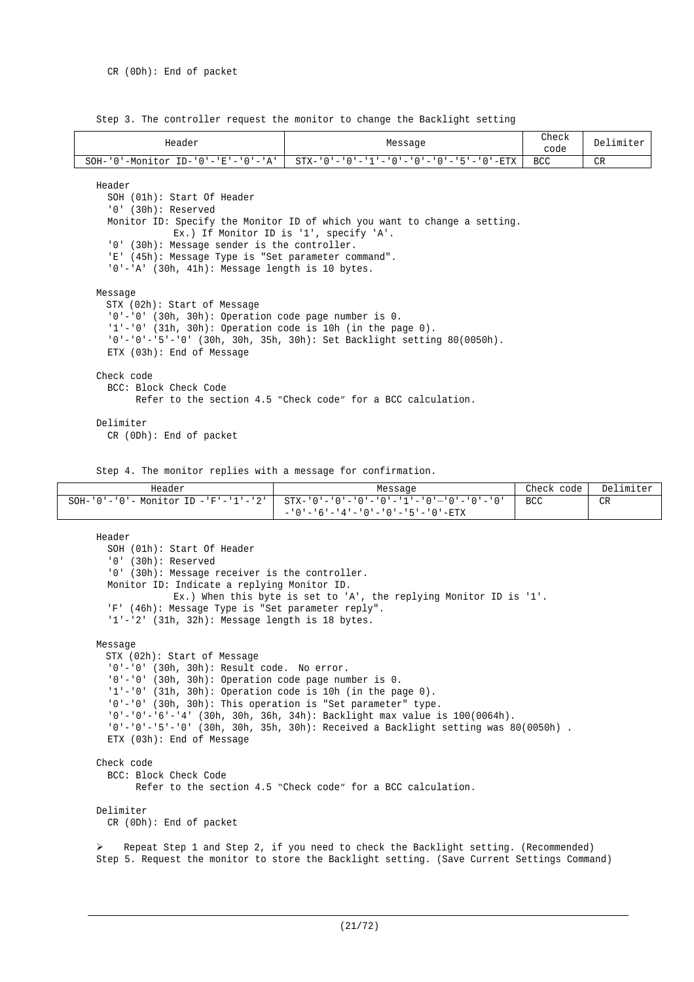Step 3. The controller request the monitor to change the Backlight setting

| Header                                                                                                                                                                                                                                                                                                                                             | Message                                                      |      |    |  |  |  |
|----------------------------------------------------------------------------------------------------------------------------------------------------------------------------------------------------------------------------------------------------------------------------------------------------------------------------------------------------|--------------------------------------------------------------|------|----|--|--|--|
| $SOH - '0' - Monttor ID - '0' - 'E' - '0' - 'A'$                                                                                                                                                                                                                                                                                                   | $STX - 101 - 101 - 111 - 101 - 101 - 101 - 151 - 101 - RTX$  | BCC. | CR |  |  |  |
| Header<br>SOH (01h): Start Of Header<br>$'0'$ (30h): Reserved<br>Monitor ID: Specify the Monitor ID of which you want to change a setting.<br>Ex.) If Monitor ID is '1', specify 'A'.<br>'0' (30h): Message sender is the controller.<br>'E' (45h): Message Type is "Set parameter command".<br>$'0'$ -'A' (30h, 41h): Message length is 10 bytes. |                                                              |      |    |  |  |  |
| Message<br>STX (02h): Start of Message<br>$'0'$ -'0' (30h, 30h): Operation code page number is 0.<br>$'1'$ -'0' (31h, 30h): Operation code is 10h (in the page 0).<br>$'0' - '0' - '5' - '0'$ (30h, 30h, 35h, 30h): Set Backlight setting 80(0050h).<br>ETX (03h): End of Message                                                                  |                                                              |      |    |  |  |  |
| Check code<br>BCC: Block Check Code                                                                                                                                                                                                                                                                                                                | Refer to the section 4.5 "Check code" for a BCC calculation. |      |    |  |  |  |
| Delimiter<br>$CR$ (ODh): End of packet                                                                                                                                                                                                                                                                                                             |                                                              |      |    |  |  |  |
| Step 4. The monitor replies with a message for confirmation.                                                                                                                                                                                                                                                                                       |                                                              |      |    |  |  |  |

Header **Message Check code** Delimiter SOH-'0'-'0'- Monitor ID -'F'-'1'-'2' STX-'0'-'0'-'0'-'0'-'1'-'0'—'0'-'0'-'0'  $-10$ ' - '6' - '4' - '0' - '0' - '5' - '0' -ETX BCC CR

```
Header
  SOH (01h): Start Of Header
  '0' (30h): Reserved
  '0' (30h): Message receiver is the controller.
  Monitor ID: Indicate a replying Monitor ID.
             Ex.) When this byte is set to 'A', the replying Monitor ID is '1'.
  'F' (46h): Message Type is "Set parameter reply".
  '1'-'2' (31h, 32h): Message length is 18 bytes.
Message
 STX (02h): Start of Message
  '0'-'0' (30h, 30h): Result code. No error.
  '0'-'0' (30h, 30h): Operation code page number is 0.
  '1'-'0' (31h, 30h): Operation code is 10h (in the page 0).
  '0'-'0' (30h, 30h): This operation is "Set parameter" type.
  '0'-'0'-'6'-'4' (30h, 30h, 36h, 34h): Backlight max value is 100(0064h).
  '0'-'0'-'5'-'0' (30h, 30h, 35h, 30h): Received a Backlight setting was 80(0050h) .
  ETX (03h): End of Message
Check code
  BCC: Block Check Code
        Refer to the section 4.5 "Check code" for a BCC calculation.
Delimiter
 CR (0Dh): End of packet
```
 Repeat Step 1 and Step 2, if you need to check the Backlight setting. (Recommended) Step 5. Request the monitor to store the Backlight setting. (Save Current Settings Command)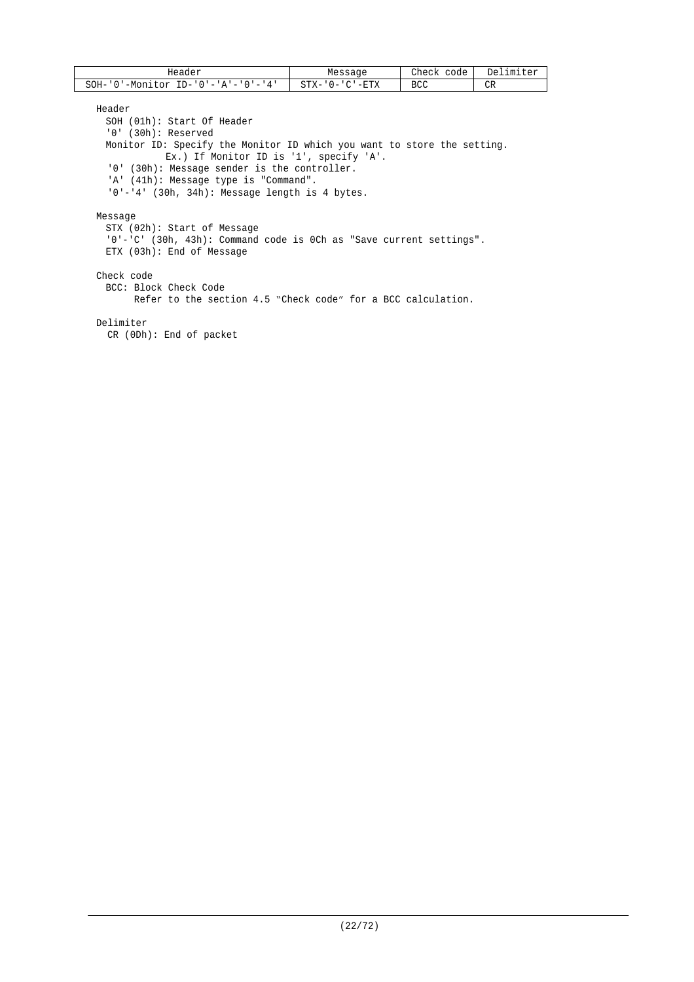| Header                                           | Messaqe                            | Check<br>code | Delimiter |
|--------------------------------------------------|------------------------------------|---------------|-----------|
| SOH-<br>$ID - '0' - 'A' - '0' - '4'$<br>-Monitor | '-ETX<br>$CTY -$<br>ั∩ – '<br>۵⊥ ت | BCC           | CR        |

Header

SOH (01h): Start Of Header '0' (30h): Reserved Monitor ID: Specify the Monitor ID which you want to store the setting. Ex.) If Monitor ID is '1', specify 'A'. '0' (30h): Message sender is the controller. 'A' (41h): Message type is "Command". '0'-'4' (30h, 34h): Message length is 4 bytes. Message STX (02h): Start of Message

'0'-'C' (30h, 43h): Command code is 0Ch as "Save current settings". ETX (03h): End of Message

#### Check code

BCC: Block Check Code Refer to the section 4.5 "Check code" for a BCC calculation.

Delimiter

CR (0Dh): End of packet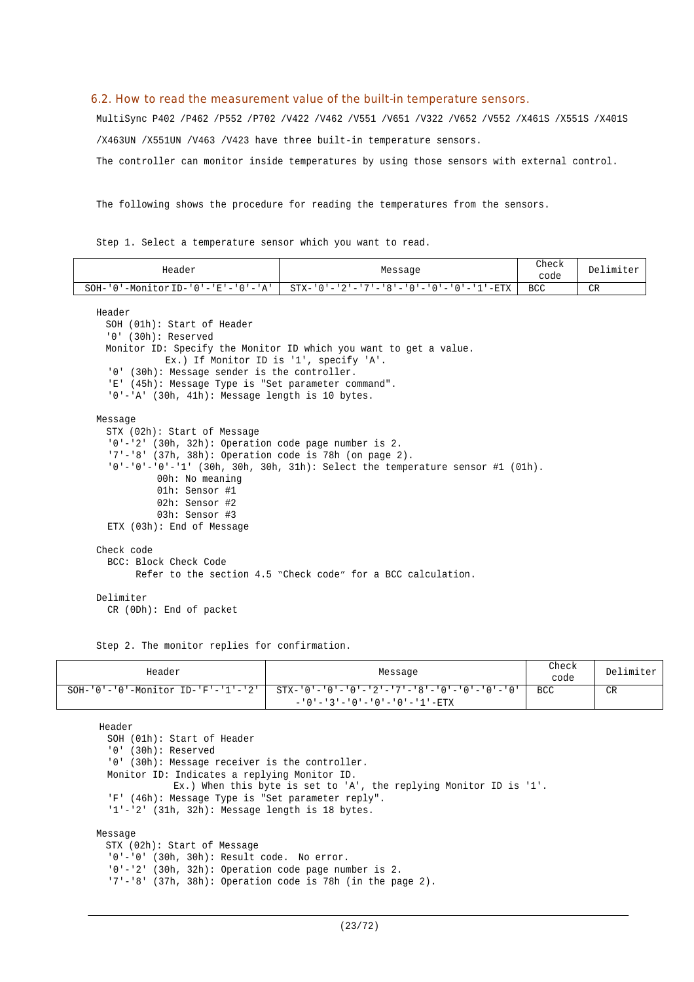#### 6.2. How to read the measurement value of the built-in temperature sensors.

MultiSync P402 /P462 /P552 /P702 /V422 /V462 /V551 /V651 /V322 /V652 /V552 /X461S /X551S /X401S /X463UN /X551UN /V463 /V423 have three built-in temperature sensors. The controller can monitor inside temperatures by using those sensors with external control.

The following shows the procedure for reading the temperatures from the sensors.

Step 1. Select a temperature sensor which you want to read.

| Header                                                    | Message                                                                          | Check<br>code | Delimiter |
|-----------------------------------------------------------|----------------------------------------------------------------------------------|---------------|-----------|
| $SOH - '0' - Monitor ID - '0' - 'E' - '0' - 'A'$          | $STX - 10! - 2! - 7! - 8! - 10! - 10! - 10! - 11! - RTX$                         | <b>BCC</b>    | CR        |
|                                                           |                                                                                  |               |           |
| Header                                                    |                                                                                  |               |           |
| SOH (01h): Start of Header                                |                                                                                  |               |           |
| '0' (30h): Reserved                                       |                                                                                  |               |           |
|                                                           | Monitor ID: Specify the Monitor ID which you want to get a value.                |               |           |
| Ex.) If Monitor ID is '1', specify 'A'.                   |                                                                                  |               |           |
| '0' (30h): Message sender is the controller.              |                                                                                  |               |           |
| 'E' (45h): Message Type is "Set parameter command".       |                                                                                  |               |           |
| $'0'$ -'A' (30h, 41h): Message length is 10 bytes.        |                                                                                  |               |           |
| Message                                                   |                                                                                  |               |           |
| STX (02h): Start of Message                               |                                                                                  |               |           |
| '0'-'2' (30h, 32h): Operation code page number is 2.      |                                                                                  |               |           |
| $'7'$ -'8' (37h, 38h): Operation code is 78h (on page 2). |                                                                                  |               |           |
|                                                           | $'0'$ -'0'-'0'-'1' (30h, 30h, 30h, 31h): Select the temperature sensor #1 (01h). |               |           |
| 00h: No meaning                                           |                                                                                  |               |           |
| 01h: Sensor #1                                            |                                                                                  |               |           |
| 02h: Sensor #2                                            |                                                                                  |               |           |
| 03h: Sensor #3                                            |                                                                                  |               |           |
| ETX (03h): End of Message                                 |                                                                                  |               |           |
|                                                           |                                                                                  |               |           |
| Check code                                                |                                                                                  |               |           |
| BCC: Block Check Code                                     |                                                                                  |               |           |
|                                                           | Refer to the section 4.5 "Check code" for a BCC calculation.                     |               |           |
| Delimiter                                                 |                                                                                  |               |           |
| CR (ODh): End of packet                                   |                                                                                  |               |           |

Step 2. The monitor replies for confirmation.

| Header | Message                                                                                                                                        | Check<br>code | Delimiter |
|--------|------------------------------------------------------------------------------------------------------------------------------------------------|---------------|-----------|
|        | $SOH - '0' - '0'$ -Monitor ID-'F'-'1'-'2'   STX-'0'-'0'-'0'-'2'-'7'-'8'-'0'-'0'-'0'-'0'-'0'<br>$-10! - 3! - 0! - 0! - 0! - 0! - 1! - 1! - ETX$ | BCC           | CR        |

Header SOH (01h): Start of Header '0' (30h): Reserved '0' (30h): Message receiver is the controller. Monitor ID: Indicates a replying Monitor ID. Ex.) When this byte is set to 'A', the replying Monitor ID is '1'. 'F' (46h): Message Type is "Set parameter reply". '1'-'2' (31h, 32h): Message length is 18 bytes.

#### Message

STX (02h): Start of Message '0'-'0' (30h, 30h): Result code. No error. '0'-'2' (30h, 32h): Operation code page number is 2. '7'-'8' (37h, 38h): Operation code is 78h (in the page 2).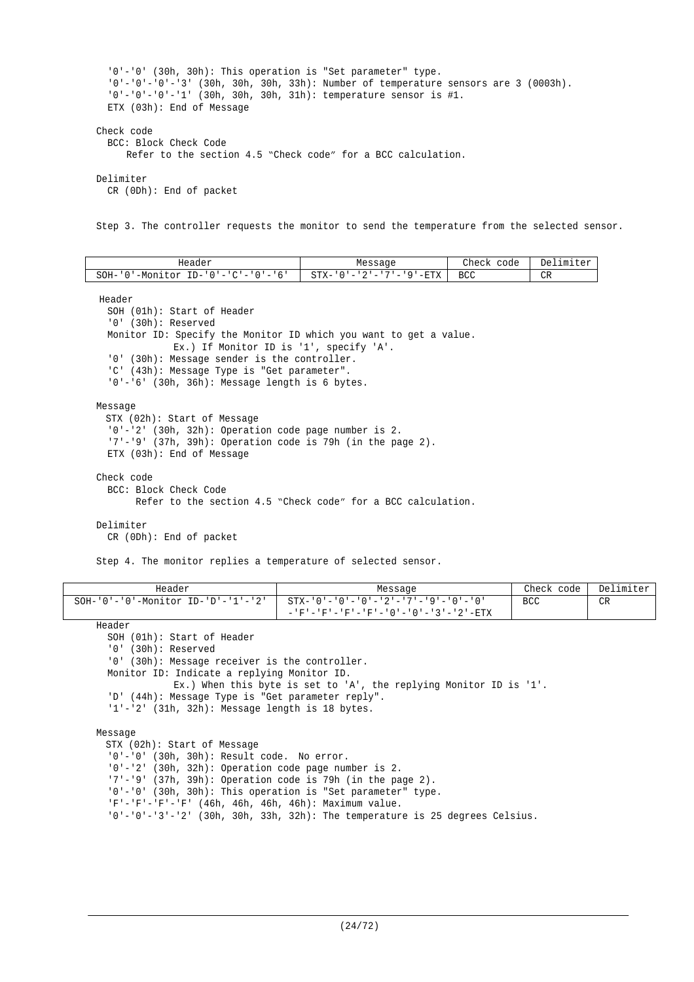```
'0'-'0' (30h, 30h): This operation is "Set parameter" type.
  '0'-'0'-'0'-'3' (30h, 30h, 30h, 33h): Number of temperature sensors are 3 (0003h).
  '0'-'0'-'0'-'1' (30h, 30h, 30h, 31h): temperature sensor is #1.
  ETX (03h): End of Message
Check code
  BCC: Block Check Code
      Refer to the section 4.5 "Check code" for a BCC calculation.
Delimiter
  CR (0Dh): End of packet
```
Step 3. The controller requests the monitor to send the temperature from the selected sensor.

| Header                                    | Message                 | Check<br>code | Delimiter |
|-------------------------------------------|-------------------------|---------------|-----------|
| '-Monitor ID-'0'-'C'-'0'-'6'<br>$SOH - '$ | STX-'0'-'2'-'7'-'9'-ETX | BCC           | CR        |

Header

SOH (01h): Start of Header '0' (30h): Reserved Monitor ID: Specify the Monitor ID which you want to get a value. Ex.) If Monitor ID is '1', specify 'A'. '0' (30h): Message sender is the controller. 'C' (43h): Message Type is "Get parameter". '0'-'6' (30h, 36h): Message length is 6 bytes.

Message

```
STX (02h): Start of Message
  '0'-'2' (30h, 32h): Operation code page number is 2.
  '7'-'9' (37h, 39h): Operation code is 79h (in the page 2).
  ETX (03h): End of Message
Check code
```
BCC: Block Check Code Refer to the section 4.5 "Check code" for a BCC calculation.

#### Delimiter

CR (0Dh): End of packet

Step 4. The monitor replies a temperature of selected sensor.

| Header                                           | Message                                                         | Check code | Delimiter |
|--------------------------------------------------|-----------------------------------------------------------------|------------|-----------|
| $SOH - '0' - '0' - Monttor ID - 'D' - '1' - '2'$ | - 10' – '0' – '0' – '0' – '2' – '7' – '9' – '0' – '0'           | <b>BCC</b> | CR        |
|                                                  | - - 'F' - 'F' - 'F' - 'F' - ' 0 ' - ' 0 ' - ' 3 ' - ' 2 ' - ETX |            |           |

Header

```
SOH (01h): Start of Header
```
'0' (30h): Reserved

'0' (30h): Message receiver is the controller.

Monitor ID: Indicate a replying Monitor ID.

Ex.) When this byte is set to 'A', the replying Monitor ID is '1'.

```
'D' (44h): Message Type is "Get parameter reply".
```
'1'-'2' (31h, 32h): Message length is 18 bytes.

Message

STX (02h): Start of Message '0'-'0' (30h, 30h): Result code. No error. '0'-'2' (30h, 32h): Operation code page number is 2. '7'-'9' (37h, 39h): Operation code is 79h (in the page 2). '0'-'0' (30h, 30h): This operation is "Set parameter" type. 'F'-'F'-'F'-'F' (46h, 46h, 46h, 46h): Maximum value. '0'-'0'-'3'-'2' (30h, 30h, 33h, 32h): The temperature is 25 degrees Celsius.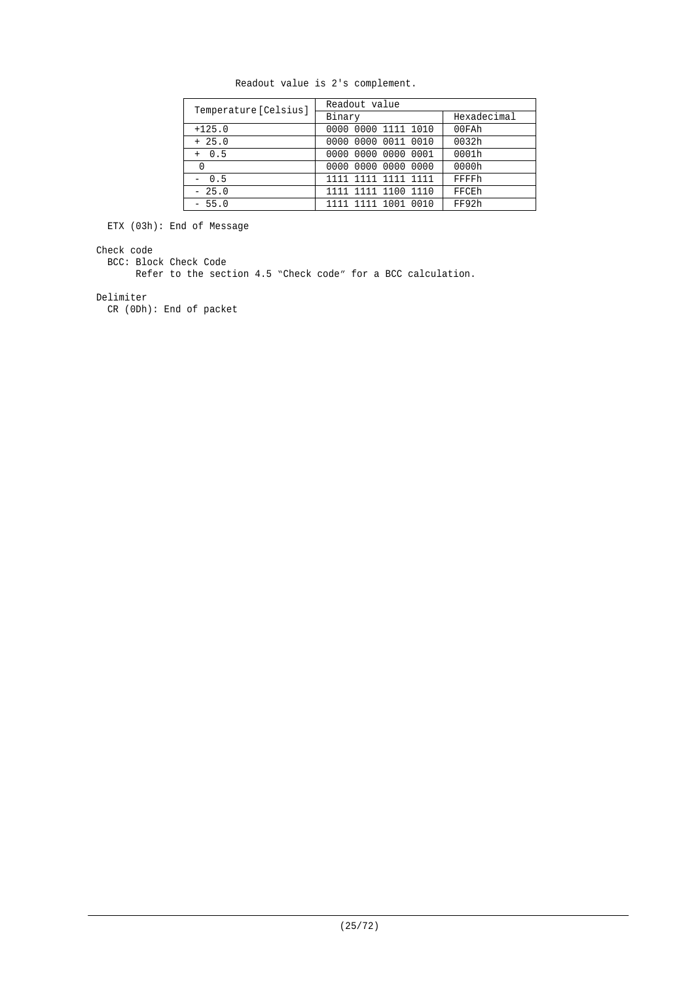| Temperature [Celsius] | Readout value       |             |  |  |  |
|-----------------------|---------------------|-------------|--|--|--|
|                       | Binary              | Hexadecimal |  |  |  |
| $+125.0$              | 0000 0000 1111 1010 | 00FAh       |  |  |  |
| $+25.0$               | 0000 0000 0011 0010 | 0032h       |  |  |  |
| $+ 0.5$               | 0000 0000 0000 0001 | 0001h       |  |  |  |
| 0                     | 0000 0000 0000 0000 | 0000h       |  |  |  |
| $-0.5$                | 1111 1111 1111 1111 | FFFFh       |  |  |  |
| $-25.0$               | 1111 1111 1100 1110 | FFCEh       |  |  |  |
| $-55.0$               | 1111 1111 1001 0010 | FF92h       |  |  |  |

Readout value is 2's complement.

ETX (03h): End of Message

#### Check code

BCC: Block Check Code

Refer to the section 4.5 "Check code" for a BCC calculation.

#### Delimiter

CR (0Dh): End of packet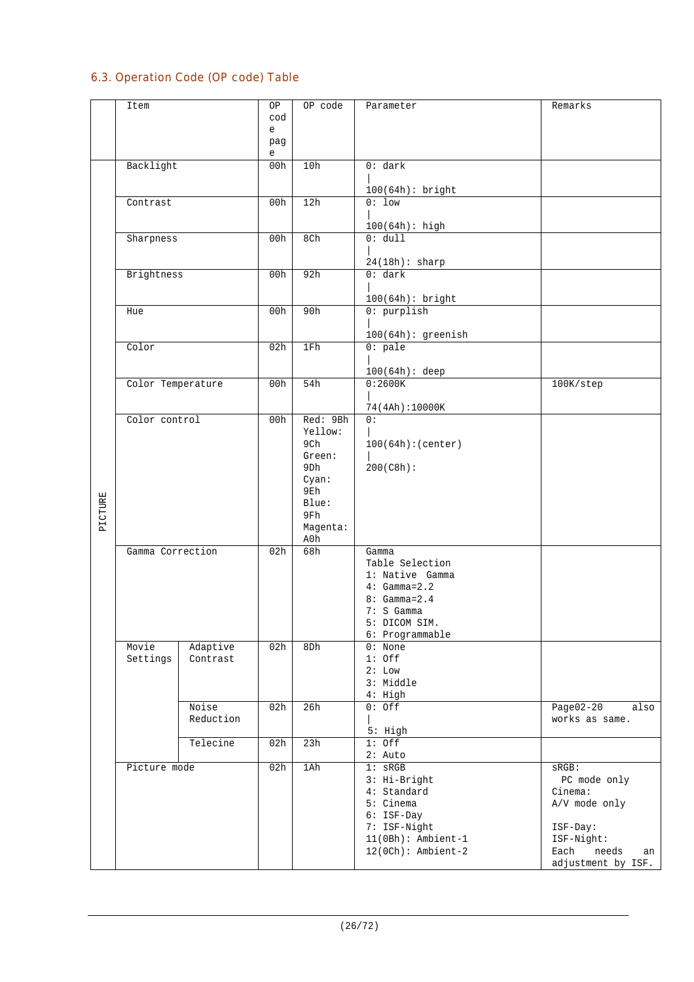## 6.3. Operation Code (OP code) Table

|         | Item              |           | ΟP       | OP code         | Parameter                    | Remarks             |
|---------|-------------------|-----------|----------|-----------------|------------------------------|---------------------|
|         |                   |           | cod      |                 |                              |                     |
|         |                   |           | e        |                 |                              |                     |
|         |                   |           |          |                 |                              |                     |
|         |                   |           | pag<br>e |                 |                              |                     |
|         | Backlight         |           | 00h      | 10h             | 0: dark                      |                     |
|         |                   |           |          |                 |                              |                     |
|         |                   |           |          |                 | 100(64h): bright             |                     |
|         | Contrast          |           | 00h      | 12h             | $0:1$ ow                     |                     |
|         |                   |           |          |                 |                              |                     |
|         |                   |           |          |                 | $100(64h):$ high             |                     |
|         | Sharpness         |           | 00h      | 8Ch             | 0: dull                      |                     |
|         |                   |           |          |                 |                              |                     |
|         |                   |           |          |                 | $24(18h):$ sharp             |                     |
|         | Brightness        |           | 00h      | 92h             | 0: dark                      |                     |
|         |                   |           |          |                 |                              |                     |
|         |                   |           |          |                 | 100(64h): bright             |                     |
|         | Hue               |           | 00h      | 90h             | $0:$ purplish                |                     |
|         |                   |           |          |                 |                              |                     |
|         |                   |           |          |                 | $100(64h):$ greenish         |                     |
|         | Color             |           | 02h      | 1Fh             | $0:$ pale                    |                     |
|         |                   |           |          |                 |                              |                     |
|         |                   |           |          |                 | $100(64h):$ deep             |                     |
|         | Color Temperature |           | 00h      | 54h             | 0:2600K                      | 100K/step           |
|         |                   |           |          |                 |                              |                     |
|         |                   |           |          |                 | 74(4Ah):10000K               |                     |
|         | Color control     |           | 00h      | Red: 9Bh        | 0:                           |                     |
|         |                   |           |          | Yellow:         |                              |                     |
|         |                   |           |          | 9Ch             | 100(64h):(center)            |                     |
|         |                   |           |          | Green:          |                              |                     |
|         |                   |           |          | 9 <sub>Dh</sub> | 200(C8h):                    |                     |
|         |                   |           |          | Cyan:           |                              |                     |
|         |                   |           |          | 9Eh             |                              |                     |
|         |                   |           |          | Blue:<br>9Fh    |                              |                     |
| PICTURE |                   |           |          | Magenta:        |                              |                     |
|         |                   |           |          | A0h             |                              |                     |
|         | Gamma Correction  |           | 02h      | 68h             | Gamma                        |                     |
|         |                   |           |          |                 | Table Selection              |                     |
|         |                   |           |          |                 | 1: Native Gamma              |                     |
|         |                   |           |          |                 | $4: Gamma=2.2$               |                     |
|         |                   |           |          |                 | $8: Gamma = 2.4$             |                     |
|         |                   |           |          |                 | 7: S Gamma                   |                     |
|         |                   |           |          |                 | 5: DICOM SIM.                |                     |
|         |                   |           |          |                 | 6: Programmable              |                     |
|         | Movie             | Adaptive  | 02h      | 8Dh             | $0:$ None                    |                     |
|         | Settings          | Contrast  |          |                 | $1:$ Off                     |                     |
|         |                   |           |          |                 | 2: Low                       |                     |
|         |                   |           |          |                 | 3: Middle                    |                     |
|         |                   |           |          |                 | $4:$ High                    |                     |
|         |                   | Noise     | 02h      | 26h             | $0:$ Off                     | $Page02-20$<br>also |
|         |                   | Reduction |          |                 |                              | works as same.      |
|         |                   |           |          |                 | 5: High                      |                     |
|         |                   | Telecine  | 02h      | 23h             | $1:$ Off                     |                     |
|         |                   |           |          |                 | $2:$ Auto                    |                     |
|         | Picture mode      |           | 02h      | 1Ah             | $1:$ sRGB                    | $SRGB$ :            |
|         |                   |           |          |                 | 3: Hi-Bright                 | PC mode only        |
|         |                   |           |          |                 | 4: Standard<br>5: Cinema     | Cinema:             |
|         |                   |           |          |                 |                              | A/V mode only       |
|         |                   |           |          |                 | $6:$ ISF-Day<br>7: ISF-Night | ISF-Day:            |
|         |                   |           |          |                 | $11(0Bh):$ Ambient-1         | ISF-Night:          |
|         |                   |           |          |                 | $12(0Ch):$ Ambient-2         | Each<br>needs<br>an |
|         |                   |           |          |                 |                              | adjustment by ISF.  |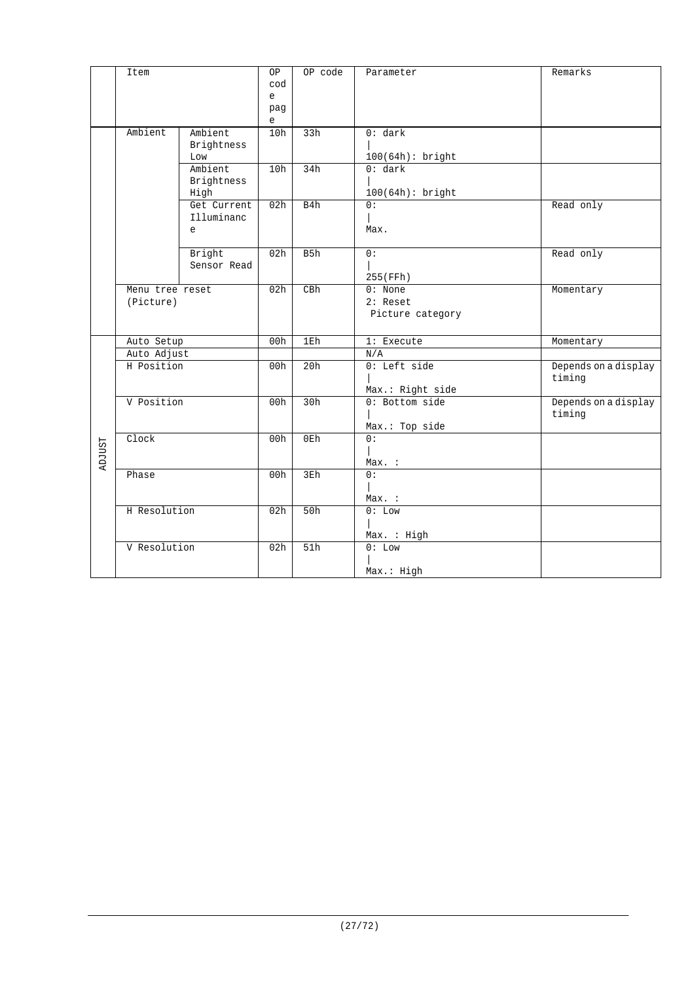|               | Item            |                | <b>OP</b>       | OP code | Parameter                   | Remarks                        |
|---------------|-----------------|----------------|-----------------|---------|-----------------------------|--------------------------------|
|               |                 |                | cod             |         |                             |                                |
|               |                 |                | e               |         |                             |                                |
|               |                 |                | pag             |         |                             |                                |
|               |                 |                | e               |         |                             |                                |
|               | Ambient         | Ambient        | 10h             | 33h     | 0: dark                     |                                |
|               |                 | Brightness     |                 |         |                             |                                |
|               |                 | Low<br>Ambient | 10h             | 34h     | 100(64h): bright<br>0: dark |                                |
|               |                 | Brightness     |                 |         |                             |                                |
|               |                 | High           |                 |         | 100(64h): bright            |                                |
|               |                 | Get Current    | 02h             | B4h     | 0:                          | Read only                      |
|               |                 | Illuminanc     |                 |         |                             |                                |
|               |                 | e              |                 |         | Max.                        |                                |
|               |                 |                |                 |         |                             |                                |
|               |                 | Bright         | 02h             | B5h     | 0:                          | Read only                      |
|               |                 | Sensor Read    |                 |         |                             |                                |
|               |                 |                |                 |         | 255(FFh)                    |                                |
|               | Menu tree reset |                | 02h             | CBh     | $0:$ None                   | Momentary                      |
|               | (Picture)       |                |                 |         | $2:$ Reset                  |                                |
|               |                 |                |                 |         | Picture category            |                                |
|               |                 |                |                 |         |                             |                                |
|               | Auto Setup      |                | 00h             | 1Eh     | 1: Execute                  | Momentary                      |
|               | Auto Adjust     |                |                 | 20h     | N/A<br>$0:$ Left side       |                                |
|               | H Position      |                | 00h             |         |                             | Depends on a display<br>timing |
|               |                 |                |                 |         | Max.: Right side            |                                |
|               | V Position      |                | 00h             | 30h     | 0: Bottom side              | Depends on a display           |
|               |                 |                |                 |         |                             | timing                         |
|               |                 |                |                 |         | Max.: Top side              |                                |
|               | Clock           |                | 00h             | 0Eh     | 0:                          |                                |
|               |                 |                |                 |         |                             |                                |
| <b>ADJUST</b> |                 |                |                 |         | Max. :                      |                                |
|               | Phase           |                | 00h             | 3Eh     | 0:                          |                                |
|               |                 |                |                 |         |                             |                                |
|               |                 |                |                 |         | Max. :                      |                                |
|               | H Resolution    |                | 02h             | 50h     | 0: Low                      |                                |
|               |                 |                |                 |         |                             |                                |
|               |                 |                |                 |         | Max. : High                 |                                |
|               | V Resolution    |                | 02 <sub>h</sub> | 51h     | 0: Low                      |                                |
|               |                 |                |                 |         |                             |                                |
|               |                 |                |                 |         | Max.: High                  |                                |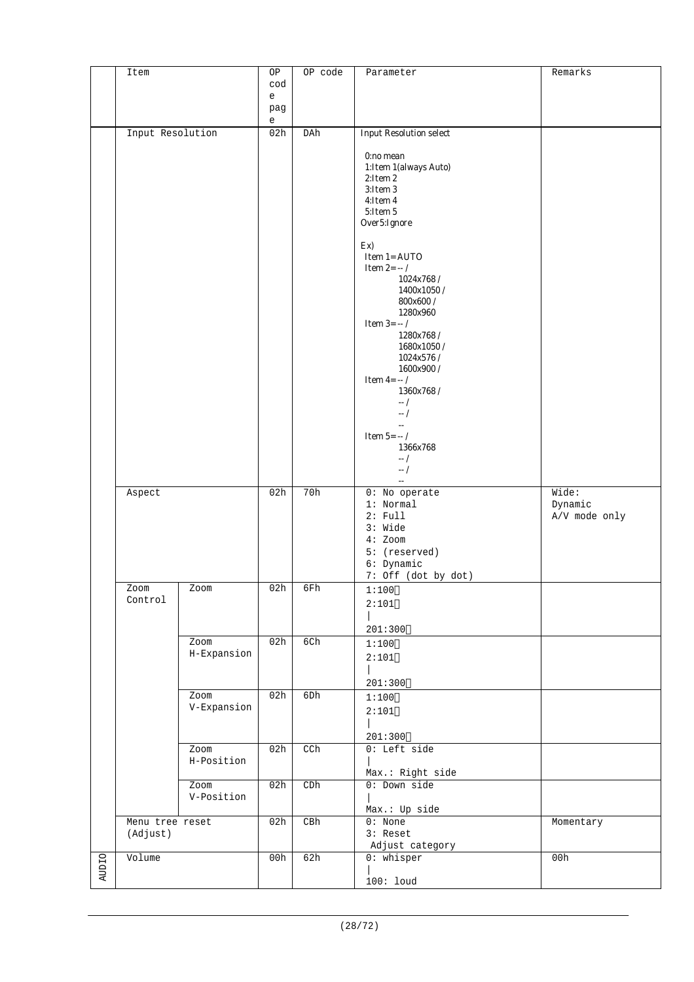|              | Item             |                    | ΟP                                           | OP code | Parameter                         | Remarks       |
|--------------|------------------|--------------------|----------------------------------------------|---------|-----------------------------------|---------------|
|              |                  |                    | cod                                          |         |                                   |               |
|              |                  |                    | e                                            |         |                                   |               |
|              |                  |                    | pag                                          |         |                                   |               |
|              | Input Resolution |                    | $\mathsf{e}% _{t}\left( t_{0}\right)$<br>02h | DAh     | <b>Input Resolution select</b>    |               |
|              |                  |                    |                                              |         |                                   |               |
|              |                  |                    |                                              |         | 0:no mean                         |               |
|              |                  |                    |                                              |         | 1: Item 1 (always Auto)           |               |
|              |                  |                    |                                              |         | 2:Item 2                          |               |
|              |                  |                    |                                              |         | 3:Item 3<br>4:Item 4              |               |
|              |                  |                    |                                              |         | 5:Item 5                          |               |
|              |                  |                    |                                              |         | Over5:Ignore                      |               |
|              |                  |                    |                                              |         |                                   |               |
|              |                  |                    |                                              |         | Ex)                               |               |
|              |                  |                    |                                              |         | Item 1= AUTO<br>Item $2 = -1$     |               |
|              |                  |                    |                                              |         | 1024x768/                         |               |
|              |                  |                    |                                              |         | 1400x1050/                        |               |
|              |                  |                    |                                              |         | $800x600$ /                       |               |
|              |                  |                    |                                              |         | 1280x960                          |               |
|              |                  |                    |                                              |         | <b>Item 3=</b> $-/-/$             |               |
|              |                  |                    |                                              |         | 1280x768/<br>1680x1050/           |               |
|              |                  |                    |                                              |         | 1024x576/                         |               |
|              |                  |                    |                                              |         | 1600x900 /                        |               |
|              |                  |                    |                                              |         | Item $4 = -/$                     |               |
|              |                  |                    |                                              |         | 1360x768/                         |               |
|              |                  |                    |                                              |         | $-1$<br>$-$ /                     |               |
|              |                  |                    |                                              |         | $\mathbf{L}$                      |               |
|              |                  |                    |                                              |         | Item 5= $\cdots$ /                |               |
|              |                  |                    |                                              |         | 1366x768                          |               |
|              |                  |                    |                                              |         | $-1$                              |               |
|              |                  |                    |                                              |         | $-$ /<br>$\omega_{\rm m}$         |               |
|              | Aspect           |                    | 02h                                          | 70h     | 0: No operate                     | Wide:         |
|              |                  |                    |                                              |         | 1: Normal                         | Dynamic       |
|              |                  |                    |                                              |         | 2: Full                           | A/V mode only |
|              |                  |                    |                                              |         | 3: Wide                           |               |
|              |                  |                    |                                              |         | $4:$ Zoom                         |               |
|              |                  |                    |                                              |         | 5: (reserved)                     |               |
|              |                  |                    |                                              |         | 6: Dynamic<br>7: Off (dot by dot) |               |
|              | Zoom             | Zoom               | 02h                                          | 6Fh     | 1:100                             |               |
|              | Control          |                    |                                              |         | 2:101                             |               |
|              |                  |                    |                                              |         |                                   |               |
|              |                  |                    |                                              |         | 201:300                           |               |
|              |                  | Zoom               | 02h                                          | 6Ch     | 1:100                             |               |
|              |                  | H-Expansion        |                                              |         | 2:101                             |               |
|              |                  |                    |                                              |         |                                   |               |
|              |                  |                    |                                              |         | 201:300                           |               |
|              |                  | Zoom               | 02h                                          | 6Dh     | 1:100                             |               |
|              |                  | V-Expansion        |                                              |         | 2:101                             |               |
|              |                  |                    |                                              |         |                                   |               |
|              |                  |                    |                                              |         | 201:300                           |               |
|              |                  | Zoom               | 02h                                          | CCh     | $0:$ Left side                    |               |
|              |                  | H-Position         |                                              |         |                                   |               |
|              |                  |                    |                                              |         | Max.: Right side                  |               |
|              |                  | Zoom<br>V-Position | 02h                                          | C Dh    | 0: Down side                      |               |
|              |                  |                    |                                              |         | Max.: Up side                     |               |
|              | Menu tree reset  |                    | 02h                                          | CBh     | $0:$ None                         | Momentary     |
|              | (Adjust)         |                    |                                              |         | 3: Reset                          |               |
|              |                  |                    |                                              |         | Adjust category                   |               |
| <b>AUDIO</b> | Volume           |                    | 00h                                          | 62h     | $0:$ whisper                      | 00h           |
|              |                  |                    |                                              |         |                                   |               |
|              |                  |                    |                                              |         | $100:$ loud                       |               |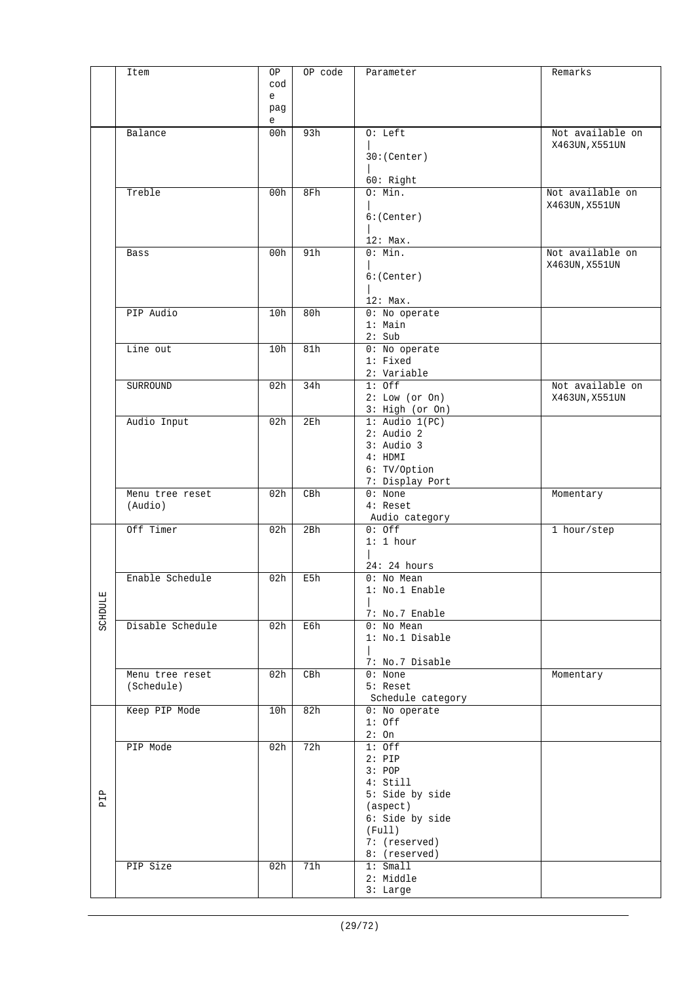|                | Item             | ΟP       | OP code         | Parameter                          | Remarks          |
|----------------|------------------|----------|-----------------|------------------------------------|------------------|
|                |                  | cod      |                 |                                    |                  |
|                |                  | e        |                 |                                    |                  |
|                |                  | pag<br>e |                 |                                    |                  |
|                | Balance          | 00h      | 93h             | $0: \text{Left}$                   | Not available on |
|                |                  |          |                 |                                    | X463UN, X551UN   |
|                |                  |          |                 | 30:(Center)                        |                  |
|                |                  |          |                 | 60: Right                          |                  |
|                | Treble           | 00h      | 8Fh             | 0: Min.                            | Not available on |
|                |                  |          |                 |                                    | X463UN, X551UN   |
|                |                  |          |                 | 6:(Center)                         |                  |
|                |                  |          |                 |                                    |                  |
|                | Bass             | 00h      | 91h             | 12: Max.<br>0: Min.                | Not available on |
|                |                  |          |                 |                                    | X463UN, X551UN   |
|                |                  |          |                 | 6:(Center)                         |                  |
|                |                  |          |                 |                                    |                  |
|                |                  |          |                 | 12: Max.                           |                  |
|                | PIP Audio        | 10h      | 80h             | 0: No operate<br>$1:$ Main         |                  |
|                |                  |          |                 | 2: Sub                             |                  |
|                | Line out         | 10h      | 81h             | 0: No operate                      |                  |
|                |                  |          |                 | $1:$ Fixed                         |                  |
|                |                  |          |                 | 2: Variable                        |                  |
|                | SURROUND         | 02h      | 34h             | $1:$ Off                           | Not available on |
|                |                  |          |                 | 2: Low (or On)<br>3: High (or On)  | X463UN, X551UN   |
|                | Audio Input      | 02h      | 2E <sub>h</sub> | $1:$ Audio $1(PC)$                 |                  |
|                |                  |          |                 | $2:$ Audio $2$                     |                  |
|                |                  |          |                 | $3:$ Audio $3$                     |                  |
|                |                  |          |                 | 4: HDMI                            |                  |
|                |                  |          |                 | 6: TV/Option<br>7: Display Port    |                  |
|                | Menu tree reset  | 02h      | CBh             | $0:$ None                          | Momentary        |
|                | (Audio)          |          |                 | 4: Reset                           |                  |
|                |                  |          |                 | Audio category                     |                  |
|                | Off Timer        | 02h      | 2Bh             | $0:$ Off                           | 1 hour/step      |
|                |                  |          |                 | 1:1 hour                           |                  |
|                |                  |          |                 | 24:24 hours                        |                  |
|                | Enable Schedule  | 02h      | E5h             | 0: No Mean                         |                  |
|                |                  |          |                 | l: No.1 Enable                     |                  |
|                |                  |          |                 |                                    |                  |
| <b>SCHDULE</b> |                  |          |                 | 7: No.7 Enable                     |                  |
|                | Disable Schedule | 02h      | E6h             | 0: No Mean<br>1: No.1 Disable      |                  |
|                |                  |          |                 |                                    |                  |
|                |                  |          |                 | 7: No.7 Disable                    |                  |
|                | Menu tree reset  | 02h      | CBh             | $0:$ None                          | Momentary        |
|                | (Schedule)       |          |                 | $5:$ Reset                         |                  |
|                | Keep PIP Mode    | 10h      | 82h             | Schedule category<br>0: No operate |                  |
|                |                  |          |                 | $1:$ Off                           |                  |
|                |                  |          |                 | $2:$ On                            |                  |
|                | PIP Mode         | 02h      | 72h             | $1:$ Off                           |                  |
|                |                  |          |                 | $2:$ PIP                           |                  |
|                |                  |          |                 | 3: POP                             |                  |
|                |                  |          |                 | 4: Still<br>5: Side by side        |                  |
| PIP            |                  |          |                 | (aspect)                           |                  |
|                |                  |          |                 | 6: Side by side                    |                  |
|                |                  |          |                 | (Full)                             |                  |
|                |                  |          |                 | 7: (reserved)                      |                  |
|                | PIP Size         | 02h      | 71h             | 8: (reserved)<br>1: Small          |                  |
|                |                  |          |                 | 2: Middle                          |                  |
|                |                  |          |                 | $3:$ Large                         |                  |
|                |                  |          |                 |                                    |                  |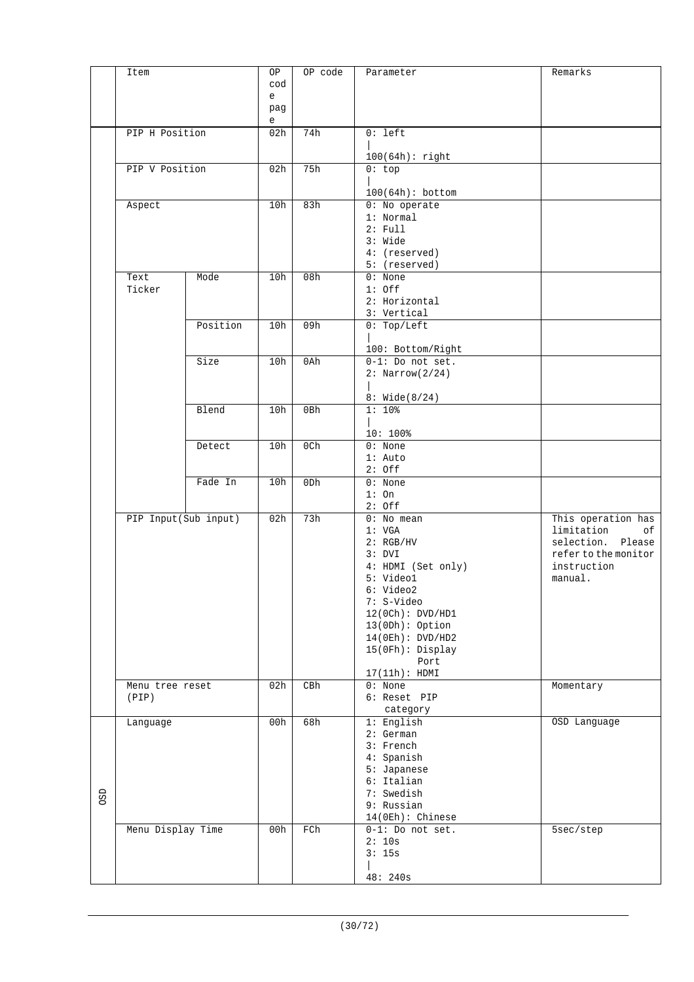|     | Item              |                      | ΟP       | OP code | Parameter                           | Remarks                                |
|-----|-------------------|----------------------|----------|---------|-------------------------------------|----------------------------------------|
|     |                   |                      | cod      |         |                                     |                                        |
|     |                   |                      | e<br>pag |         |                                     |                                        |
|     |                   |                      | e        |         |                                     |                                        |
|     | PIP H Position    |                      | 02h      | 74h     | $0:$ left                           |                                        |
|     |                   |                      |          |         | $100(64h):$ right                   |                                        |
|     | PIP V Position    |                      | 02h      | 75h     | 0:top                               |                                        |
|     |                   |                      |          |         | $100(64h):$ bottom                  |                                        |
|     | Aspect            |                      | 10h      | 83h     | 0: No operate                       |                                        |
|     |                   |                      |          |         | 1: Normal                           |                                        |
|     |                   |                      |          |         | 2: Full<br>3: Wide                  |                                        |
|     |                   |                      |          |         | 4: (reserved)                       |                                        |
|     |                   |                      |          |         | 5: (reserved)                       |                                        |
|     | Text<br>Ticker    | Mode                 | 10h      | 08h     | $0:$ None<br>$1:$ Off               |                                        |
|     |                   |                      |          |         | 2: Horizontal                       |                                        |
|     |                   |                      |          |         | 3: Vertical                         |                                        |
|     |                   | Position             | 10h      | 09h     | 0: Top/Left                         |                                        |
|     |                   |                      |          |         | 100: Bottom/Right                   |                                        |
|     |                   | Size                 | 10h      | 0Ah     | $0-1$ : Do not set.                 |                                        |
|     |                   |                      |          |         | $2: \text{Narrow}(2/24)$            |                                        |
|     |                   |                      |          |         | 8: Wide(8/24)                       |                                        |
|     |                   | Blend                | 10h      | 0Bh     | $1:10$ %                            |                                        |
|     |                   |                      |          |         | $10:100$ %                          |                                        |
|     |                   | Detect               | 10h      | 0Ch     | $0:$ None                           |                                        |
|     |                   |                      |          |         | $1:$ Auto                           |                                        |
|     |                   | Fade In              | 10h      | 0Dh     | $2:$ Off<br>$0:$ None               |                                        |
|     |                   |                      |          |         | 1:On                                |                                        |
|     |                   |                      |          |         | $2:$ Off                            |                                        |
|     |                   | PIP Input(Sub input) | 02h      | 73h     | $0:$ No mean<br>1: VGA              | This operation has<br>limitation<br>οf |
|     |                   |                      |          |         | 2: RGB/HV                           | selection.<br>Please                   |
|     |                   |                      |          |         | 3: DVI                              | refer to the monitor                   |
|     |                   |                      |          |         | 4: HDMI (Set only)<br>5: Video1     | instruction<br>manual.                 |
|     |                   |                      |          |         | 6: Video2                           |                                        |
|     |                   |                      |          |         | 7: S-Video                          |                                        |
|     |                   |                      |          |         | 12(0Ch): DVD/HDI<br>13(0Dh): Option |                                        |
|     |                   |                      |          |         | 14(0Eh): DVD/HD2                    |                                        |
|     |                   |                      |          |         | $15(0Fh):$ Display                  |                                        |
|     |                   |                      |          |         | Port<br>17(11h): HDMI               |                                        |
|     | Menu tree reset   |                      | 02h      | CBh     | $0:$ None                           | Momentary                              |
|     | (PIP)             |                      |          |         | 6: Reset PIP                        |                                        |
|     | Language          |                      | 00h      | 68h     | category<br>1: English              | OSD Language                           |
|     |                   |                      |          |         | $2:$ German                         |                                        |
|     |                   |                      |          |         | 3: French                           |                                        |
|     |                   |                      |          |         | 4: Spanish<br>5: Japanese           |                                        |
|     |                   |                      |          |         | 6: Italian                          |                                        |
| OSD |                   |                      |          |         | 7: Swedish                          |                                        |
|     |                   |                      |          |         | 9: Russian<br>14(0Eh): Chinese      |                                        |
|     | Menu Display Time |                      | 00h      | FCh     | $0-1$ : Do not set.                 | 5sec/step                              |
|     |                   |                      |          |         | 2:10s                               |                                        |
|     |                   |                      |          |         | 3:15s                               |                                        |
|     |                   |                      |          |         | 48: 240s                            |                                        |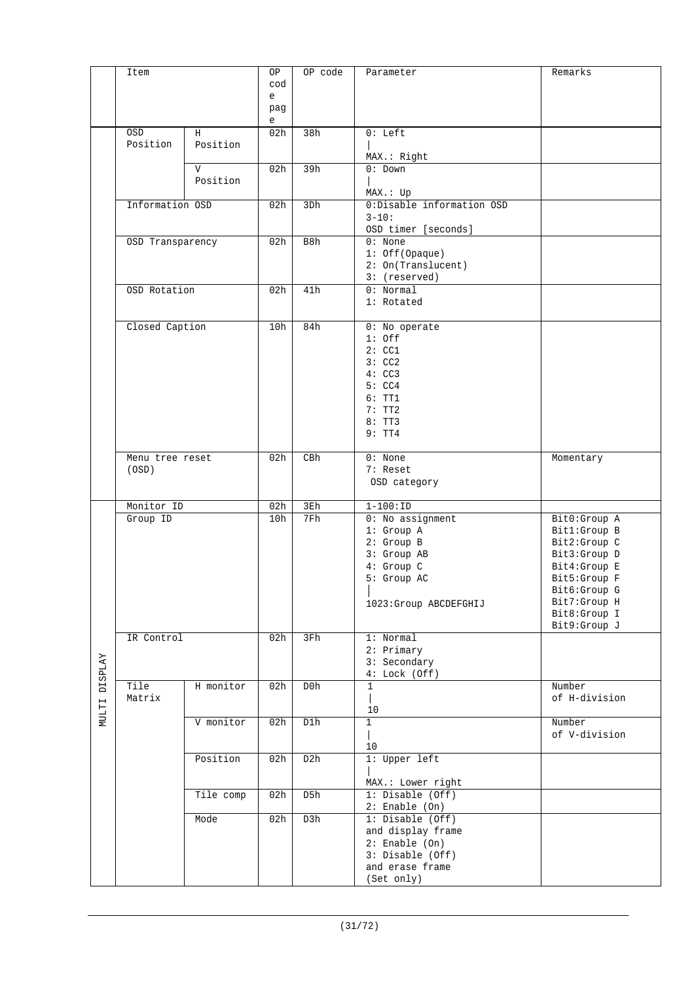|                | Item             |           | ΟP       | OP code | Parameter                              | Remarks                      |
|----------------|------------------|-----------|----------|---------|----------------------------------------|------------------------------|
|                |                  |           | cod      |         |                                        |                              |
|                |                  |           | e<br>pag |         |                                        |                              |
|                |                  |           | e        |         |                                        |                              |
|                | OSD              | H         | 02h      | 38h     | $0: \text{Left}$                       |                              |
|                | Position         | Position  |          |         | MAX.: Right                            |                              |
|                |                  | V         | 02h      | 39h     | $0:$ Down                              |                              |
|                |                  | Position  |          |         |                                        |                              |
|                |                  |           |          |         | MAX.: Up                               |                              |
|                | Information OSD  |           | 02h      | 3Dh     | 0:Disable information OSD<br>$3 - 10:$ |                              |
|                |                  |           |          |         | OSD timer [seconds]                    |                              |
|                | OSD Transparency |           | 02h      | B8h     | $0:$ None                              |                              |
|                |                  |           |          |         | $1:$ Off(Opaque)                       |                              |
|                |                  |           |          |         | 2: On(Translucent)<br>3: (reserved)    |                              |
|                | OSD Rotation     |           | 02h      | 41h     | 0: Normal                              |                              |
|                |                  |           |          |         | 1: Rotated                             |                              |
|                | Closed Caption   |           | 10h      | 84h     | 0: No operate                          |                              |
|                |                  |           |          |         | $1:$ Off                               |                              |
|                |                  |           |          |         | 2:CC1                                  |                              |
|                |                  |           |          |         | 3:CC2                                  |                              |
|                |                  |           |          |         | 4:CC3<br>5:CC4                         |                              |
|                |                  |           |          |         | 6:TT1                                  |                              |
|                |                  |           |          |         | 7:TT2                                  |                              |
|                |                  |           |          |         | 8:TT3                                  |                              |
|                |                  |           |          |         | 9:TT4                                  |                              |
|                | Menu tree reset  |           | 02h      | CBh     | $0:$ None                              | Momentary                    |
|                | (OSD)            |           |          |         | 7: Reset                               |                              |
|                |                  |           |          |         | OSD category                           |                              |
|                | Monitor ID       |           | 02h      | 3Eh     | $1 - 100 : ID$                         |                              |
|                | Group ID         |           | 10h      | 7Fh     | 0: No assignment                       | Bit0:Group A                 |
|                |                  |           |          |         | 1: Group A                             | Bit1:Group B                 |
|                |                  |           |          |         | 2: Group B<br>3: Group AB              | Bit2:Group C<br>Bit3:Group D |
|                |                  |           |          |         | 4: Group C                             | Bit4:Group E                 |
|                |                  |           |          |         | 5: Group AC                            | Bit5:Group F                 |
|                |                  |           |          |         |                                        | Bit6:Group G<br>Bit7:Group H |
|                |                  |           |          |         | 1023:Group ABCDEFGHIJ                  | Bit8:Group I                 |
|                |                  |           |          |         |                                        | Bit9:Group J                 |
|                | IR Control       |           | 02h      | 3Fh     | 1: Normal                              |                              |
|                |                  |           |          |         | 2: Primary<br>3: Secondary             |                              |
|                |                  |           |          |         | 4: Lock(Off)                           |                              |
| <b>DISPLAY</b> | Tile             | H monitor | 02h      | D0h     | $\mathbf{1}$                           | Number                       |
|                | Matrix           |           |          |         | 10                                     | of H-division                |
| NULTI          |                  | V monitor | 02h      | D1h     | $\mathbf{1}$                           | Number                       |
|                |                  |           |          |         |                                        | of V-division                |
|                |                  |           |          |         | 10                                     |                              |
|                |                  | Position  | 02h      | D2h     | 1: Upper left                          |                              |
|                |                  |           |          |         | MAX.: Lower right                      |                              |
|                |                  | Tile comp | 02h      | D5h     | 1: Disable (Off)                       |                              |
|                |                  | Mode      | 02h      | D3h     | $2:$ Enable (On)<br>1: Disable (Off)   |                              |
|                |                  |           |          |         | and display frame                      |                              |
|                |                  |           |          |         | $2:$ Enable (On)                       |                              |
|                |                  |           |          |         | 3: Disable (Off)                       |                              |
|                |                  |           |          |         | and erase frame<br>(Set only)          |                              |
|                |                  |           |          |         |                                        |                              |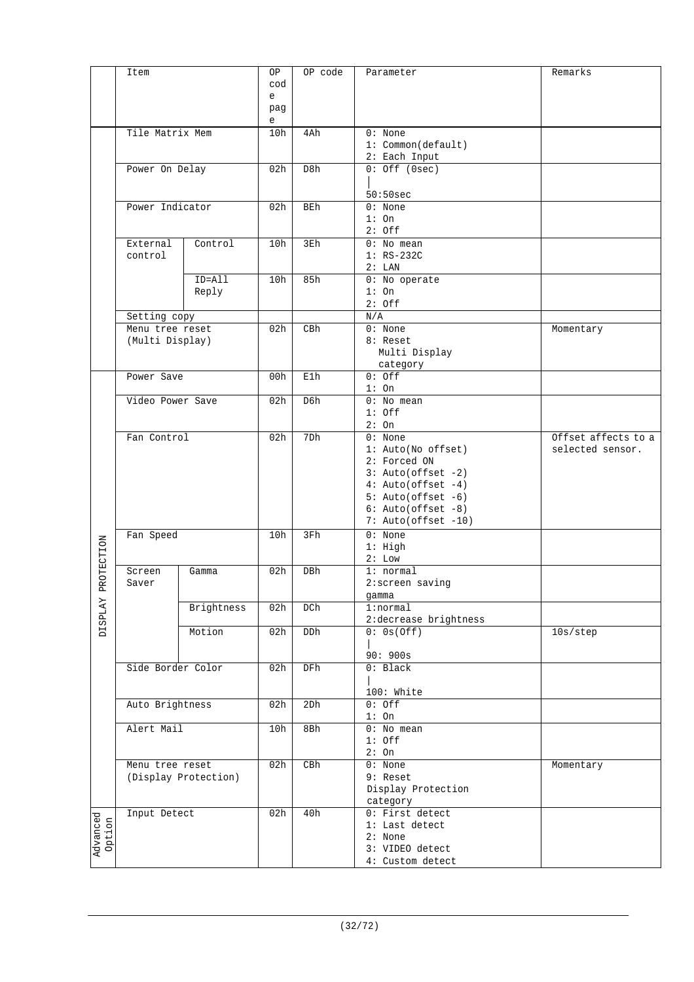|                    | Item                |                      | ΟP              | OP code    | Parameter                                        | Remarks                                 |
|--------------------|---------------------|----------------------|-----------------|------------|--------------------------------------------------|-----------------------------------------|
|                    |                     |                      | cod<br>e        |            |                                                  |                                         |
|                    |                     |                      | pag<br>e        |            |                                                  |                                         |
|                    | Tile Matrix Mem     |                      | 10h             | 4Ah        | $0:$ None<br>1: Common(default)<br>2: Each Input |                                         |
|                    | Power On Delay      |                      | 02h             | D8h        | $0:$ Off (Osec)                                  |                                         |
|                    |                     |                      |                 |            | 50:50sec                                         |                                         |
|                    | Power Indicator     |                      | 02h             | <b>BEh</b> | 0: None                                          |                                         |
|                    |                     |                      |                 |            | 1:On<br>$2:$ Off                                 |                                         |
|                    | External            | Control              | 10h             | 3Eh        | $0:$ No mean                                     |                                         |
|                    | control             |                      |                 |            | $1:RS-232C$<br>2: LAN                            |                                         |
|                    |                     | ID=All               | 10h             | 85h        | 0: No operate                                    |                                         |
|                    |                     | Reply                |                 |            | $1:$ On                                          |                                         |
|                    | Setting copy        |                      |                 |            | $2:$ Off<br>N/A                                  |                                         |
|                    | Menu tree reset     |                      | 02h             | CBh        | $0:$ None                                        | Momentary                               |
|                    | (Multi Display)     |                      |                 |            | 8: Reset                                         |                                         |
|                    |                     |                      |                 |            | Multi Display<br>category                        |                                         |
|                    | Power Save          |                      | 00h             | E1h        | $0:$ Off                                         |                                         |
|                    | Video Power Save    |                      | 02 <sub>h</sub> | D6h        | $1:$ On<br>$0:$ No mean                          |                                         |
|                    |                     |                      |                 |            | $1:$ Off                                         |                                         |
|                    |                     |                      |                 |            | 2:On                                             |                                         |
|                    | Fan Control         |                      | 02h             | 7Dh        | $0:$ None<br>1: Auto(No offset)                  | Offset affects to a<br>selected sensor. |
|                    |                     |                      |                 |            | 2: Forced ON                                     |                                         |
|                    |                     |                      |                 |            | $3: Auto(offset -2)$<br>$4: Auto(offset -4)$     |                                         |
|                    |                     |                      |                 |            | $5: Auto(offset -6)$                             |                                         |
|                    |                     |                      |                 |            | $6: Auto(offset -8)$                             |                                         |
|                    | Fan Speed<br>Screen |                      | 10h             | 3Fh        | 7: Auto(offset -10)<br>$0:$ None                 |                                         |
|                    |                     |                      |                 |            | $1:$ High                                        |                                         |
| ROTECTION          |                     |                      | 02 <sub>h</sub> | <b>DBh</b> | 2: Low<br>1: normal                              |                                         |
|                    | Saver               | Gamma                |                 |            | 2:screen saving                                  |                                         |
| щ                  |                     |                      |                 |            | gamma                                            |                                         |
| <b>DISPLAY</b>     |                     | Brightness           | 02h             | DCh        | 1:normal<br>2:decrease brightness                |                                         |
|                    |                     | Motion               | 02h             | DDh        | 0: 0s(Off)                                       | 10s/step                                |
|                    |                     |                      |                 |            | 90:900s                                          |                                         |
|                    | Side Border Color   |                      | 02h             | DFh        | 0: Black                                         |                                         |
|                    |                     |                      |                 |            |                                                  |                                         |
|                    | Auto Brightness     |                      | 02h             | 2Dh        | 100: White<br>$0:$ Off                           |                                         |
|                    |                     |                      |                 |            | $1:$ On                                          |                                         |
|                    | Alert Mail          |                      | 10h             | 8Bh        | $0:$ No mean<br>$1:$ Off                         |                                         |
|                    |                     |                      |                 |            | 2:On                                             |                                         |
|                    | Menu tree reset     |                      | 02h             | CBh        | $0:$ None                                        | Momentary                               |
|                    |                     | (Display Protection) |                 |            | 9: Reset<br>Display Protection                   |                                         |
|                    |                     |                      |                 |            | category                                         |                                         |
|                    | Input Detect        |                      | 02h             | 40h        | 0: First detect<br>1: Last detect                |                                         |
| Advanced<br>Option |                     |                      |                 |            | 2: None                                          |                                         |
|                    |                     |                      |                 |            | 3: VIDEO detect                                  |                                         |
|                    |                     |                      |                 |            | 4: Custom detect                                 |                                         |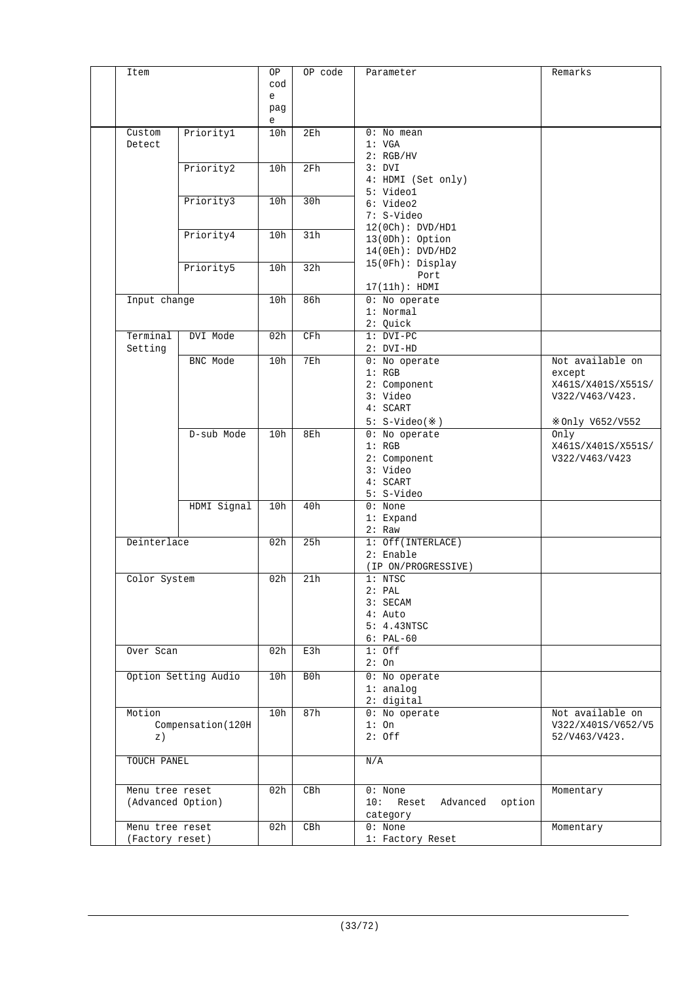| Item                |                      | ΟP       | OP code         | Parameter                       | Remarks            |
|---------------------|----------------------|----------|-----------------|---------------------------------|--------------------|
|                     |                      | cod<br>e |                 |                                 |                    |
|                     |                      | pag<br>e |                 |                                 |                    |
| Custom<br>Detect    | Priorityl            | 10h      | 2E <sub>h</sub> | $0:$ No mean<br>1: VGA          |                    |
|                     |                      |          |                 | 2: RGB/HV                       |                    |
|                     | Priority2            | 10h      | 2Fh             | 3: DVI<br>4: HDMI (Set only)    |                    |
|                     |                      |          |                 | 5: Video1                       |                    |
|                     | Priority3            | 10h      | 30h             | 6: Video2                       |                    |
|                     |                      |          |                 | 7: S-Video<br>12(0Ch): DVD/HDI  |                    |
|                     | Priority4            | 10h      | 31h             | 13(ODh): Option                 |                    |
|                     |                      |          |                 | 14(0Eh): DVD/HD2                |                    |
|                     | Priority5            | 10h      | 32h             | 15(0Fh): Display                |                    |
|                     |                      |          |                 | Port<br>17(11h): HDMI           |                    |
| Input change        |                      | 10h      | 86h             | 0: No operator                  |                    |
|                     |                      |          |                 | 1: Normal                       |                    |
|                     |                      |          |                 | 2: Quick                        |                    |
| Terminal<br>Setting | DVI Mode             | 02h      | CFh             | $1: DVI-PC$<br>$2: DVI-HD$      |                    |
|                     | BNC Mode             | 10h      | 7Eh             | 0: No operate                   | Not available on   |
|                     |                      |          |                 | 1: RGB                          | except             |
|                     |                      |          |                 | 2: Component                    | X461S/X401S/X551S/ |
|                     |                      |          |                 | 3: Video<br>4: SCART            | V322/V463/V423.    |
|                     |                      |          |                 | $5: S-Video( )$                 | Only V652/V552     |
|                     | D-sub Mode           | 10h      | 8Eh             | 0: No operate                   | Only               |
|                     |                      |          |                 | 1: RGB                          | X461S/X401S/X551S/ |
|                     |                      |          |                 | 2: Component<br>3: Video        | V322/V463/V423     |
|                     |                      |          |                 | 4: SCART                        |                    |
|                     |                      |          |                 | 5: S-Video                      |                    |
|                     | HDMI Signal          | 10h      | 40h             | $0:$ None                       |                    |
|                     |                      |          |                 | 1: Expand<br>2: Raw             |                    |
| Deinterlace         |                      | 02h      | 25h             | 1: Off(INTERLACE)               |                    |
|                     |                      |          |                 | $2:$ Enable                     |                    |
|                     |                      |          |                 | (IP ON/PROGRESSIVE)             |                    |
| Color System        |                      | 02h      | 21h             | 1:NTSC<br>2: PAL                |                    |
|                     |                      |          |                 | 3: SECAM                        |                    |
|                     |                      |          |                 | $4:$ Auto                       |                    |
|                     |                      |          |                 | 5: 4.43NTSC                     |                    |
| Over Scan           |                      | 02h      | E3h             | $6: PAL-60$<br>$1:$ Off         |                    |
|                     |                      |          |                 | 2:On                            |                    |
|                     | Option Setting Audio | 10h      | B0h             | 0: No operate                   |                    |
|                     |                      |          |                 | $1:$ analog                     |                    |
| Motion              |                      | 10h      | 87h             | 2: digital<br>0: No operate     | Not available on   |
|                     | Compensation (120H   |          |                 | 1:On                            | V322/X401S/V652/V5 |
| z)                  |                      |          |                 | $2:$ Off                        | 52/V463/V423.      |
| TOUCH PANEL         |                      |          |                 | N/A                             |                    |
|                     |                      |          |                 |                                 |                    |
| Menu tree reset     |                      | 02h      | CBh             | $0:$ None                       | Momentary          |
| (Advanced Option)   |                      |          |                 | 10: Reset<br>Advanced<br>option |                    |
| Menu tree reset     |                      | 02h      | CBh             | category<br>$0:$ None           | Momentary          |
| (Factory reset)     |                      |          |                 | 1: Factory Reset                |                    |
|                     |                      |          |                 |                                 |                    |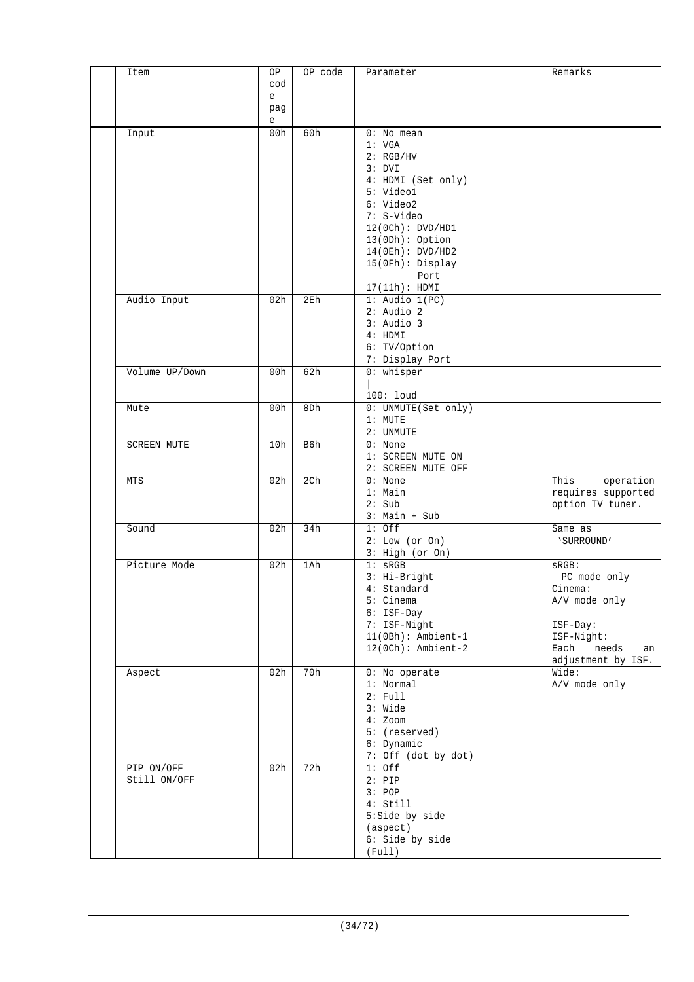| Item               | OP                                | OP code         | Parameter                        | Remarks                  |
|--------------------|-----------------------------------|-----------------|----------------------------------|--------------------------|
|                    | cod                               |                 |                                  |                          |
|                    | $\mathsf{e}% _{t}\left( t\right)$ |                 |                                  |                          |
|                    | pag<br>e                          |                 |                                  |                          |
| Input              | 00h                               | 60h             | $0:$ No mean                     |                          |
|                    |                                   |                 | 1: VGA                           |                          |
|                    |                                   |                 | 2: RGB/HV                        |                          |
|                    |                                   |                 | 3: DVI                           |                          |
|                    |                                   |                 | 4: HDMI (Set only)<br>5: Video1  |                          |
|                    |                                   |                 | 6: Video2                        |                          |
|                    |                                   |                 | 7: S-Video                       |                          |
|                    |                                   |                 | 12(0Ch): DVD/HDI                 |                          |
|                    |                                   |                 | $13(0Dh):$ Option                |                          |
|                    |                                   |                 | 14(0Eh): DVD/HD2                 |                          |
|                    |                                   |                 | 15(0Fh): Display                 |                          |
|                    |                                   |                 | Port                             |                          |
|                    |                                   |                 | 17(11h): HDMI                    |                          |
| Audio Input        | 02h                               | 2E <sub>h</sub> | $1:$ Audio $1(PC)$               |                          |
|                    |                                   |                 | $2:$ Audio $2$<br>$3:$ Audio $3$ |                          |
|                    |                                   |                 | 4: HDMI                          |                          |
|                    |                                   |                 | 6: TV/Option                     |                          |
|                    |                                   |                 | 7: Display Port                  |                          |
| Volume UP/Down     | 00h                               | 62h             | $0:$ whisper                     |                          |
|                    |                                   |                 |                                  |                          |
|                    |                                   |                 | $100:$ loud                      |                          |
| Mute               | 00h                               | 8Dh             | 0: UNMUTE(Set only)              |                          |
|                    |                                   |                 | $1:$ MUTE                        |                          |
|                    |                                   |                 | 2: UNMUTE                        |                          |
| <b>SCREEN MUTE</b> | 10h                               | B6h             | $0:$ None                        |                          |
|                    |                                   |                 | 1: SCREEN MUTE ON                |                          |
| <b>MTS</b>         | 02h                               | 2 <sub>ch</sub> | 2: SCREEN MUTE OFF<br>$0:$ None  | This<br>operation        |
|                    |                                   |                 | $1:$ Main                        | requires supported       |
|                    |                                   |                 | 2: Sub                           | option TV tuner.         |
|                    |                                   |                 | $3:$ Main + Sub                  |                          |
| Sound              | 02h                               | 34h             | $1:$ Off                         | Same as                  |
|                    |                                   |                 | 2: Low (or On)                   | 'SURROUND'               |
| Picture Mode       |                                   |                 | 3: High (or On)                  |                          |
|                    | 02h                               | 1Ah             | $1:$ sRGB<br>3: Hi-Bright        | $SRGB$ :<br>PC mode only |
|                    |                                   |                 | 4: Standard                      | Cinema:                  |
|                    |                                   |                 | 5: Cinema                        | A/V mode only            |
|                    |                                   |                 | $6:$ ISF-Day                     |                          |
|                    |                                   |                 | 7: ISF-Night                     | ISF-Day:                 |
|                    |                                   |                 | $11(0Bh):$ Ambient-1             | ISF-Night:               |
|                    |                                   |                 | $12(0Ch):$ Ambient-2             | Each<br>needs<br>an      |
|                    |                                   |                 |                                  | adjustment by ISF.       |
| Aspect             | 02h                               | 70h             | 0: No operate<br>1: Normal       | Wide:                    |
|                    |                                   |                 | 2: Full                          | A/V mode only            |
|                    |                                   |                 | 3: Wide                          |                          |
|                    |                                   |                 | $4:$ Zoom                        |                          |
|                    |                                   |                 | 5: (reserved)                    |                          |
|                    |                                   |                 | 6: Dynamic                       |                          |
|                    |                                   |                 | 7: Off (dot by dot)              |                          |
| PIP ON/OFF         | 02h                               | 72h             | $1:$ Off                         |                          |
| Still ON/OFF       |                                   |                 | $2:$ PIP                         |                          |
|                    |                                   |                 | 3: POP<br>4: Still               |                          |
|                    |                                   |                 | 5:Side by side                   |                          |
|                    |                                   |                 | (aspect)                         |                          |
|                    |                                   |                 | 6: Side by side                  |                          |
|                    |                                   |                 | (Full)                           |                          |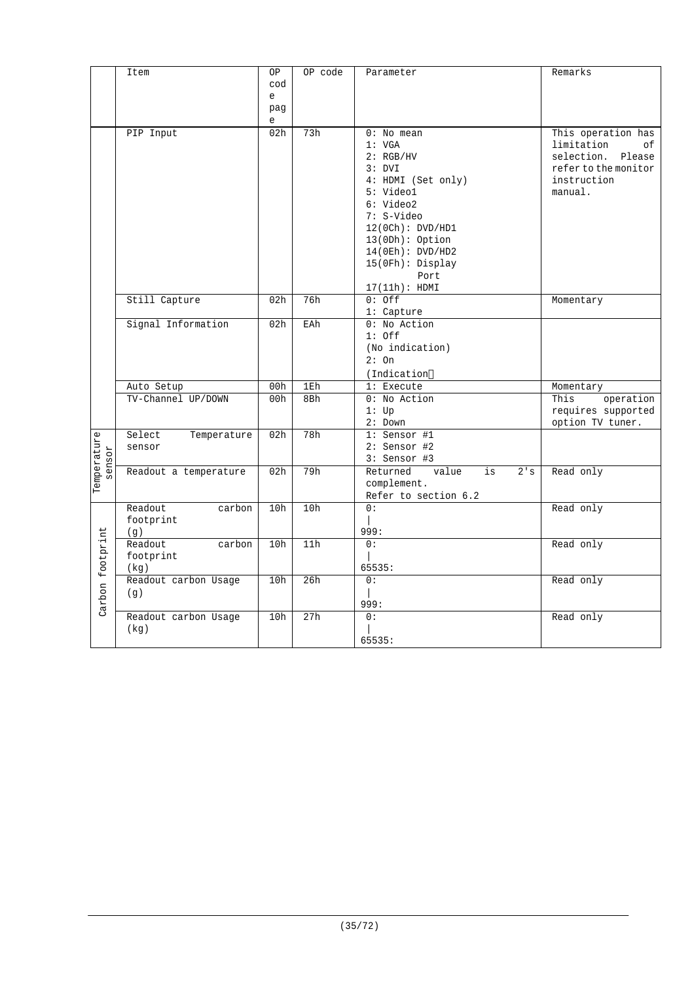|                       | Item                  | OP                                    | OP code | Parameter                      | Remarks              |
|-----------------------|-----------------------|---------------------------------------|---------|--------------------------------|----------------------|
|                       |                       | cod                                   |         |                                |                      |
|                       |                       | e                                     |         |                                |                      |
|                       |                       | pag                                   |         |                                |                      |
|                       |                       | $\mathsf{e}% _{t}\left( t_{0}\right)$ |         |                                |                      |
|                       | PIP Input             | 02 <sub>h</sub>                       | 73h     | $0:$ No mean                   | This operation has   |
|                       |                       |                                       |         | 1: VGA                         | limitation<br>οf     |
|                       |                       |                                       |         | 2: RGB/HV                      | selection. Please    |
|                       |                       |                                       |         | 3: DVI                         | refer to the monitor |
|                       |                       |                                       |         | 4: HDMI (Set only)             | instruction          |
|                       |                       |                                       |         | 5: Video1                      | manual.              |
|                       |                       |                                       |         | 6: Video2                      |                      |
|                       |                       |                                       |         | 7: S-Video                     |                      |
|                       |                       |                                       |         | 12(0Ch): DVD/HD1               |                      |
|                       |                       |                                       |         | $13(0Dh):$ Option              |                      |
|                       |                       |                                       |         | 14(0Eh): DVD/HD2               |                      |
|                       |                       |                                       |         | 15(0Fh): Display               |                      |
|                       |                       |                                       |         | Port                           |                      |
|                       |                       |                                       |         | 17(11h): HDMI                  |                      |
|                       |                       |                                       |         |                                |                      |
|                       | Still Capture         | 02 <sub>h</sub>                       | 76h     | $0:$ Off                       | Momentary            |
|                       |                       |                                       |         | 1: Capture                     |                      |
|                       | Signal Information    | 02h                                   | EAh     | 0: No Action                   |                      |
|                       |                       |                                       |         | $1:$ Off                       |                      |
|                       |                       |                                       |         | (No indication)                |                      |
|                       |                       |                                       |         | 2:On                           |                      |
|                       |                       |                                       |         | (Indication                    |                      |
|                       | Auto Setup            | 00h                                   | 1Eh     | 1: Execute                     | Momentary            |
|                       | TV-Channel UP/DOWN    | 00h                                   | 8Bh     | 0: No Action                   | operation<br>This    |
|                       |                       |                                       |         | 1: Up                          | requires supported   |
|                       |                       |                                       |         | $2:$ Down                      | option TV tuner.     |
|                       | Select<br>Temperature | 02h                                   | 78h     | 1: Sensor #1                   |                      |
|                       | sensor                |                                       |         | 2: Sensor #2                   |                      |
|                       |                       |                                       |         | $3:$ Sensor #3                 |                      |
| Temperature<br>sensor | Readout a temperature | 02h                                   | 79h     | Returned<br>value<br>is<br>2's | Read only            |
|                       |                       |                                       |         | complement.                    |                      |
|                       |                       |                                       |         | Refer to section 6.2           |                      |
|                       | Readout<br>carbon     | 10h                                   | 10h     | 0:                             | Read only            |
|                       | footprint             |                                       |         |                                |                      |
|                       | (q)                   |                                       |         | 999:                           |                      |
|                       | Readout<br>carbon     | 10h                                   | 11h     | 0:                             | Read only            |
|                       | footprint             |                                       |         |                                |                      |
|                       |                       |                                       |         | 65535:                         |                      |
|                       | (kg)                  | 10h                                   | 26h     | 0:                             | Read only            |
|                       | Readout carbon Usage  |                                       |         |                                |                      |
|                       | (q)                   |                                       |         | $\mathbf{I}$                   |                      |
| Carbon footprint      |                       |                                       |         | 999:                           |                      |
|                       | Readout carbon Usage  | 10h                                   | 27h     | 0:                             | Read only            |
|                       | (kg)                  |                                       |         |                                |                      |
|                       |                       |                                       |         | 65535:                         |                      |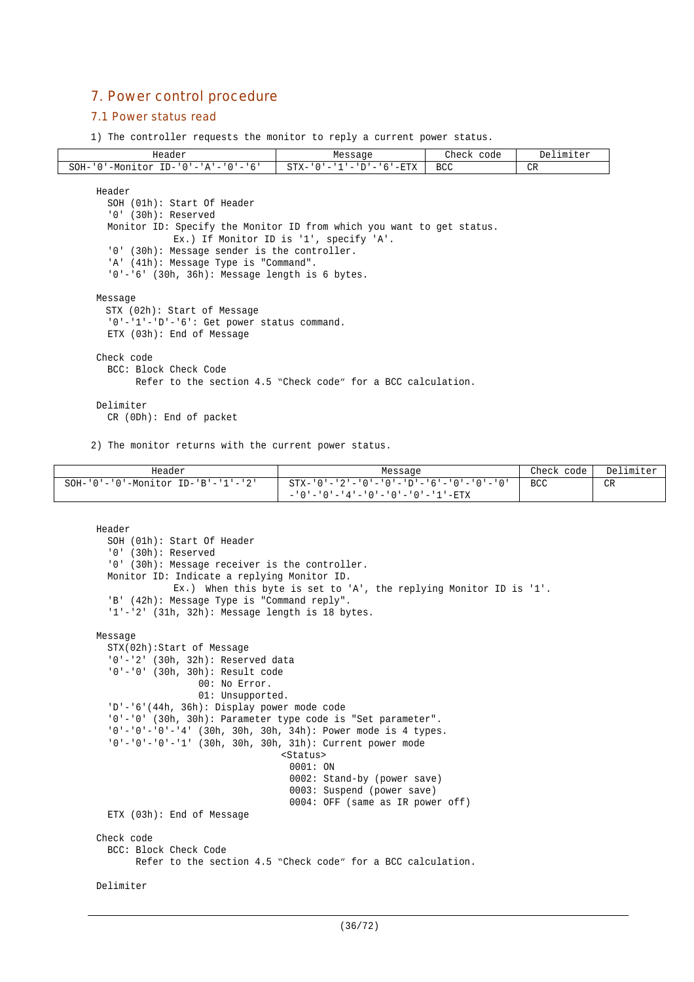## 7. Power control procedure

#### 7.1 Power status read

1) The controller requests the monitor to reply a current power status.

| Header                                                                | Message                                                      | Check code | Delimiter |  |  |  |  |  |
|-----------------------------------------------------------------------|--------------------------------------------------------------|------------|-----------|--|--|--|--|--|
| $SOH - '0'$ -Monitor ID-'0'-'A'-'0'-'6'                               | $STX - '0' - '1' - 'D' - '6' - ETX$                          | <b>BCC</b> | CR        |  |  |  |  |  |
|                                                                       |                                                              |            |           |  |  |  |  |  |
| Header                                                                |                                                              |            |           |  |  |  |  |  |
| SOH (01h): Start Of Header                                            |                                                              |            |           |  |  |  |  |  |
| $'0'$ (30h): Reserved                                                 |                                                              |            |           |  |  |  |  |  |
| Monitor ID: Specify the Monitor ID from which you want to get status. |                                                              |            |           |  |  |  |  |  |
|                                                                       | Ex.) If Monitor ID is '1', specify 'A'.                      |            |           |  |  |  |  |  |
| '0' (30h): Message sender is the controller.                          |                                                              |            |           |  |  |  |  |  |
| 'A' (41h): Message Type is "Command".                                 |                                                              |            |           |  |  |  |  |  |
| $'0'$ -'6' (30h, 36h): Message length is 6 bytes.                     |                                                              |            |           |  |  |  |  |  |
|                                                                       |                                                              |            |           |  |  |  |  |  |
| Message                                                               |                                                              |            |           |  |  |  |  |  |
| STX (02h): Start of Message                                           |                                                              |            |           |  |  |  |  |  |
| '0'-'1'-'D'-'6': Get power status command.                            |                                                              |            |           |  |  |  |  |  |
| ETX (03h): End of Message                                             |                                                              |            |           |  |  |  |  |  |
| Check code                                                            |                                                              |            |           |  |  |  |  |  |
| BCC: Block Check Code                                                 |                                                              |            |           |  |  |  |  |  |
|                                                                       | Refer to the section 4.5 "Check code" for a BCC calculation. |            |           |  |  |  |  |  |
|                                                                       |                                                              |            |           |  |  |  |  |  |
| Delimiter                                                             |                                                              |            |           |  |  |  |  |  |
| $CR$ (ODh): End of packet                                             |                                                              |            |           |  |  |  |  |  |
|                                                                       |                                                              |            |           |  |  |  |  |  |

2) The monitor returns with the current power status.

| Header                                           | Message                                                           | Check code | Delimiter |
|--------------------------------------------------|-------------------------------------------------------------------|------------|-----------|
| $SOH - '0' - '0' - Monitor ID - 'B' - '1' - '2'$ | $STX - '0' - '2' - '0' - '0' - '0' - '0' - '6' - '0' - '0' - '0'$ | <b>BCC</b> | CR        |
|                                                  | - '0'-'0'-'4'-'0'-'0'-'0'-'1'-ETX                                 |            |           |

```
Header
  SOH (01h): Start Of Header
  '0' (30h): Reserved
  '0' (30h): Message receiver is the controller.
 Monitor ID: Indicate a replying Monitor ID.
             Ex.) When this byte is set to 'A', the replying Monitor ID is '1'.
  'B' (42h): Message Type is "Command reply".
  '1'-'2' (31h, 32h): Message length is 18 bytes.
Message
  STX(02h):Start of Message
  '0'-'2' (30h, 32h): Reserved data
  '0'-'0' (30h, 30h): Result code
                  00: No Error.
                  01: Unsupported.
  'D'-'6'(44h, 36h): Display power mode code
  '0'-'0' (30h, 30h): Parameter type code is "Set parameter".
  '0'-'0'-'0'-'4' (30h, 30h, 30h, 34h): Power mode is 4 types.
  '0'-'0'-'0'-'1' (30h, 30h, 30h, 31h): Current power mode
                                 <Status>
                                  0001: ON
                                  0002: Stand-by (power save)
                                  0003: Suspend (power save)
                                  0004: OFF (same as IR power off)
  ETX (03h): End of Message
Check code
  BCC: Block Check Code
        Refer to the section 4.5 "Check code" for a BCC calculation.
Delimiter
```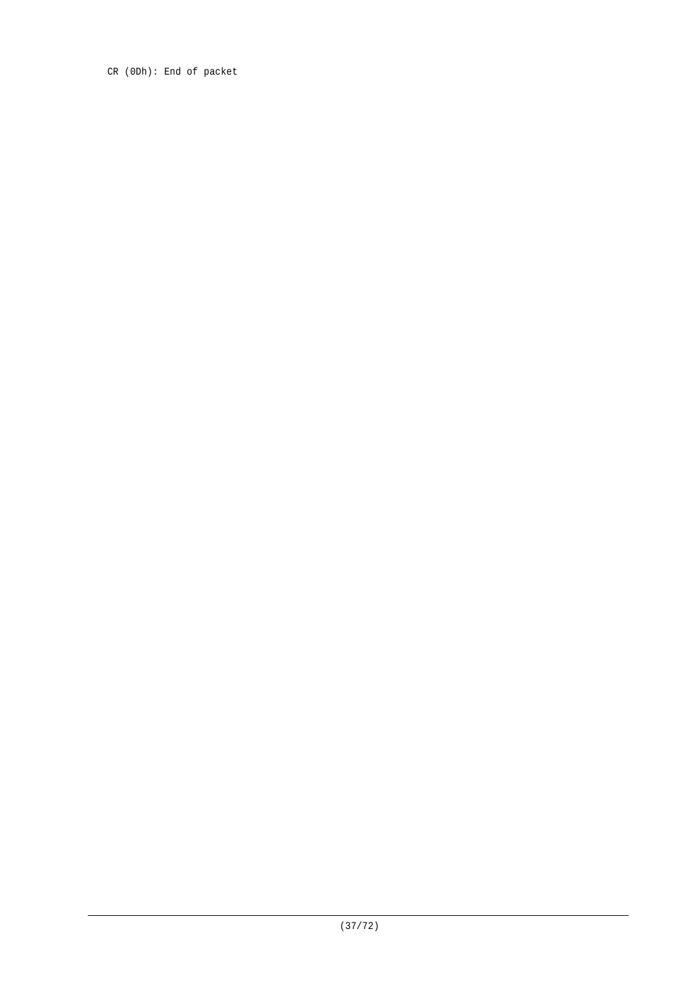CR (0Dh): End of packet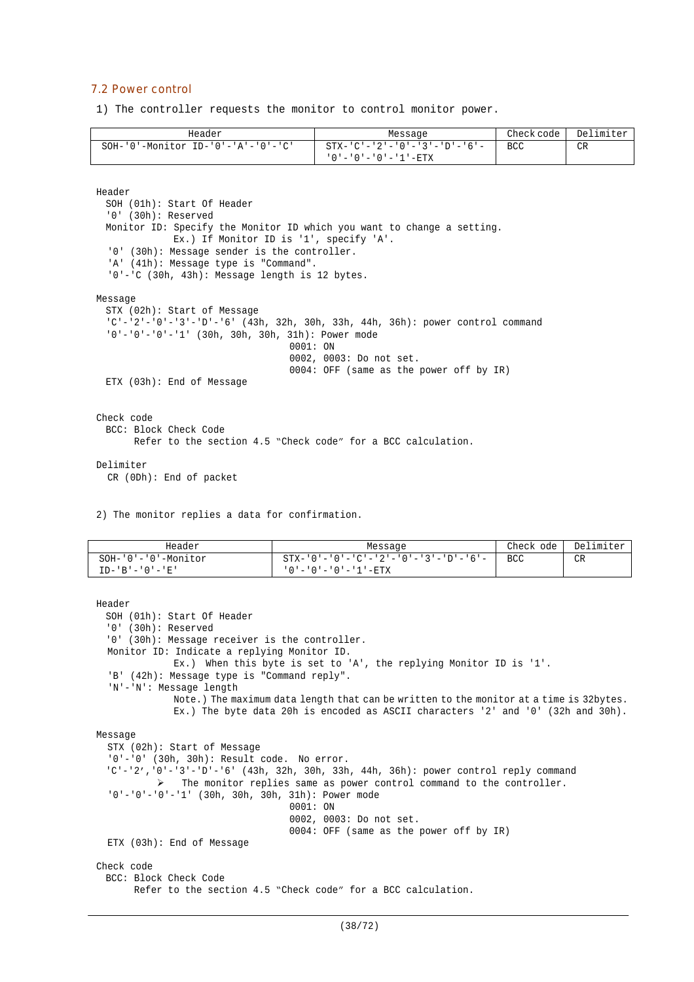#### 7.2 Power control

1) The controller requests the monitor to control monitor power.

| Header                                           | Message                             | Check code | Delimiter |
|--------------------------------------------------|-------------------------------------|------------|-----------|
| $SOH - '0' - Monttor ID - '0' - 'A' - '0' - 'C'$ | - STX-'C'-'2'-'0'-'3'-'D'-'6'-      | BCC        | CR        |
|                                                  | ' 0 ' - ' 0 ' - ' 0 ' - ' 1 ' - ETX |            |           |

Header

```
SOH (01h): Start Of Header
  '0' (30h): Reserved
 Monitor ID: Specify the Monitor ID which you want to change a setting.
             Ex.) If Monitor ID is '1', specify 'A'.
  '0' (30h): Message sender is the controller.
  'A' (41h): Message type is "Command".
  '0'-'C (30h, 43h): Message length is 12 bytes.
Message
 STX (02h): Start of Message
  'C'-'2'-'0'-'3'-'D'-'6' (43h, 32h, 30h, 33h, 44h, 36h): power control command
  '0'-'0'-'0'-'1' (30h, 30h, 30h, 31h): Power mode
                                   0001: ON
                                  0002, 0003: Do not set.
                                  0004: OFF (same as the power off by IR)
 ETX (03h): End of Message
Check code
 BCC: Block Check Code
       Refer to the section 4.5 "Check code" for a BCC calculation.
```
#### Delimiter

CR (0Dh): End of packet

2) The monitor replies a data for confirmation.

| Header                 | Message                                                 | Check ode  | Delimiter |
|------------------------|---------------------------------------------------------|------------|-----------|
| $SOH-101-101$ -Monitor | $STX - '0' - '0' - 'C' - '2' - '0' - '3' - 'D' - '6' -$ | <b>BCC</b> | CR        |
| $ID - 'B' - '0' - 'E'$ | ' 0 ' – ' 0 ' – ' 0 ' – ' 1 ' – ETX                     |            |           |

```
Header
 SOH (01h): Start Of Header
  '0' (30h): Reserved
  '0' (30h): Message receiver is the controller.
 Monitor ID: Indicate a replying Monitor ID.
             Ex.) When this byte is set to 'A', the replying Monitor ID is '1'.
  'B' (42h): Message type is "Command reply".
  'N'-'N': Message length
             Note.) The maximum data length that can be written to the monitor at a time is 32bytes.
             Ex.) The byte data 20h is encoded as ASCII characters '2' and '0' (32h and 30h).
Message
  STX (02h): Start of Message
  '0'-'0' (30h, 30h): Result code. No error.
  'C'-'2','0'-'3'-'D'-'6' (43h, 32h, 30h, 33h, 44h, 36h): power control reply command
           The monitor replies same as power control command to the controller.
  '0'-'0'-'0'-'1' (30h, 30h, 30h, 31h): Power mode
                                  0001: ON
                                  0002, 0003: Do not set.
                                  0004: OFF (same as the power off by IR)
  ETX (03h): End of Message
Check code
 BCC: Block Check Code
       Refer to the section 4.5 "Check code" for a BCC calculation.
```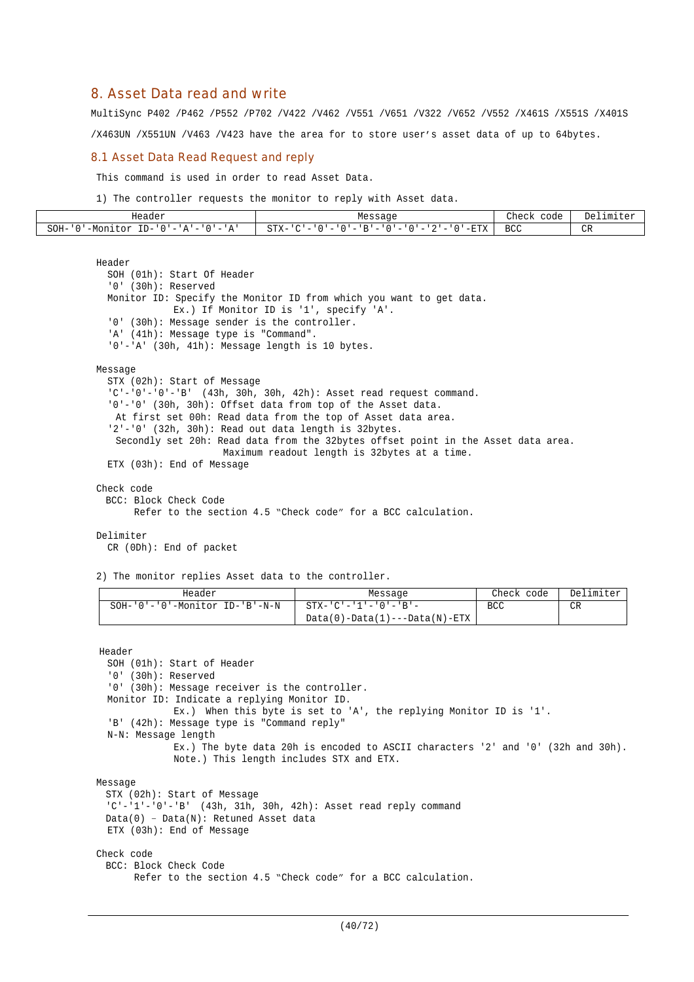## 8. Asset Data read and write

MultiSync P402 /P462 /P552 /P702 /V422 /V462 /V551 /V651 /V322 /V652 /V552 /X461S /X551S /X401S

/X463UN /X551UN /V463 /V423 have the area for to store user's asset data of up to 64bytes.

#### 8.1 Asset Data Read Request and reply

This command is used in order to read Asset Data.

1) The controller requests the monitor to reply with Asset data.

| Header                                                                                                                                          | econc                                                                                                                                                                                                                                                             | Check<br>code | Delimiter<br>۳۵۰ ن |
|-------------------------------------------------------------------------------------------------------------------------------------------------|-------------------------------------------------------------------------------------------------------------------------------------------------------------------------------------------------------------------------------------------------------------------|---------------|--------------------|
| $ -$<br>$ID-$<br>SOH-<br>$\sim$<br>$\cap$<br>'-Mon⊥<br>or<br>$\overline{\phantom{a}}$<br>$\overline{\phantom{a}}$<br>. .<br>$\mathbf{A}$<br>. . | $ \mathbf{F}$ $\mathbf{F}$ $\mathbf{V}$<br>$\sim$ $\sim$ $\sim$<br>. מ<br>$\sim$<br>$\sim$<br>$\overline{\phantom{0}}$<br>$\overline{\phantom{a}}$<br>$\overline{\phantom{a}}$<br>$\overline{\phantom{a}}$<br>$\overline{\phantom{a}}$<br>-<br>∆⊥د<br>۷۰ ـ ت<br>▵ | ממס<br>ししし    | $\cap$<br>◡        |

```
Header
  SOH (01h): Start Of Header
  '0' (30h): Reserved
  Monitor ID: Specify the Monitor ID from which you want to get data.
             Ex.) If Monitor ID is '1', specify 'A'.
  '0' (30h): Message sender is the controller.
  'A' (41h): Message type is "Command".
  '0'-'A' (30h, 41h): Message length is 10 bytes.
Message
  STX (02h): Start of Message
  'C'-'0'-'0'-'B' (43h, 30h, 30h, 42h): Asset read request command.
  '0'-'0' (30h, 30h): Offset data from top of the Asset data.
   At first set 00h: Read data from the top of Asset data area.
  '2'-'0' (32h, 30h): Read out data length is 32bytes.
   Secondly set 20h: Read data from the 32bytes offset point in the Asset data area.
                      Maximum readout length is 32bytes at a time.
  ETX (03h): End of Message
Check code
 BCC: Block Check Code
       Refer to the section 4.5 "Check code" for a BCC calculation.
Delimiter
  CR (0Dh): End of packet
2) The monitor replies Asset data to the controller.
```

| Header                               | Message                                                      | Check code | Delimiter |
|--------------------------------------|--------------------------------------------------------------|------------|-----------|
| $SOH-101-101-10$ -Monitor ID-1B'-N-N | STX-'C'-'1'-'0'-'B'-<br>$Data(0) - Data(1) -- Data(N) - ETX$ | <b>BCC</b> | CR        |

```
Header
  SOH (01h): Start of Header
  '0' (30h): Reserved
  '0' (30h): Message receiver is the controller.
  Monitor ID: Indicate a replying Monitor ID.
             Ex.) When this byte is set to 'A', the replying Monitor ID is '1'.
  'B' (42h): Message type is "Command reply"
  N-N: Message length
             Ex.) The byte data 20h is encoded to ASCII characters '2' and '0' (32h and 30h).
             Note.) This length includes STX and ETX.
Message
 STX (02h): Start of Message
  'C'-'1'-'0'-'B' (43h, 31h, 30h, 42h): Asset read reply command
 Data(0) – Data(N): Retuned Asset data
 ETX (03h): End of Message
Check code
 BCC: Block Check Code
       Refer to the section 4.5 "Check code" for a BCC calculation.
```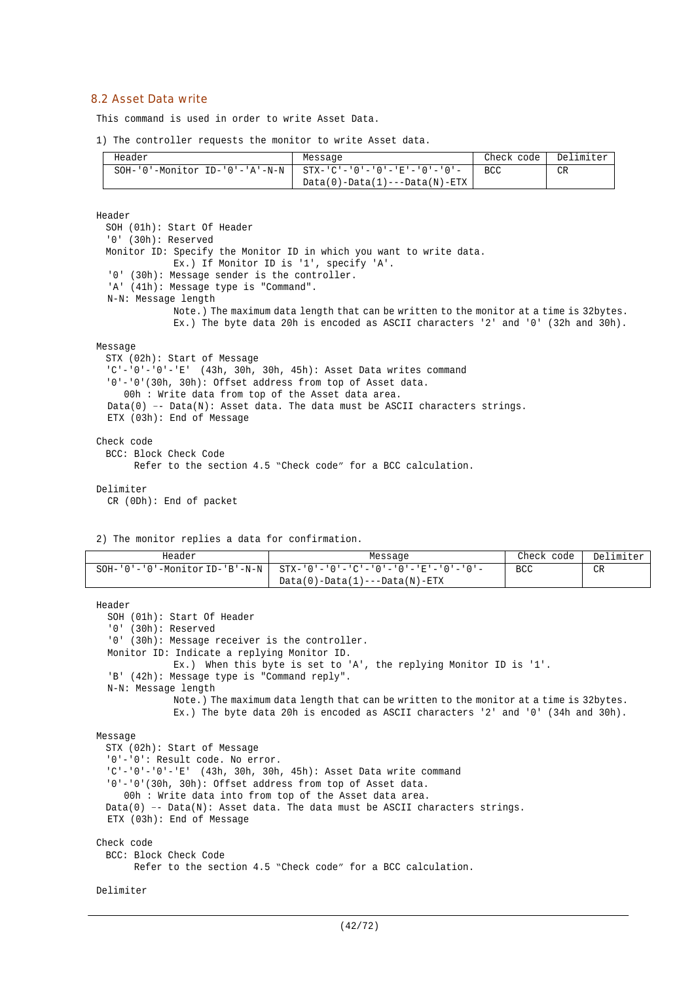#### 8.2 Asset Data write

This command is used in order to write Asset Data.

1) The controller requests the monitor to write Asset data.

| Header                            | Message                              | Check code | Delimiter |
|-----------------------------------|--------------------------------------|------------|-----------|
| $SOH-10$ '-Monitor ID-'0'-'A'-N-N | -   STX-'C'-'0'-'0'-'E'-'0'-'0'-     | BCC.       | <b>CR</b> |
|                                   | $Data(0) - Data(1) -- Data(N) - ETX$ |            |           |

Header

SOH (01h): Start Of Header '0' (30h): Reserved Monitor ID: Specify the Monitor ID in which you want to write data. Ex.) If Monitor ID is '1', specify 'A'. '0' (30h): Message sender is the controller. 'A' (41h): Message type is "Command". N-N: Message length Note.) The maximum data length that can be written to the monitor at a time is 32bytes. Ex.) The byte data 20h is encoded as ASCII characters '2' and '0' (32h and 30h). Message STX (02h): Start of Message  $'C'-'0'-'0'-'E'$  (43h, 30h, 30h, 45h): Asset Data writes command '0'-'0'(30h, 30h): Offset address from top of Asset data. 00h : Write data from top of the Asset data area. Data(0) -- Data(N): Asset data. The data must be ASCII characters strings. ETX (03h): End of Message Check code BCC: Block Check Code

Refer to the section 4.5 "Check code" for a BCC calculation.

Delimiter

CR (0Dh): End of packet

2) The monitor replies a data for confirmation.

| Header                                       | Message                                                 | Check code | Delimiter |
|----------------------------------------------|---------------------------------------------------------|------------|-----------|
| $SOH - '0' - '0' - Monttor ID - 'B' - N - N$ | $STX - '0' - '0' - 'C' - '0' - '0' - 'E' - '0' - '0' -$ | <b>BCC</b> | CR        |
|                                              | $Data(0) - Data(1) -- Data(M) - ETX$                    |            |           |

```
Header
  SOH (01h): Start Of Header
  '0' (30h): Reserved
  '0' (30h): Message receiver is the controller.
  Monitor ID: Indicate a replying Monitor ID.
             Ex.) When this byte is set to 'A', the replying Monitor ID is '1'.
  'B' (42h): Message type is "Command reply".
  N-N: Message length
              Note.) The maximum data length that can be written to the monitor at a time is 32bytes.
              Ex.) The byte data 20h is encoded as ASCII characters '2' and '0' (34h and 30h).
Message
 STX (02h): Start of Message
  '0'-'0': Result code. No error.
  'C'-'0'-'0'-'E' (43h, 30h, 30h, 45h): Asset Data write command
  '0'-'0'(30h, 30h): Offset address from top of Asset data.
    00h : Write data into from top of the Asset data area.
 Data(0) -- Data(N): Asset data. The data must be ASCII characters strings.
 ETX (03h): End of Message
Check code
 BCC: Block Check Code
       Refer to the section 4.5 "Check code" for a BCC calculation.
```

```
Delimiter
```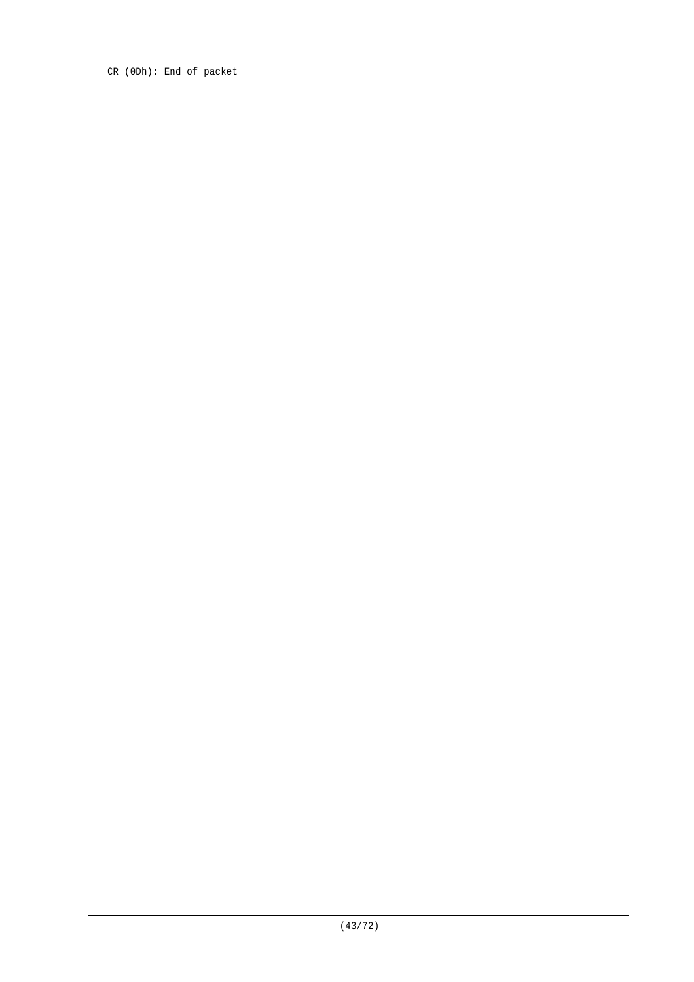CR (0Dh): End of packet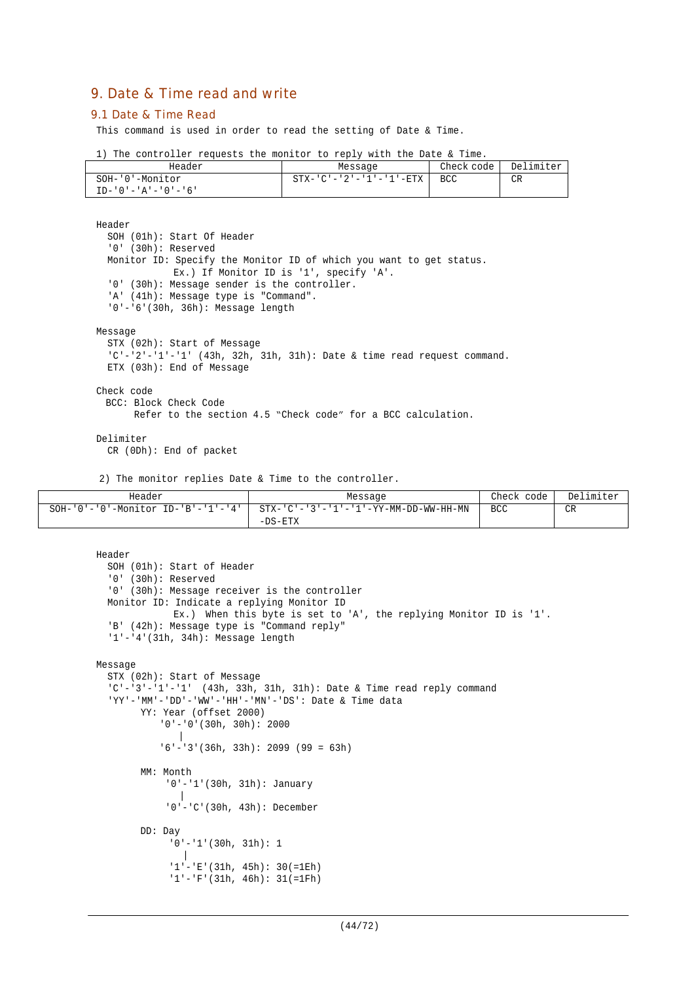# 9. Date & Time read and write

#### 9.1 Date & Time Read

This command is used in order to read the setting of Date & Time.

|  |  | 1) The controller requests the monitor to reply with the Date & Time. |  |  |  |  |  |  |  |  |  |  |  |
|--|--|-----------------------------------------------------------------------|--|--|--|--|--|--|--|--|--|--|--|
|--|--|-----------------------------------------------------------------------|--|--|--|--|--|--|--|--|--|--|--|

| Header                       | Message                 | Check code | Delimiter |
|------------------------------|-------------------------|------------|-----------|
| SOH-'0'-Monitor              | STX-'C'-'2'-'1'-'1'-ETX | BCC        | CR        |
| $TD - '0' - 'A' - '0' - '6'$ |                         |            |           |

Header SOH (01h): Start Of Header '0' (30h): Reserved Monitor ID: Specify the Monitor ID of which you want to get status. Ex.) If Monitor ID is '1', specify 'A'. '0' (30h): Message sender is the controller. 'A' (41h): Message type is "Command". '0'-'6'(30h, 36h): Message length Message STX (02h): Start of Message 'C'-'2'-'1'-'1' (43h, 32h, 31h, 31h): Date & time read request command. ETX (03h): End of Message Check code BCC: Block Check Code Refer to the section 4.5 "Check code" for a BCC calculation.

#### Delimiter

CR (0Dh): End of packet

2) The monitor replies Date & Time to the controller.

| Header                                           | Message                               | Check<br>code I | Delimiter |
|--------------------------------------------------|---------------------------------------|-----------------|-----------|
| $SOH - '0' - '0' - Monitor ID - 'B' - '1' - '4'$ | STX-'C'-'3'-'1'-'1'-YY-MM-DD-WW-HH-MN | <b>BCC</b>      | CR        |
|                                                  | $-DS-ETX$                             |                 |           |

```
Header
  SOH (01h): Start of Header
  '0' (30h): Reserved
  '0' (30h): Message receiver is the controller
 Monitor ID: Indicate a replying Monitor ID
             Ex.) When this byte is set to 'A', the replying Monitor ID is '1'.
  'B' (42h): Message type is "Command reply"
  '1'-'4'(31h, 34h): Message length
Message
  STX (02h): Start of Message
  'C'-'3'-'1'-'1' (43h, 33h, 31h, 31h): Date & Time read reply command
  'YY'-'MM'-'DD'-'WW'-'HH'-'MN'-'DS': Date & Time data
       YY: Year (offset 2000)
           '0'-'0'(30h, 30h): 2000
           |
            '6'-'3'(36h, 33h): 2099 (99 = 63h)
       MM: Month
            '0'-'1'(30h, 31h): January
               |
             '0'-'C'(30h, 43h): December
       DD: Day
             '0'-'1'(30h, 31h): 1
               |
             '1'-'E'(31h, 45h): 30(=1Eh)
             '1'-'F'(31h, 46h): 31(=1Fh)
```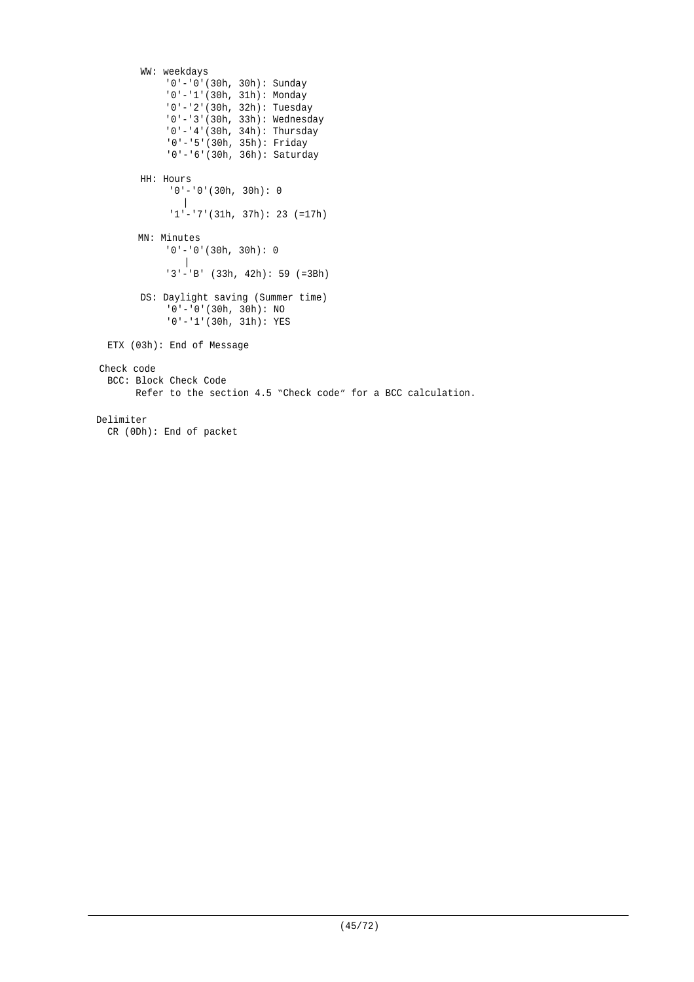```
WW: weekdays
            '0'-'0'(30h, 30h): Sunday
            '0'-'1'(30h, 31h): Monday
            '0'-'2'(30h, 32h): Tuesday
             '0'-'3'(30h, 33h): Wednesday
             '0'-'4'(30h, 34h): Thursday
             '0'-'5'(30h, 35h): Friday
            '0'-'6'(30h, 36h): Saturday
        HH: Hours
             '0'-'0'(30h, 30h): 0
               |
             1'-'7'(31h, 37h): 23 (=17h)
       MN: Minutes
            '0'-'0'(30h, 30h): 0
               \blacksquare'3'-'B' (33h, 42h): 59 (=3Bh)
        DS: Daylight saving (Summer time)
             '0'-'0'(30h, 30h): NO
             '0'-'1'(30h, 31h): YES
 ETX (03h): End of Message
Check code
 BCC: Block Check Code
        Refer to the section 4.5 "Check code" for a BCC calculation.
Delimiter
  CR (0Dh): End of packet
```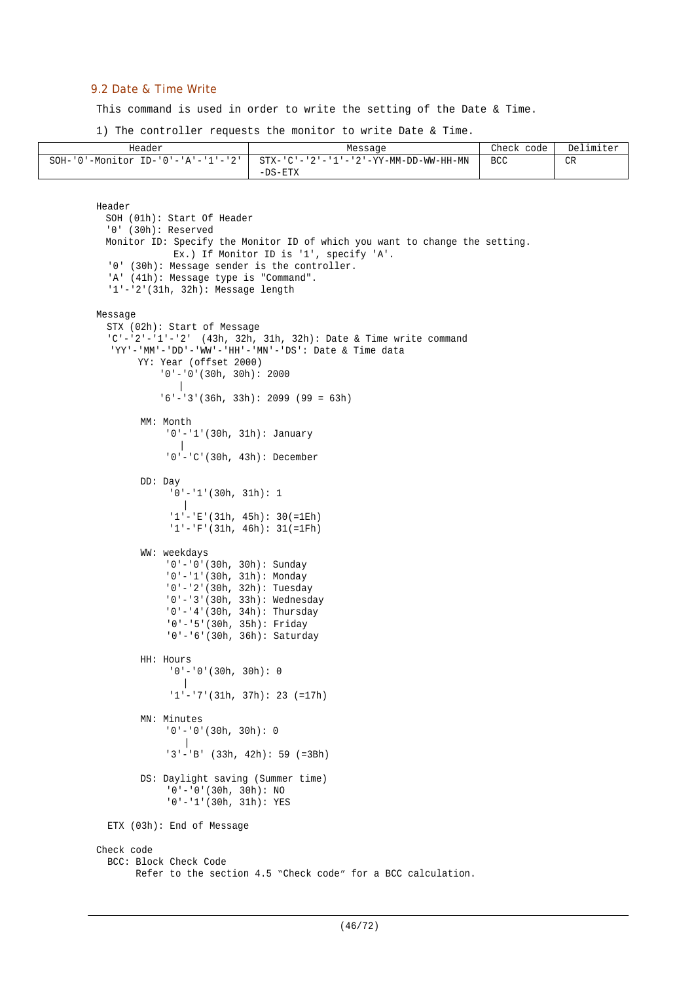### 9.2 Date & Time Write

This command is used in order to write the setting of the Date & Time.

1) The controller requests the monitor to write Date & Time.

| Header  | Message                                                                         | Check code | Delimiter |
|---------|---------------------------------------------------------------------------------|------------|-----------|
| SOH-'0' | '-Monitor ID-'0'-'A'-'1'-'2'   STX-'C'-'2'-'1'-'2'-YY-MM-DD-WW-HH-MN<br>-DS-ETX | BCC        | CR        |

```
Header
 SOH (01h): Start Of Header
  '0' (30h): Reserved
 Monitor ID: Specify the Monitor ID of which you want to change the setting.
             Ex.) If Monitor ID is '1', specify 'A'.
  '0' (30h): Message sender is the controller.
  'A' (41h): Message type is "Command".
  '1'-'2'(31h, 32h): Message length
Message
  STX (02h): Start of Message
  'C'-'2'-'1'-'2' (43h, 32h, 31h, 32h): Date & Time write command
  'YY'-'MM'-'DD'-'WW'-'HH'-'MN'-'DS': Date & Time data
       YY: Year (offset 2000)
            '0'-'0'(30h, 30h): 2000
           |
           '6'-'3'(36h, 33h): 2099 (99 = 63h)
        MM: Month
            '0'-'1'(30h, 31h): January
               |
            '0'-'C'(30h, 43h): December
        DD: Day
             '0'-'1'(30h, 31h): 1
                |
             '1'-'E'(31h, 45h): 30(=1Eh)
             '1'-'F'(31h, 46h): 31(=1Fh)
        WW: weekdays
            '0'-'0'(30h, 30h): Sunday
             '0'-'1'(30h, 31h): Monday
             '0'-'2'(30h, 32h): Tuesday
            '0'-'3'(30h, 33h): Wednesday
            '0'-'4'(30h, 34h): Thursday
            '0'-'5'(30h, 35h): Friday
            '0'-'6'(30h, 36h): Saturday
        HH: Hours
             '0'-'0'(30h, 30h): 0
                |
              '1'-'7'(31h, 37h): 23 (=17h)
        MN: Minutes
            '0'-'0'(30h, 30h): 0
               \Box'3'-'B' (33h, 42h): 59 (=3Bh)
        DS: Daylight saving (Summer time)
            '0'-'0'(30h, 30h): NO
            '0'-'1'(30h, 31h): YES
  ETX (03h): End of Message
Check code
  BCC: Block Check Code
        Refer to the section 4.5 "Check code" for a BCC calculation.
```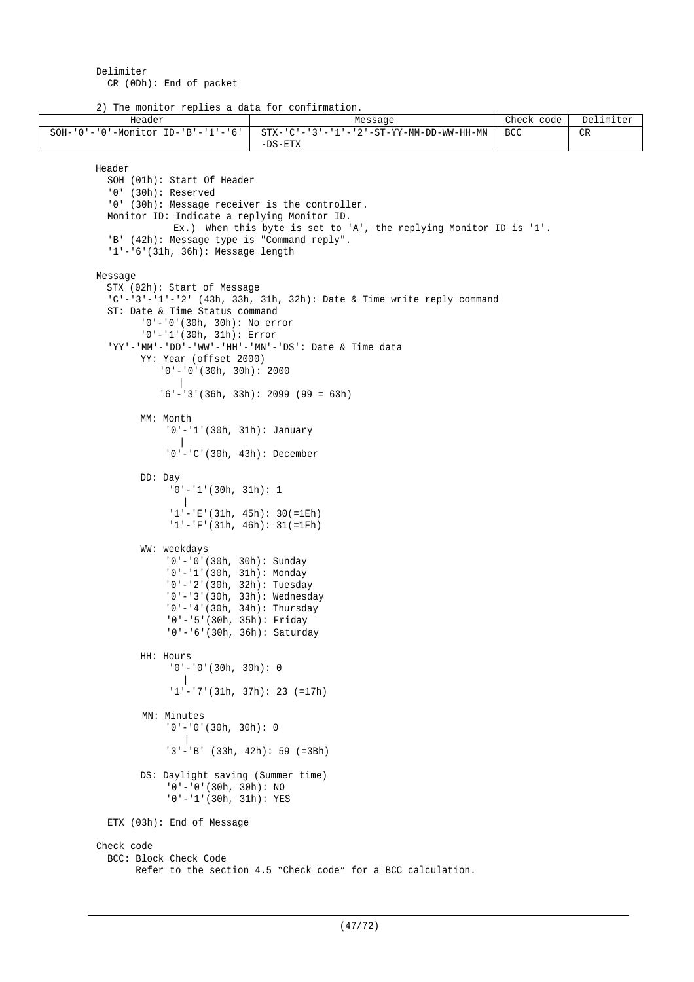2) The monitor replies a data for confirmation.

```
Header Message Check code Delimiter Message Check code Delimiter
SOH-'0'-'0'-Monitor ID-'B'-'1'-'6' STX-'C'-'3'-'1'-'2'-ST-YY-MM-DD-WW-HH-MN
                                     -DS-ETX
                                                                               BCC CRHeader
         SOH (01h): Start Of Header
          '0' (30h): Reserved
          '0' (30h): Message receiver is the controller.
         Monitor ID: Indicate a replying Monitor ID.
                     Ex.) When this byte is set to 'A', the replying Monitor ID is '1'.
          'B' (42h): Message type is "Command reply".
          '1'-'6'(31h, 36h): Message length
       Message
         STX (02h): Start of Message
          'C'-'3'-'1'-'2' (43h, 33h, 31h, 32h): Date & Time write reply command
          ST: Date & Time Status command
                '0'-'0'(30h, 30h): No error
               '0'-'1'(30h, 31h): Error
          'YY'-'MM'-'DD'-'WW'-'HH'-'MN'-'DS': Date & Time data
               YY: Year (offset 2000)
                   '0'-'0'(30h, 30h): 2000
                     \blacksquare'6'-'3'(36h, 33h): 2099 (99 = 63h)
               MM: Month
                   '0'-'1'(30h, 31h): January
                       |
                    '0'-'C'(30h, 43h): December
               DD: Day
                    '0'-'1'(30h, 31h): 1
                       |
                    '1'-'E'(31h, 45h): 30(=1Eh)
                    '1'-'F'(31h, 46h): 31(=1Fh)
               WW: weekdays
                    '0'-'0'(30h, 30h): Sunday
                    '0'-'1'(30h, 31h): Monday
                    '0'-'2'(30h, 32h): Tuesday
                    '0'-'3'(30h, 33h): Wednesday
                    '0'-'4'(30h, 34h): Thursday
                     '0'-'5'(30h, 35h): Friday
                    '0'-'6'(30h, 36h): Saturday
               HH: Hours
                    '0'-'0'(30h, 30h): 0
                       |
                     '1'-'7'(31h, 37h): 23 (=17h)
                MN: Minutes
                    '0'-'0'(30h, 30h): 0
                       |
                    '3'-'B' (33h, 42h): 59 (=3Bh)
               DS: Daylight saving (Summer time)
                    '0'-'0'(30h, 30h): NO
                    '0'-'1'(30h, 31h): YES
         ETX (03h): End of Message
       Check code
          BCC: Block Check Code
               Refer to the section 4.5 "Check code" for a BCC calculation.
```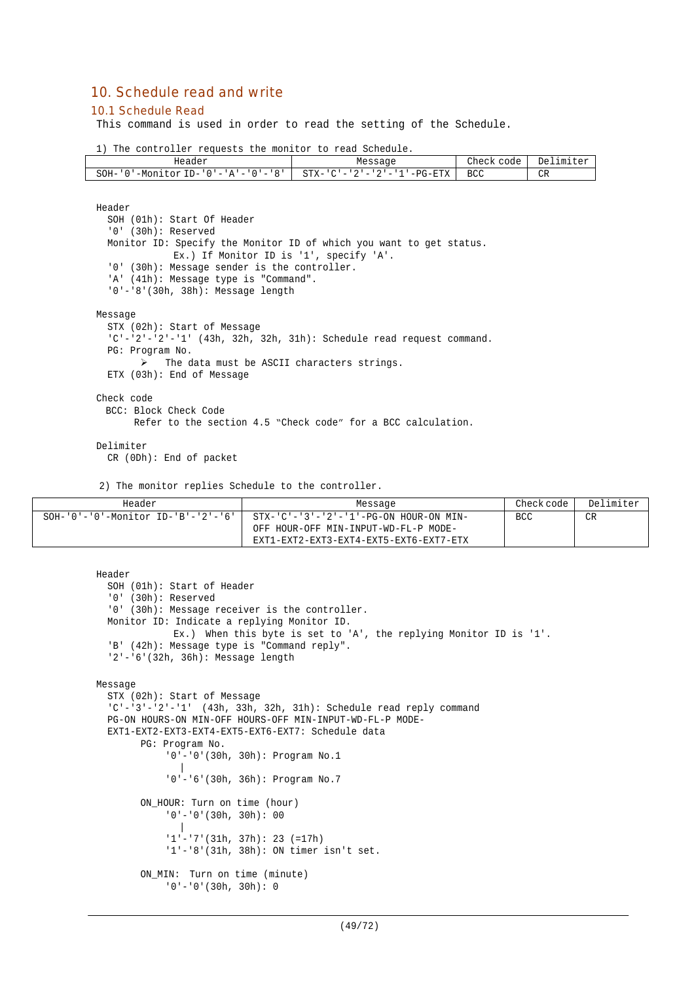# 10. Schedule read and write

#### 10.1 Schedule Read

This command is used in order to read the setting of the Schedule.

1) The controller requests the monitor to read Schedule.

| Header                                 | Message                                         | Therk,<br>code | Delimiter |
|----------------------------------------|-------------------------------------------------|----------------|-----------|
| '-Monitor ID-'0'-'A'-'0'-'8'  <br>SOH- | '-PG-ETX   BCC<br>$STX - 'C' - '2' - '2' - '1'$ |                | CR        |

Header

```
SOH (01h): Start Of Header
  '0' (30h): Reserved
  Monitor ID: Specify the Monitor ID of which you want to get status.
              Ex.) If Monitor ID is '1', specify 'A'.
  '0' (30h): Message sender is the controller.
  'A' (41h): Message type is "Command".
  '0'-'8'(30h, 38h): Message length
Message
  STX (02h): Start of Message
  C' - 2' - 2' - 1' (43h, 32h, 32h, 31h): Schedule read request command.
  PG: Program No.
        \triangleright The data must be ASCII characters strings.
  ETX (03h): End of Message
Check code
 BCC: Block Check Code
      Refer to the section 4.5 "Check code" for a BCC calculation.
```
Delimiter

CR (0Dh): End of packet

2) The monitor replies Schedule to the controller.

ON MIN: Turn on time (minute) '0'-'0'(30h, 30h): 0

| Header | Message                                                                     | Check code | Delimiter |
|--------|-----------------------------------------------------------------------------|------------|-----------|
|        | SOH-'0'-'0'-Monitor ID-'B'-'2'-'6'   STX-'C'-'3'-'2'-'1'-PG-ON HOUR-ON MIN- | BCC        | CR        |
|        | OFF HOUR-OFF MIN-INPUT-WD-FL-P MODE-                                        |            |           |
|        | EXT1-EXT2-EXT3-EXT4-EXT5-EXT6-EXT7-ETX                                      |            |           |

```
Header
  SOH (01h): Start of Header
  '0' (30h): Reserved
  '0' (30h): Message receiver is the controller.
  Monitor ID: Indicate a replying Monitor ID.
             Ex.) When this byte is set to 'A', the replying Monitor ID is '1'.
  'B' (42h): Message type is "Command reply".
  '2'-'6'(32h, 36h): Message length
Message
  STX (02h): Start of Message
  'C'-'3'-'2'-'1' (43h, 33h, 32h, 31h): Schedule read reply command
  PG-ON HOURS-ON MIN-OFF HOURS-OFF MIN-INPUT-WD-FL-P MODE-
  EXT1-EXT2-EXT3-EXT4-EXT5-EXT6-EXT7: Schedule data
       PG: Program No.
            '0'-'0'(30h, 30h): Program No.1
               |
            '0'-'6'(30h, 36h): Program No.7
        ON HOUR: Turn on time (hour)
            '0'-'0'(30h, 30h): 00
               |
            '1'-'7'(31h, 37h): 23 (=17h)
            '1'-'8'(31h, 38h): ON timer isn't set.
```
(49/72)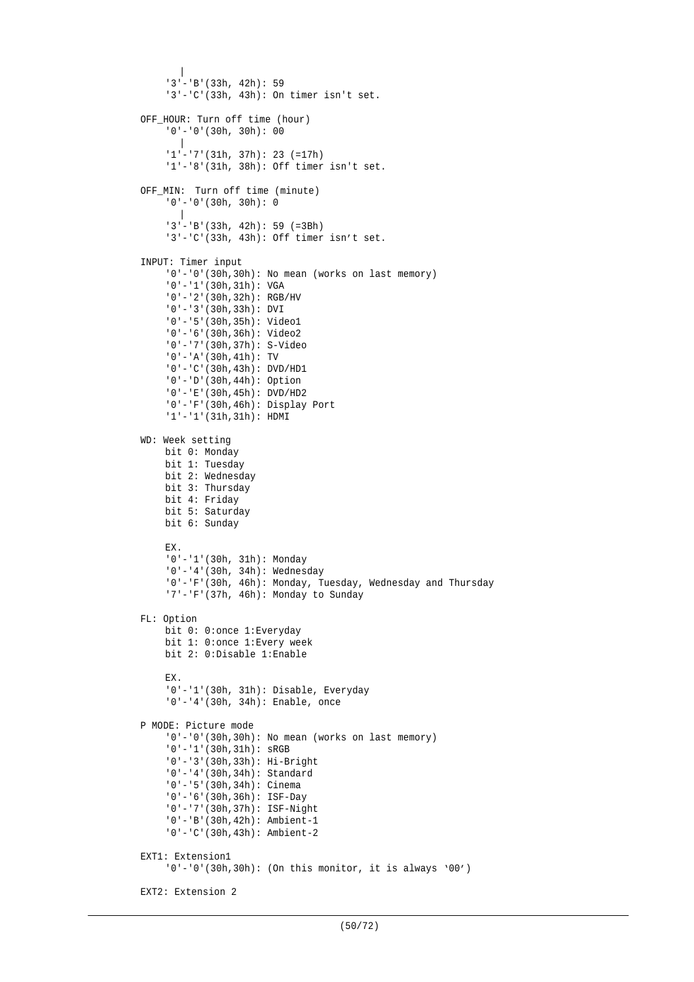```
|
     '3'-'B'(33h, 42h): 59
    '3'-'C'(33h, 43h): On timer isn't set.
OFF_HOUR: Turn off time (hour)
    '0'-'0'(30h, 30h): 00
      \blacksquare'1'-'7'(31h, 37h): 23 (=17h)
    '1'-'8'(31h, 38h): Off timer isn't set.
OFF MIN: Turn off time (minute)
    '0'-'0'(30h, 30h): 0
      \blacksquare'3'-'B'(33h, 42h): 59 (=3Bh)
    '3'-'C'(33h, 43h): Off timer isn't set.
INPUT: Timer input
    '0'-'0'(30h,30h): No mean (works on last memory)
    '0'-'1'(30h,31h): VGA
    '0'-'2'(30h,32h): RGB/HV
    '0'-'3'(30h,33h): DVI
    '0'-'5'(30h,35h): Video1
    '0'-'6'(30h,36h): Video2
    '0'-'7'(30h,37h): S-Video
    '0'-'A'(30h,41h): TV
    '0'-'C'(30h,43h): DVD/HD1
    '0'-'D'(30h,44h): Option
    '0'-'E'(30h,45h): DVD/HD2
    '0'-'F'(30h,46h): Display Port
    '1'-'1'(31h,31h): HDMI
WD: Week setting
    bit 0: Monday
    bit 1: Tuesday
    bit 2: Wednesday
    bit 3: Thursday
    bit 4: Friday
    bit 5: Saturday
    bit 6: Sunday
    EX.
    '0'-'1'(30h, 31h): Monday
    '0'-'4'(30h, 34h): Wednesday
    '0'-'F'(30h, 46h): Monday, Tuesday, Wednesday and Thursday
    '7'-'F'(37h, 46h): Monday to Sunday
FL: Option
    bit 0: 0:once 1:Everyday
    bit 1: 0:once 1:Every week
    bit 2: 0:Disable 1:Enable
    EX.
    '0'-'1'(30h, 31h): Disable, Everyday
    '0'-'4'(30h, 34h): Enable, once
P MODE: Picture mode
    '0'-'0'(30h,30h): No mean (works on last memory)
    '0'-'1'(30h,31h): sRGB
    '0'-'3'(30h,33h): Hi-Bright
    '0'-'4'(30h,34h): Standard
    '0'-'5'(30h,34h): Cinema
    '0'-'6'(30h,36h): ISF-Day
    '0'-'7'(30h,37h): ISF-Night
    '0'-'B'(30h,42h): Ambient-1
    '0'-'C'(30h,43h): Ambient-2
EXT1: Extension1
    '0'-'0'(30h,30h): (On this monitor, it is always '00')
EXT2: Extension 2
```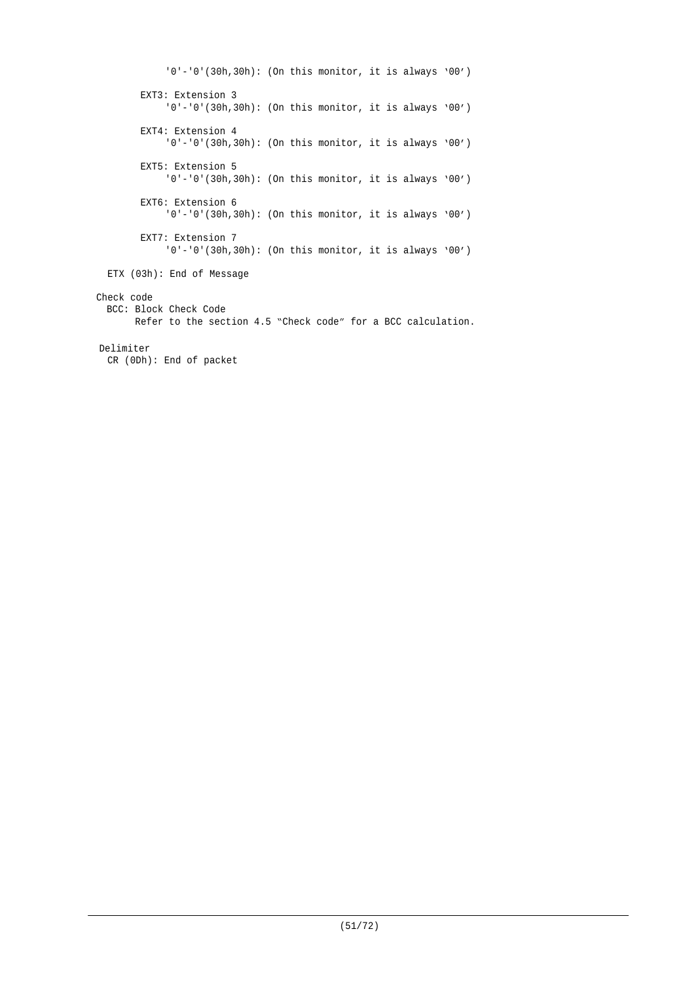'0'-'0'(30h,30h): (On this monitor, it is always '00') EXT3: Extension 3 '0'-'0'(30h,30h): (On this monitor, it is always '00') EXT4: Extension 4 '0'-'0'(30h,30h): (On this monitor, it is always '00') EXT5: Extension 5 '0'-'0'(30h,30h): (On this monitor, it is always '00') EXT6: Extension 6 '0'-'0'(30h,30h): (On this monitor, it is always '00') EXT7: Extension 7 '0'-'0'(30h,30h): (On this monitor, it is always '00') ETX (03h): End of Message Check code BCC: Block Check Code Refer to the section 4.5 "Check code" for a BCC calculation. Delimiter CR (0Dh): End of packet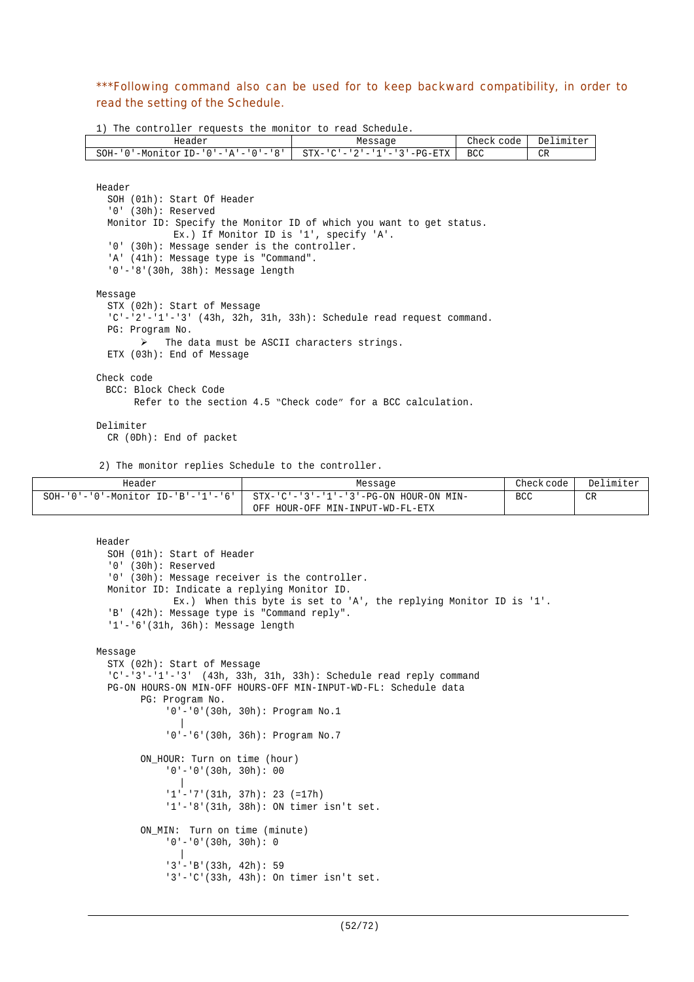\*\*\*Following command also can be used for to keep backward compatibility, in order to read the setting of the Schedule.

1) The controller requests the monitor to read Schedule.

| Header                                  | Message                    | Check code | Delimiter |
|-----------------------------------------|----------------------------|------------|-----------|
| '-Monitor ID-'0'-'A'-'0'-'8',<br>SOH-'0 | STX-'C'-'2'-'1'-'3'-PG-ETX | <b>BCC</b> | CR        |

```
Header
  SOH (01h): Start Of Header
  '0' (30h): Reserved
  Monitor ID: Specify the Monitor ID of which you want to get status.
              Ex.) If Monitor ID is '1', specify 'A'.
  '0' (30h): Message sender is the controller.
  'A' (41h): Message type is "Command".
  '0'-'8'(30h, 38h): Message length
Message
  STX (02h): Start of Message
  'C'-'2'-'1'-'3' (43h, 32h, 31h, 33h): Schedule read request command.
  PG: Program No.
       \triangleright The data must be ASCII characters strings.
  ETX (03h): End of Message
Check code
 BCC: Block Check Code
      Refer to the section 4.5 "Check code" for a BCC calculation.
```
Delimiter

CR (0Dh): End of packet

2) The monitor replies Schedule to the controller.

| Header                                           | Message                                                 | Check code | Delimiter |
|--------------------------------------------------|---------------------------------------------------------|------------|-----------|
| $SOH - '0' - '0' - Monttor ID - 'B' - '1' - '6'$ | $STX - 'C' - '3' - '1' - '3' - PG - ON HOUR - ON MIN -$ | <b>BCC</b> | <b>CR</b> |
|                                                  | OFF HOUR-OFF MIN-INPUT-WD-FL-ETX                        |            |           |

```
Header
  SOH (01h): Start of Header
  '0' (30h): Reserved
  '0' (30h): Message receiver is the controller.
 Monitor ID: Indicate a replying Monitor ID.
             Ex.) When this byte is set to 'A', the replying Monitor ID is '1'.
  'B' (42h): Message type is "Command reply".
  '1'-'6'(31h, 36h): Message length
Message
  STX (02h): Start of Message
  'C'-'3'-'1'-'3' (43h, 33h, 31h, 33h): Schedule read reply command
  PG-ON HOURS-ON MIN-OFF HOURS-OFF MIN-INPUT-WD-FL: Schedule data
        PG: Program No.
             '0'-'0'(30h, 30h): Program No.1
              |
            '0'-'6'(30h, 36h): Program No.7
        ON_HOUR: Turn on time (hour)
            '0'-'0'(30h, 30h): 00
              \blacksquare'1'-'7'(31h, 37h): 23 (=17h)
            '1'-'8'(31h, 38h): ON timer isn't set.
        ON_MIN: Turn on time (minute)
            '0'-'0'(30h, 30h): 0
               |
            '3'-'B'(33h, 42h): 59
            '3'-'C'(33h, 43h): On timer isn't set.
```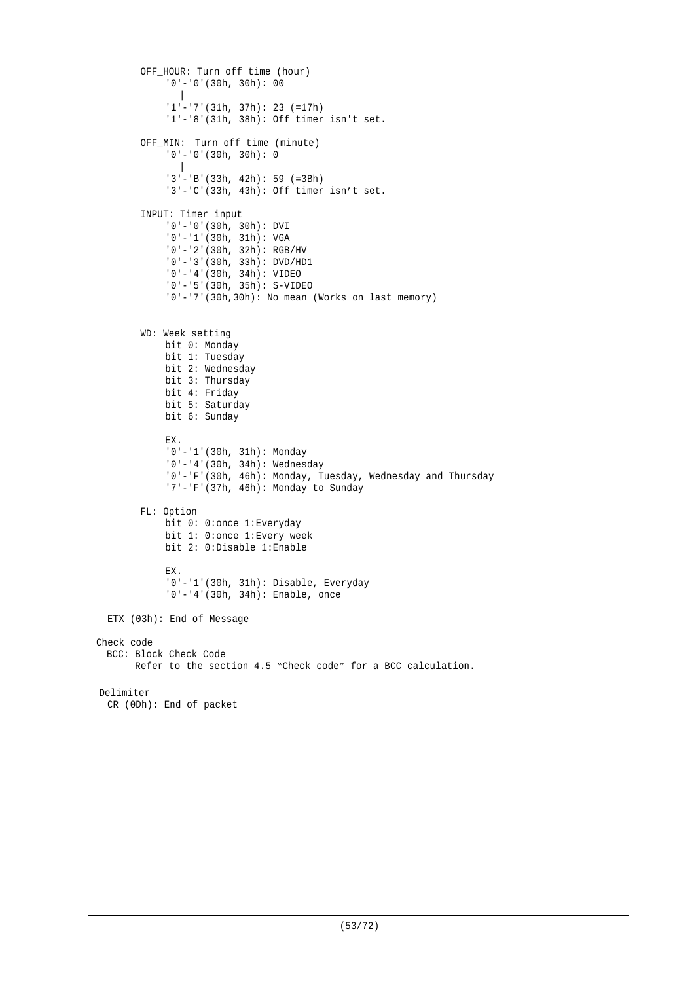```
OFF_HOUR: Turn off time (hour)
            '0'-'0'(30h, 30h): 00
              \blacksquare'1'-'7'(31h, 37h): 23 (=17h)
            '1'-'8'(31h, 38h): Off timer isn't set.
        OFF_MIN: Turn off time (minute)
            '0'-'0'(30h, 30h): 0
              \blacksquare'3'-'B'(33h, 42h): 59 (=3Bh)
            '3'-'C'(33h, 43h): Off timer isn't set.
        INPUT: Timer input
            '0'-'0'(30h, 30h): DVI
            '0'-'1'(30h, 31h): VGA
             '0'-'2'(30h, 32h): RGB/HV
             '0'-'3'(30h, 33h): DVD/HD1
             '0'-'4'(30h, 34h): VIDEO
            '0'-'5'(30h, 35h): S-VIDEO
            '0'-'7'(30h,30h): No mean (Works on last memory)
        WD: Week setting
            bit 0: Monday
            bit 1: Tuesday
            bit 2: Wednesday
            bit 3: Thursday
            bit 4: Friday
            bit 5: Saturday
            bit 6: Sunday
            EX.
            '0'-'1'(30h, 31h): Monday
            '0'-'4'(30h, 34h): Wednesday
            '0'-'F'(30h, 46h): Monday, Tuesday, Wednesday and Thursday
            '7'-'F'(37h, 46h): Monday to Sunday
        FL: Option
            bit 0: 0:once 1:Everyday
            bit 1: 0:once 1:Every week
            bit 2: 0:Disable 1:Enable
            EX.
            '0'-'1'(30h, 31h): Disable, Everyday
            '0'-'4'(30h, 34h): Enable, once
  ETX (03h): End of Message
Check code
 BCC: Block Check Code
       Refer to the section 4.5 "Check code" for a BCC calculation.
Delimiter
 CR (0Dh): End of packet
```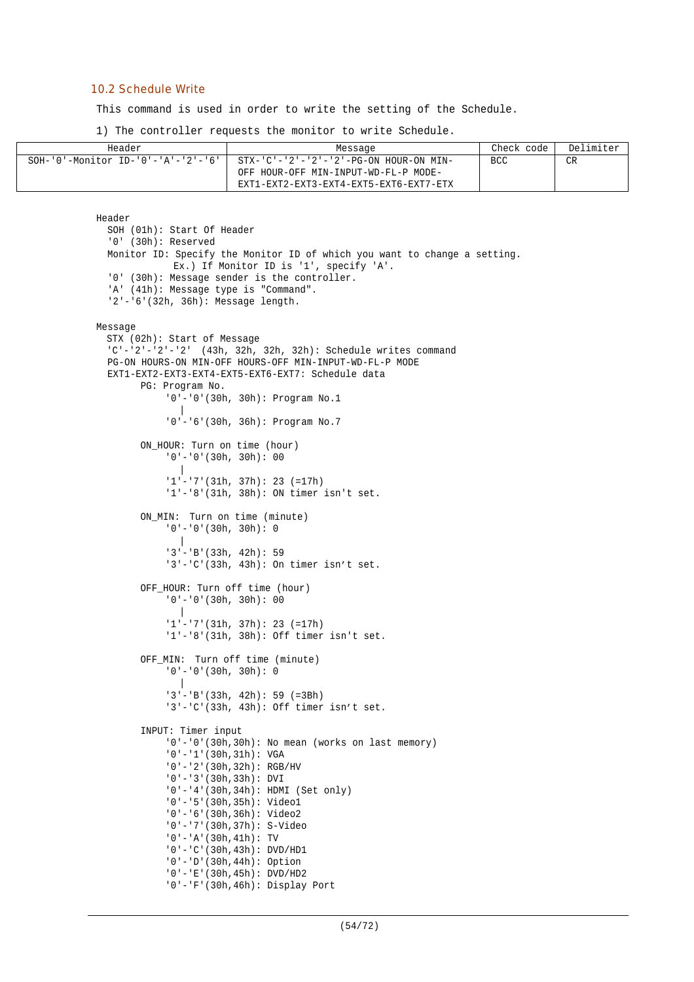#### 10.2 Schedule Write

This command is used in order to write the setting of the Schedule.

1) The controller requests the monitor to write Schedule.

| Header                                | Message                                                                                                                                   | Check code | Delimiter |
|---------------------------------------|-------------------------------------------------------------------------------------------------------------------------------------------|------------|-----------|
| $SOH-10$ '-Monitor ID-'0'-'A'-'2'-'6' | $STX - 'C' - '2' - '2' - '2' - PG - ON HOUR - ON MIN -$<br>OFF HOUR-OFF MIN-INPUT-WD-FL-P MODE-<br>EXT1-EXT2-EXT3-EXT4-EXT5-EXT6-EXT7-ETX | <b>BCC</b> | CR        |

```
Header
  SOH (01h): Start Of Header
  '0' (30h): Reserved
  Monitor ID: Specify the Monitor ID of which you want to change a setting.
             Ex.) If Monitor ID is '1', specify 'A'.
  '0' (30h): Message sender is the controller.
  'A' (41h): Message type is "Command".
  '2'-'6'(32h, 36h): Message length.
Message
 STX (02h): Start of Message
  'C'-'2'-'2'-'2' (43h, 32h, 32h, 32h): Schedule writes command
  PG-ON HOURS-ON MIN-OFF HOURS-OFF MIN-INPUT-WD-FL-P MODE
  EXT1-EXT2-EXT3-EXT4-EXT5-EXT6-EXT7: Schedule data
        PG: Program No.
             '0'-'0'(30h, 30h): Program No.1
              \blacksquare'0'-'6'(30h, 36h): Program No.7
        ON HOUR: Turn on time (hour)
            '0'-'0'(30h, 30h): 00
               |
             '1'-'7'(31h, 37h): 23 (=17h)
            '1'-'8'(31h, 38h): ON timer isn't set.
        ON_MIN: Turn on time (minute)
            '0'-'0'(30h, 30h): 0
              \blacksquare'3'-'B'(33h, 42h): 59
             '3'-'C'(33h, 43h): On timer isn't set.
        OFF_HOUR: Turn off time (hour)
             '0'-'0'(30h, 30h): 00
               |
             '1'-'7'(31h, 37h): 23 (=17h)
             '1'-'8'(31h, 38h): Off timer isn't set.
        OFF_MIN: Turn off time (minute)
             '0'-'0'(30h, 30h): 0
              \blacksquare'3'-'B'(33h, 42h): 59 (=3Bh)
            '3'-'C'(33h, 43h): Off timer isn't set.
        INPUT: Timer input
            '0'-'0'(30h,30h): No mean (works on last memory)
             '0'-'1'(30h,31h): VGA
             '0'-'2'(30h,32h): RGB/HV
             '0'-'3'(30h,33h): DVI
             '0'-'4'(30h,34h): HDMI (Set only)
            '0'-'5'(30h,35h): Video1
            '0'-'6'(30h,36h): Video2
             '0'-'7'(30h,37h): S-Video
             '0'-'A'(30h,41h): TV
             '0'-'C'(30h,43h): DVD/HD1
            '0'-'D'(30h,44h): Option
            '0'-'E'(30h,45h): DVD/HD2
            '0'-'F'(30h,46h): Display Port
```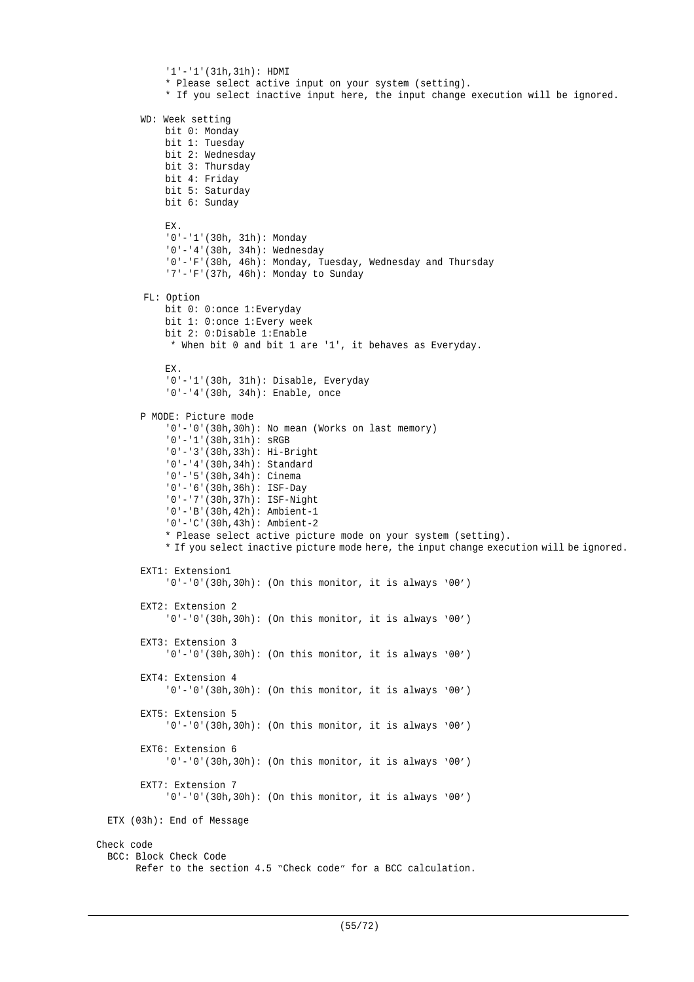```
'1'-'1'(31h,31h): HDMI
            * Please select active input on your system (setting).
            * If you select inactive input here, the input change execution will be ignored.
        WD: Week setting
            bit 0: Monday
            bit 1: Tuesday
            bit 2: Wednesday
            bit 3: Thursday
            bit 4: Friday
            bit 5: Saturday
            bit 6: Sunday
            EX.
            '0'-'1'(30h, 31h): Monday
            '0'-'4'(30h, 34h): Wednesday
            '0'-'F'(30h, 46h): Monday, Tuesday, Wednesday and Thursday
            '7'-'F'(37h, 46h): Monday to Sunday
        FL: Option
            bit 0: 0:once 1:Everyday
            bit 1: 0:once 1:Every week
            bit 2: 0:Disable 1:Enable
             * When bit 0 and bit 1 are '1', it behaves as Everyday.
            EX.
            '0'-'1'(30h, 31h): Disable, Everyday
            '0'-'4'(30h, 34h): Enable, once
        P MODE: Picture mode
            '0'-'0'(30h,30h): No mean (Works on last memory)
            '0'-'1'(30h,31h): sRGB
            '0'-'3'(30h,33h): Hi-Bright
            '0'-'4'(30h,34h): Standard
            '0'-'5'(30h,34h): Cinema
            '0'-'6'(30h,36h): ISF-Day
            '0'-'7'(30h,37h): ISF-Night
            '0'-'B'(30h,42h): Ambient-1
            '0'-'C'(30h,43h): Ambient-2
            * Please select active picture mode on your system (setting).
            * If you select inactive picture mode here, the input change execution will be ignored.
        EXT1: Extension1
            '0'-'0'(30h,30h): (On this monitor, it is always '00')
        EXT2: Extension 2
            '0'-'0'(30h,30h): (On this monitor, it is always '00')
        EXT3: Extension 3
            '0'-'0'(30h,30h): (On this monitor, it is always '00')
        EXT4: Extension 4
            '0'-'0'(30h,30h): (On this monitor, it is always '00')
        EXT5: Extension 5
            '0'-'0'(30h,30h): (On this monitor, it is always '00')
        EXT6: Extension 6
            '0'-'0'(30h,30h): (On this monitor, it is always '00')
        EXT7: Extension 7
            '0'-'0'(30h,30h): (On this monitor, it is always '00')
  ETX (03h): End of Message
Check code
  BCC: Block Check Code
        Refer to the section 4.5 "Check code" for a BCC calculation.
```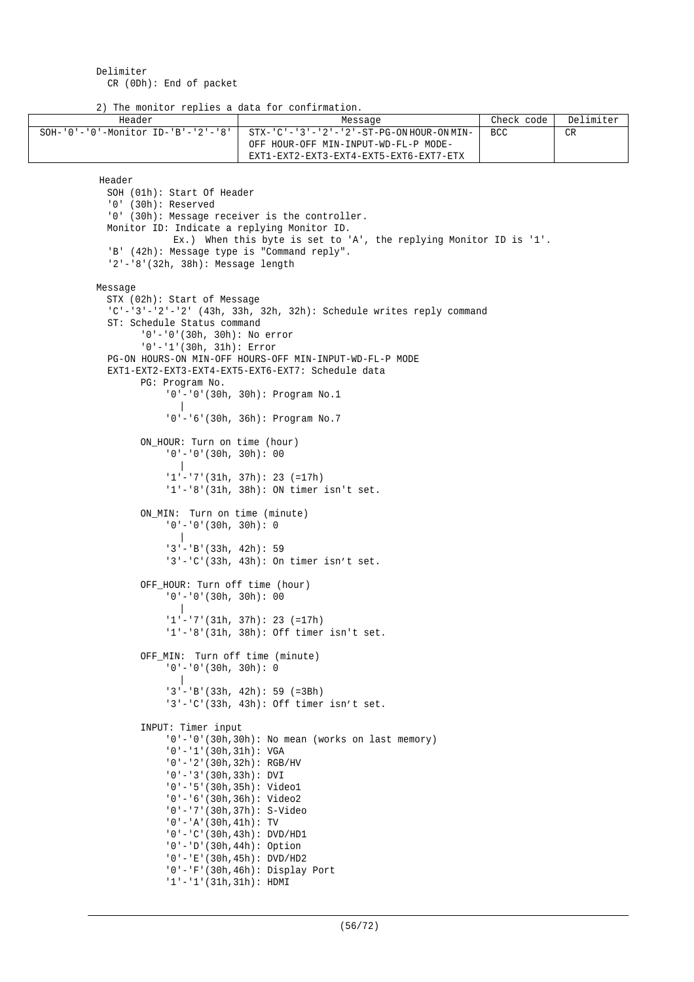2) The monitor replies a data for confirmation.

| Header                                           | -----                                                        | Message                                                                  | Check code | Delimiter |
|--------------------------------------------------|--------------------------------------------------------------|--------------------------------------------------------------------------|------------|-----------|
| $SOH - '0' - '0' - Monttor ID - 'B' - '2' - '8'$ |                                                              | STX-'C'-'3'-'2'-'2'-ST-PG-ON HOUR-ON MIN-                                | <b>BCC</b> | CR        |
|                                                  |                                                              | OFF HOUR-OFF MIN-INPUT-WD-FL-P MODE-                                     |            |           |
|                                                  |                                                              | EXT1-EXT2-EXT3-EXT4-EXT5-EXT6-EXT7-ETX                                   |            |           |
|                                                  |                                                              |                                                                          |            |           |
| Header                                           |                                                              |                                                                          |            |           |
|                                                  | SOH (01h): Start Of Header                                   |                                                                          |            |           |
| $'0'$ (30h): Reserved                            |                                                              |                                                                          |            |           |
|                                                  |                                                              | '0' (30h): Message receiver is the controller.                           |            |           |
|                                                  |                                                              | Monitor ID: Indicate a replying Monitor ID.                              |            |           |
|                                                  |                                                              | Ex.) When this byte is set to 'A', the replying Monitor ID is '1'.       |            |           |
|                                                  |                                                              | 'B' (42h): Message type is "Command reply".                              |            |           |
|                                                  | $'2' - '8'$ (32h, 38h): Message length                       |                                                                          |            |           |
|                                                  |                                                              |                                                                          |            |           |
| Message                                          |                                                              |                                                                          |            |           |
|                                                  | STX (02h): Start of Message                                  |                                                                          |            |           |
|                                                  |                                                              | $C'$ -'3'-'2'-'2' (43h, 33h, 32h, 32h): Schedule writes reply command    |            |           |
|                                                  | ST: Schedule Status command                                  |                                                                          |            |           |
|                                                  | $'0'$ -'0'(30h, 30h): No error                               |                                                                          |            |           |
|                                                  | $'0'$ -'1'(30h, 31h): Error                                  |                                                                          |            |           |
|                                                  |                                                              | PG-ON HOURS-ON MIN-OFF HOURS-OFF MIN-INPUT-WD-FL-P MODE                  |            |           |
|                                                  |                                                              | EXT1-EXT2-EXT3-EXT4-EXT5-EXT6-EXT7: Schedule data                        |            |           |
|                                                  | PG: Program No.                                              |                                                                          |            |           |
|                                                  |                                                              | $'0'$ - $'0'$ (30h, 30h): Program No.1                                   |            |           |
|                                                  |                                                              |                                                                          |            |           |
|                                                  |                                                              | $'0'$ - $'6'$ (30h, 36h): Program No.7                                   |            |           |
|                                                  |                                                              |                                                                          |            |           |
|                                                  | ON_HOUR: Turn on time (hour)<br>$'0'$ - $'0'$ (30h, 30h): 00 |                                                                          |            |           |
|                                                  |                                                              |                                                                          |            |           |
|                                                  |                                                              | $1! - 7! (31h, 37h): 23 (=17h)$                                          |            |           |
|                                                  |                                                              | $'1'$ - '8' (31h, 38h): ON timer isn't set.                              |            |           |
|                                                  |                                                              |                                                                          |            |           |
|                                                  |                                                              | ON_MIN: Turn on time (minute)                                            |            |           |
|                                                  | $'0'$ - $'0'$ (30h, 30h): 0                                  |                                                                          |            |           |
|                                                  |                                                              |                                                                          |            |           |
|                                                  | $'3'$ - 'B' (33h, 42h): 59                                   |                                                                          |            |           |
|                                                  |                                                              | $'3'$ -'C'(33h, 43h): On timer isn't set.                                |            |           |
|                                                  |                                                              |                                                                          |            |           |
|                                                  |                                                              | OFF_HOUR: Turn off time (hour)                                           |            |           |
|                                                  | $'0'$ - $'0'$ (30h, 30h): 00                                 |                                                                          |            |           |
|                                                  |                                                              | $'1'$ - '7' (31h, 37h): 23 (=17h)                                        |            |           |
|                                                  |                                                              | $'1'$ -'8'(31h, 38h): Off timer isn't set.                               |            |           |
|                                                  |                                                              |                                                                          |            |           |
|                                                  |                                                              | OFF_MIN: Turn off time (minute)                                          |            |           |
|                                                  | $'0'$ - $'0'$ (30h, 30h): 0                                  |                                                                          |            |           |
|                                                  |                                                              |                                                                          |            |           |
|                                                  |                                                              | $'3'$ - 'B' (33h, 42h): 59 (=3Bh)                                        |            |           |
|                                                  |                                                              | $'3'$ -'C'(33h, 43h): Off timer isn't set.                               |            |           |
|                                                  |                                                              |                                                                          |            |           |
|                                                  | INPUT: Timer input                                           |                                                                          |            |           |
|                                                  |                                                              | '0'-'0'(30h,30h): No mean (works on last memory)                         |            |           |
|                                                  | $'0' - '1' (30h, 31h)$ : VGA                                 |                                                                          |            |           |
|                                                  | $'0'$ - '2' (30h, 32h): RGB/HV                               |                                                                          |            |           |
|                                                  | $'0'$ - '3' (30h, 33h): DVI                                  |                                                                          |            |           |
|                                                  | $'0'$ - '5' (30h, 35h): Video1                               |                                                                          |            |           |
|                                                  | $'0'$ - '6' (30h, 36h): Video2                               |                                                                          |            |           |
|                                                  |                                                              | $'0'$ -'7'(30h,37h): S-Video                                             |            |           |
|                                                  | $'0'$ - 'A' (30h, 41h): TV                                   |                                                                          |            |           |
|                                                  |                                                              | $'0'$ - $'C'$ (30h, 43h): DVD/HD1                                        |            |           |
|                                                  | $'0'$ - 'D' (30h, 44h): Option                               |                                                                          |            |           |
|                                                  |                                                              | $'0'$ - 'E' (30h, 45h): DVD/HD2<br>$'0'$ - $F'(30h, 46h)$ : Display Port |            |           |
|                                                  | $'1'$ - $'1'$ (31h,31h): HDMI                                |                                                                          |            |           |
|                                                  |                                                              |                                                                          |            |           |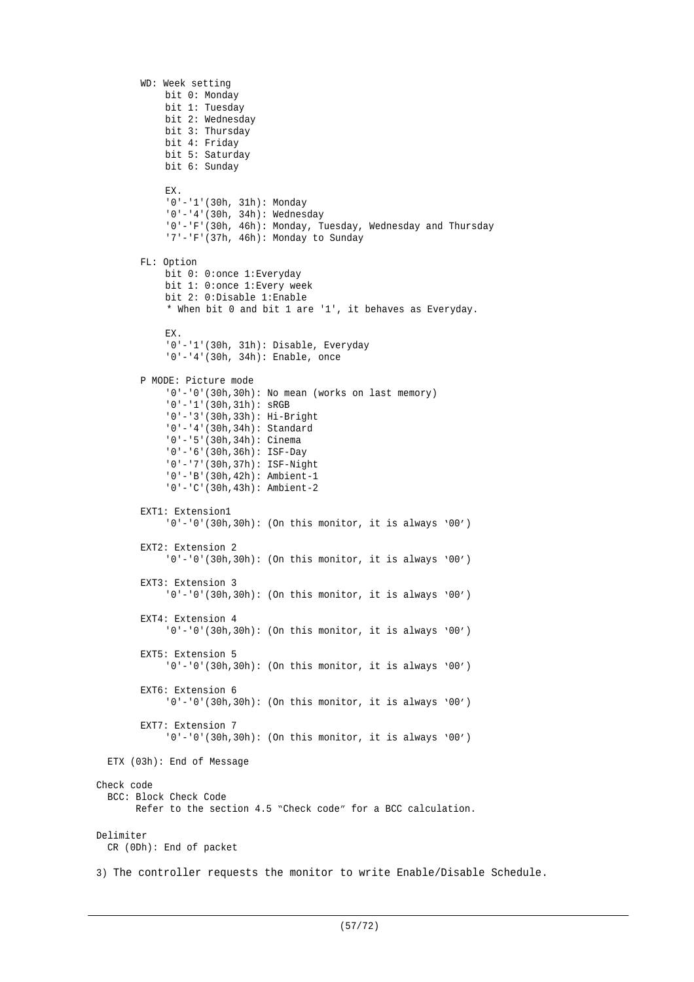```
WD: Week setting
            bit 0: Monday
            bit 1: Tuesday
            bit 2: Wednesday
            bit 3: Thursday
            bit 4: Friday
            bit 5: Saturday
            bit 6: Sunday
            EX.
            '0'-'1'(30h, 31h): Monday
            '0'-'4'(30h, 34h): Wednesday
            '0'-'F'(30h, 46h): Monday, Tuesday, Wednesday and Thursday
            '7'-'F'(37h, 46h): Monday to Sunday
       FL: Option
            bit 0: 0:once 1:Everyday
            bit 1: 0:once 1:Every week
            bit 2: 0:Disable 1:Enable
            * When bit 0 and bit 1 are '1', it behaves as Everyday.
            EX.
            '0'-'1'(30h, 31h): Disable, Everyday
            '0'-'4'(30h, 34h): Enable, once
       P MODE: Picture mode
            '0'-'0'(30h,30h): No mean (works on last memory)
            '0'-'1'(30h,31h): sRGB
            '0'-'3'(30h,33h): Hi-Bright
            '0'-'4'(30h,34h): Standard
            '0'-'5'(30h,34h): Cinema
            '0'-'6'(30h,36h): ISF-Day
            '0'-'7'(30h,37h): ISF-Night
            '0'-'B'(30h,42h): Ambient-1
            '0'-'C'(30h,43h): Ambient-2
       EXT1: Extension1
            '0'-'0'(30h,30h): (On this monitor, it is always '00')
       EXT2: Extension 2
            '0'-'0'(30h,30h): (On this monitor, it is always '00')
       EXT3: Extension 3
            '0'-'0'(30h,30h): (On this monitor, it is always '00')
       EXT4: Extension 4
            '0'-'0'(30h,30h): (On this monitor, it is always '00')
       EXT5: Extension 5
            '0'-'0'(30h,30h): (On this monitor, it is always '00')
       EXT6: Extension 6
            '0'-'0'(30h,30h): (On this monitor, it is always '00')
       EXT7: Extension 7
            '0'-'0'(30h,30h): (On this monitor, it is always '00')
  ETX (03h): End of Message
Check code
  BCC: Block Check Code
        Refer to the section 4.5 "Check code" for a BCC calculation.
Delimiter
  CR (0Dh): End of packet
3) The controller requests the monitor to write Enable/Disable Schedule.
```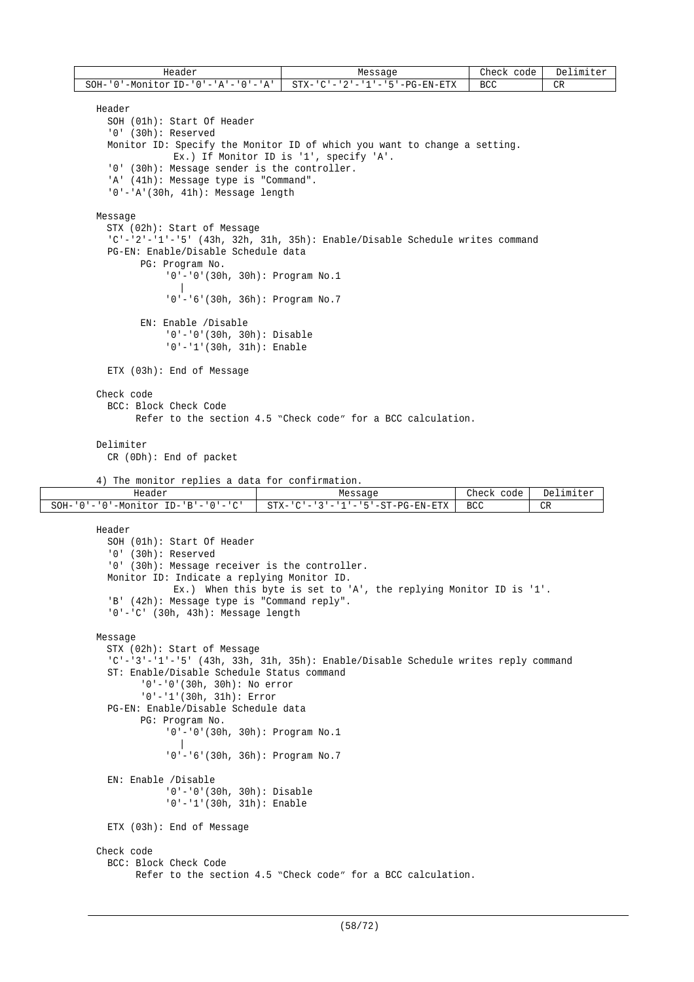| Header          | Messaqe                                                       | Check<br>code | Delimiter |
|-----------------|---------------------------------------------------------------|---------------|-----------|
| SOH-'、<br>י ה י | '-Monitor ID-'0'-'A'-'0'-'A'    STX-'C'-'2'-'1'-'5'-PG-EN-ETX | BCC           | CR        |

```
Header
```

```
SOH (01h): Start Of Header
  '0' (30h): Reserved
  Monitor ID: Specify the Monitor ID of which you want to change a setting.
             Ex.) If Monitor ID is '1', specify 'A'.
  '0' (30h): Message sender is the controller.
  'A' (41h): Message type is "Command".
  '0'-'A'(30h, 41h): Message length
Message
  STX (02h): Start of Message
  'C'-'2'-'1'-'5' (43h, 32h, 31h, 35h): Enable/Disable Schedule writes command
  PG-EN: Enable/Disable Schedule data
        PG: Program No.
            '0'-'0'(30h, 30h): Program No.1
               |
             '0'-'6'(30h, 36h): Program No.7
        EN: Enable /Disable
```
'0'-'0'(30h, 30h): Disable '0'-'1'(30h, 31h): Enable

ETX (03h): End of Message

# Check code

BCC: Block Check Code Refer to the section 4.5 "Check code" for a BCC calculation.

### Delimiter

CR (0Dh): End of packet

```
4) The monitor replies a data for confirmation.
```

| Header                                                                                                                            | Messagr                                                                                      | Check<br>code    | Delimiter<br>$F \cap r$ |
|-----------------------------------------------------------------------------------------------------------------------------------|----------------------------------------------------------------------------------------------|------------------|-------------------------|
| SOH-<br>$\sim$<br>$ID-$<br>- -<br>$+ \cap r$<br>-Mor<br>− ⊢<br>$\overline{\phantom{a}}$<br>$\overline{\phantom{a}}$<br><br>$\sim$ | $T-T-G-EN-L$<br><b>DEA</b><br>C <sub>max</sub><br>-<br>$-$<br>$\sim$ $\sim$ $\sim$<br>$\sim$ | <b>BCC</b><br>__ | CR<br>$\sim$            |

```
Header
  SOH (01h): Start Of Header
  '0' (30h): Reserved
  '0' (30h): Message receiver is the controller.
  Monitor ID: Indicate a replying Monitor ID.
             Ex.) When this byte is set to 'A', the replying Monitor ID is '1'.
  'B' (42h): Message type is "Command reply".
  '0'-'C' (30h, 43h): Message length
Message
  STX (02h): Start of Message
  'C'-'3'-'1'-'5' (43h, 33h, 31h, 35h): Enable/Disable Schedule writes reply command
  ST: Enable/Disable Schedule Status command
        '0'-'0'(30h, 30h): No error
        '0'-'1'(30h, 31h): Error
  PG-EN: Enable/Disable Schedule data
        PG: Program No.
            '0'-'0'(30h, 30h): Program No.1
               |
            '0'-'6'(30h, 36h): Program No.7
  EN: Enable /Disable
            '0'-'0'(30h, 30h): Disable
            '0'-'1'(30h, 31h): Enable
  ETX (03h): End of Message
Check code
  BCC: Block Check Code
        Refer to the section 4.5 "Check code" for a BCC calculation.
```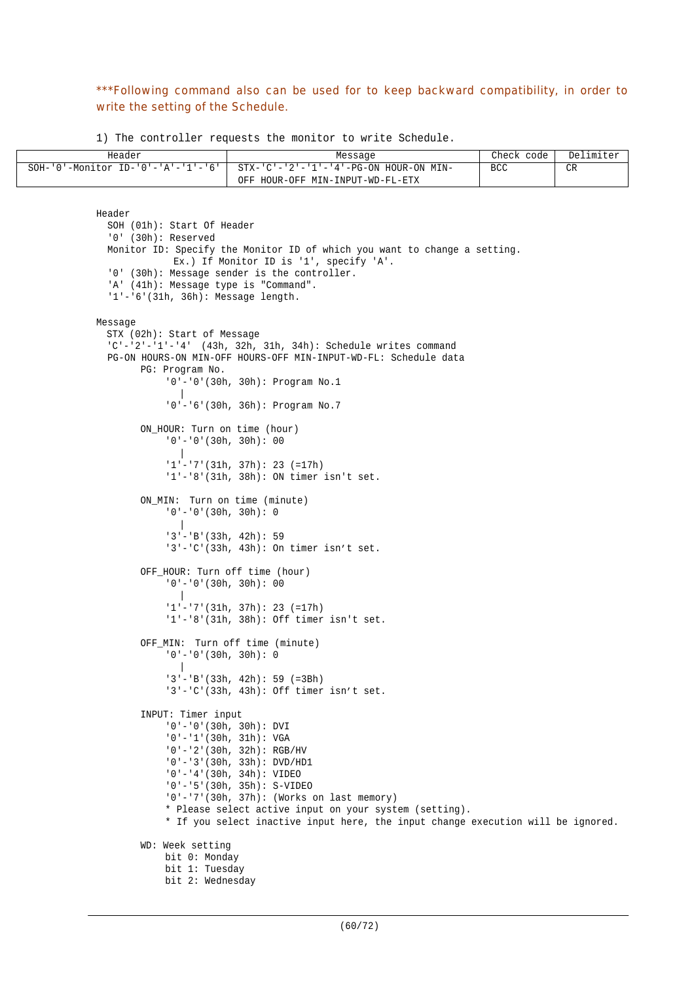# \*\*\*Following command also can be used for to keep backward compatibility, in order to write the setting of the Schedule.

1) The controller requests the monitor to write Schedule.

| Header | Message                                                                     | Check code I | Delimiter   |
|--------|-----------------------------------------------------------------------------|--------------|-------------|
|        | SOH-'0'-Monitor ID-'0'-'A'-'1'-'6'   STX-'C'-'2'-'1'-'4'-PG-ON HOUR-ON MIN- | <b>BCC</b>   | $\cap$<br>◡ |
|        | OFF HOUR-OFF MIN-INPUT-WD-FL-ETX                                            |              |             |

```
Header
  SOH (01h): Start Of Header
  '0' (30h): Reserved
  Monitor ID: Specify the Monitor ID of which you want to change a setting.
             Ex.) If Monitor ID is '1', specify 'A'.
  '0' (30h): Message sender is the controller.
  'A' (41h): Message type is "Command".
  '1'-'6'(31h, 36h): Message length.
Message
  STX (02h): Start of Message
  'C'-'2'-'1'-'4' (43h, 32h, 31h, 34h): Schedule writes command
  PG-ON HOURS-ON MIN-OFF HOURS-OFF MIN-INPUT-WD-FL: Schedule data
        PG: Program No.
            '0'-'0'(30h, 30h): Program No.1
               |
            '0'-'6'(30h, 36h): Program No.7
        ON HOUR: Turn on time (hour)
            '0'-'0'(30h, 30h): 00
              |
            '1'-'7'(31h, 37h): 23 (=17h)
            '1'-'8'(31h, 38h): ON timer isn't set.
        ON_MIN: Turn on time (minute)
            '0'-'0'(30h, 30h): 0
               |
            '3'-'B'(33h, 42h): 59
            '3'-'C'(33h, 43h): On timer isn't set.
        OFF_HOUR: Turn off time (hour)
            '0'-'0'(30h, 30h): 00
               |
            '1'-'7'(31h, 37h): 23 (=17h)
            '1'-'8'(31h, 38h): Off timer isn't set.
        OFF_MIN: Turn off time (minute)
            '0'-'0'(30h, 30h): 0
               |
            '3'-'B'(33h, 42h): 59 (=3Bh)
            '3'-'C'(33h, 43h): Off timer isn't set.
        INPUT: Timer input
            '0'-'0'(30h, 30h): DVI
            '0'-'1'(30h, 31h): VGA
            '0'-'2'(30h, 32h): RGB/HV
            '0'-'3'(30h, 33h): DVD/HD1
            '0'-'4'(30h, 34h): VIDEO
             '0'-'5'(30h, 35h): S-VIDEO
             '0'-'7'(30h, 37h): (Works on last memory)
            * Please select active input on your system (setting).
            * If you select inactive input here, the input change execution will be ignored.
        WD: Week setting
            bit 0: Monday
            bit 1: Tuesday
            bit 2: Wednesday
```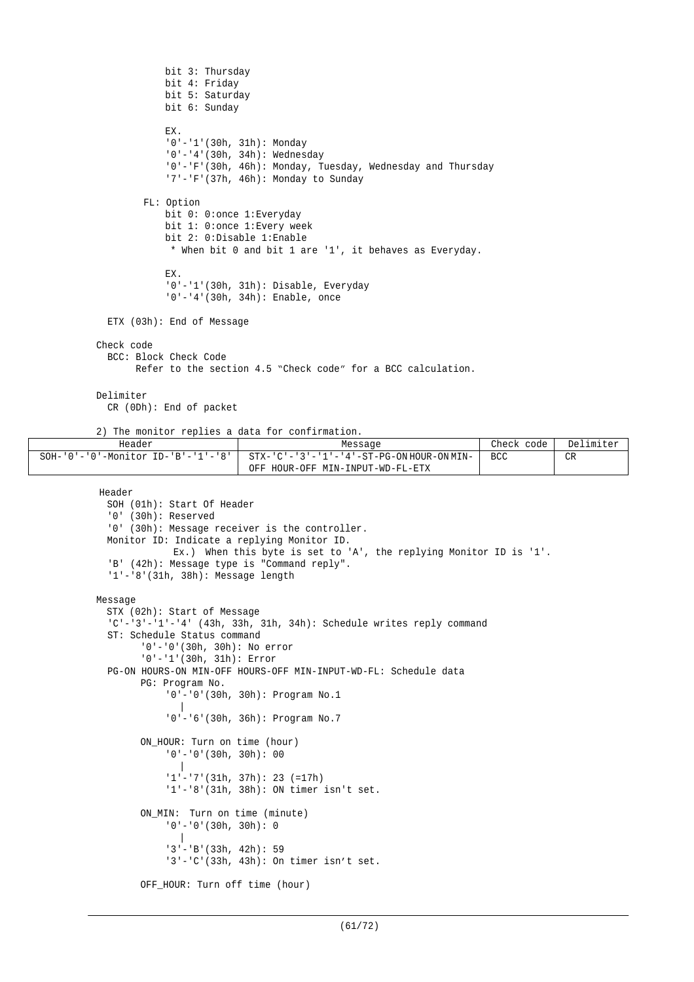```
bit 3: Thursday
            bit 4: Friday
            bit 5: Saturday
            bit 6: Sunday
            EX.
            '0'-'1'(30h, 31h): Monday
            '0'-'4'(30h, 34h): Wednesday
            '0'-'F'(30h, 46h): Monday, Tuesday, Wednesday and Thursday
            '7'-'F'(37h, 46h): Monday to Sunday
        FL: Option
            bit 0: 0: once 1: Everyday
            bit 1: 0:once 1:Every week
            bit 2: 0:Disable 1:Enable
             * When bit 0 and bit 1 are '1', it behaves as Everyday.
            EX.
            '0'-'1'(30h, 31h): Disable, Everyday
            '0'-'4'(30h, 34h): Enable, once
 ETX (03h): End of Message
Check code
  BCC: Block Check Code
        Refer to the section 4.5 "Check code" for a BCC calculation.
Delimiter
  CR (0Dh): End of packet
```
2) The monitor replies a data for confirmation.

| Header                                           | Message                                   | Check<br>code l | Delimiter |
|--------------------------------------------------|-------------------------------------------|-----------------|-----------|
| $SOH - '0' - '0' - Monttor ID - 'B' - '1' - '8'$ | STX-'C'-'3'-'1'-'4'-ST-PG-ON HOUR-ON MIN- | <b>BCC</b>      | <b>CR</b> |
|                                                  | OFF HOUR-OFF MIN-INPUT-WD-FL-ETX          |                 |           |

Header

```
SOH (01h): Start Of Header
  '0' (30h): Reserved
  '0' (30h): Message receiver is the controller.
 Monitor ID: Indicate a replying Monitor ID.
             Ex.) When this byte is set to 'A', the replying Monitor ID is '1'.
  'B' (42h): Message type is "Command reply".
  '1'-'8'(31h, 38h): Message length
Message
  STX (02h): Start of Message
  'C'-'3'-'1'-'4' (43h, 33h, 31h, 34h): Schedule writes reply command
  ST: Schedule Status command
        '0'-'0'(30h, 30h): No error
        '0'-'1'(30h, 31h): Error
  PG-ON HOURS-ON MIN-OFF HOURS-OFF MIN-INPUT-WD-FL: Schedule data
        PG: Program No.
            '0'-'0'(30h, 30h): Program No.1
               |
            '0'-'6'(30h, 36h): Program No.7
        ON_HOUR: Turn on time (hour)
            '0'-'0'(30h, 30h): 00
               |
             '1'-'7'(31h, 37h): 23 (=17h)
            '1'-'8'(31h, 38h): ON timer isn't set.
        ON_MIN: Turn on time (minute)
            '0'-'0'(30h, 30h): 0
               |
             '3'-'B'(33h, 42h): 59
            '3'-'C'(33h, 43h): On timer isn't set.
        OFF_HOUR: Turn off time (hour)
```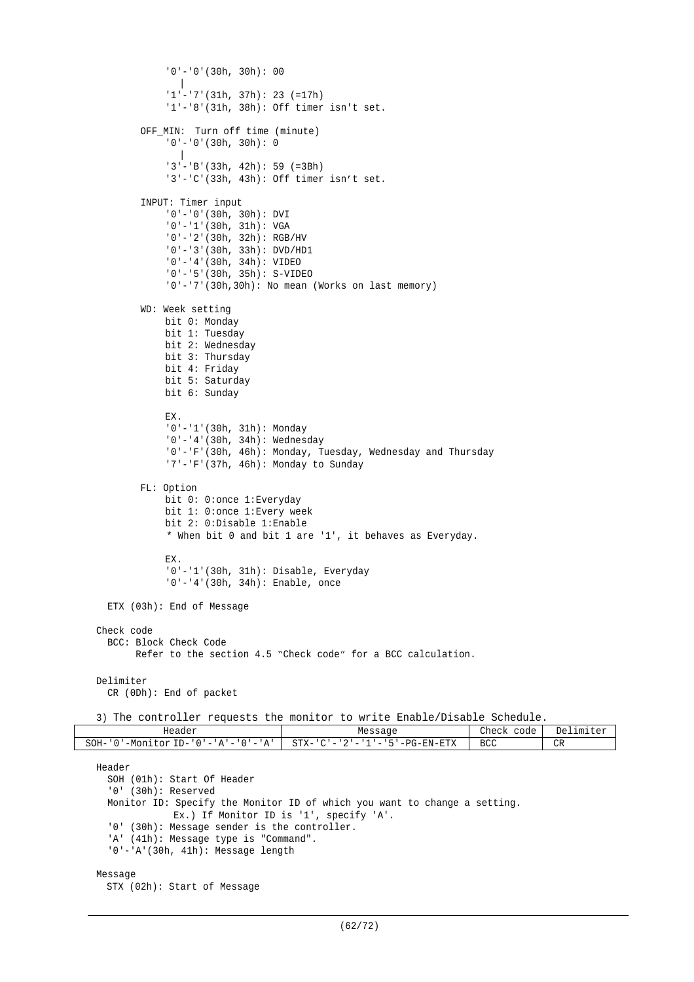```
'0'-'0'(30h, 30h): 00
               |
              '1'-'7'(31h, 37h): 23 (=17h)
              '1'-'8'(31h, 38h): Off timer isn't set.
         OFF_MIN: Turn off time (minute)
              12...<br>10' - 10' (30h, 30h): 0|
              '3'-'B'(33h, 42h): 59 (=3Bh)
              '3'-'C'(33h, 43h): Off timer isn't set.
         INPUT: Timer input
              '0'-'0'(30h, 30h): DVI
              '0'-'1'(30h, 31h): VGA
              '0'-'2'(30h, 32h): RGB/HV
              '0'-'3'(30h, 33h): DVD/HD1
              '0'-'4'(30h, 34h): VIDEO
              '0'-'5'(30h, 35h): S-VIDEO
              '0'-'7'(30h,30h): No mean (Works on last memory)
         WD: Week setting
             bit 0: Monday
             bit 1: Tuesday
             bit 2: Wednesday
             bit 3: Thursday
             bit 4: Friday
             bit 5: Saturday
             bit 6: Sunday
             EX.
              '0'-'1'(30h, 31h): Monday
              '0'-'4'(30h, 34h): Wednesday
              '0'-'F'(30h, 46h): Monday, Tuesday, Wednesday and Thursday
              '7'-'F'(37h, 46h): Monday to Sunday
         FL: Option
             bit 0: 0:once 1:Everyday
             bit 1: 0:once 1:Every week
              bit 2: 0:Disable 1:Enable
              * When bit 0 and bit 1 are '1', it behaves as Everyday.
             EX.
              '0'-'1'(30h, 31h): Disable, Everyday
              '0'-'4'(30h, 34h): Enable, once
   ETX (03h): End of Message
 Check code
   BCC: Block Check Code
         Refer to the section 4.5 "Check code" for a BCC calculation.
 Delimiter
   CR (0Dh): End of packet
 3) The controller requests the monitor to write Enable/Disable Schedule.
             Header Message Check code Delimiter
SOH - '0' - Monitor ID - '0' - 'A' - '0' - 'A' STX - 'C' - '2' - '1' - '5' - PG-EN-ETX BCC CR
 Header
   SOH (01h): Start Of Header
   '0' (30h): Reserved
   Monitor ID: Specify the Monitor ID of which you want to change a setting.
              Ex.) If Monitor ID is '1', specify 'A'.
   '0' (30h): Message sender is the controller.
   'A' (41h): Message type is "Command".
    '0'-'A'(30h, 41h): Message length
 Message
```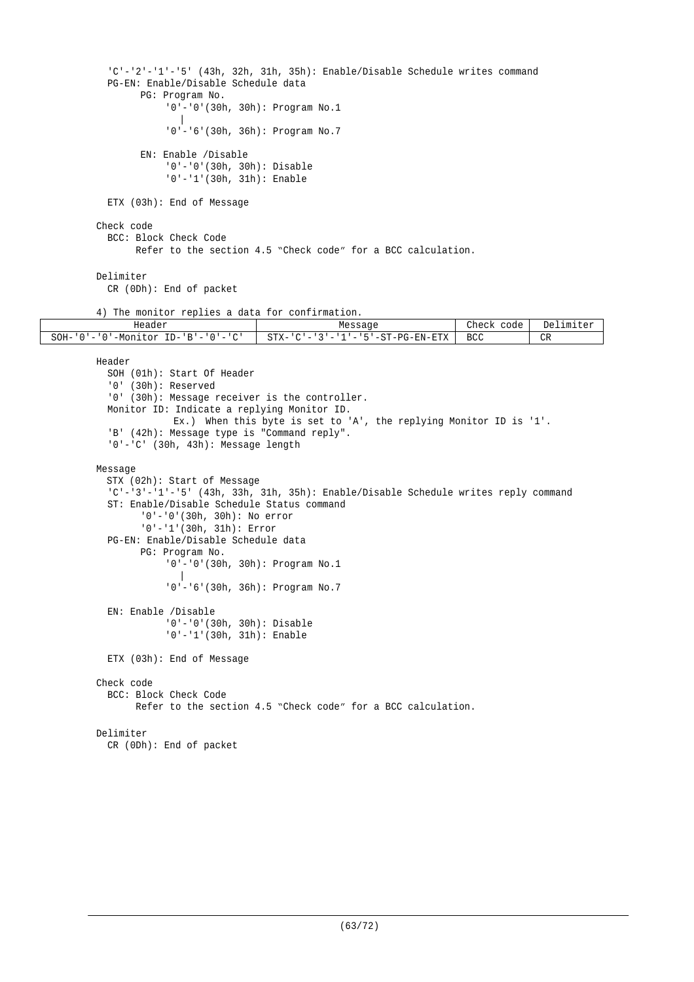```
'C'-'2'-'1'-'5' (43h, 32h, 31h, 35h): Enable/Disable Schedule writes command
          PG-EN: Enable/Disable Schedule data
                PG: Program No.
                    '0'-'0'(30h, 30h): Program No.1
                       |
                    '0'-'6'(30h, 36h): Program No.7
                EN: Enable /Disable
                    '0'-'0'(30h, 30h): Disable
                    '0'-'1'(30h, 31h): Enable
          ETX (03h): End of Message
        Check code
          BCC: Block Check Code
               Refer to the section 4.5 "Check code" for a BCC calculation.
        Delimiter
          CR (0Dh): End of packet
        4) The monitor replies a data for confirmation.<br>Header
                                      Message Check code Delimiter<br>
STX-'C'-'3'-'1'-'5'-ST-PG-EN-ETX BCC CR
SOH-'0'-'0'-Monitor ID-'B'-'0'-'C' STX-'C'-'3'-'1'-'5'-ST-PG-EN-ETX BCC CR
        Header
          SOH (01h): Start Of Header
          '0' (30h): Reserved
          '0' (30h): Message receiver is the controller.
          Monitor ID: Indicate a replying Monitor ID.
                     Ex.) When this byte is set to 'A', the replying Monitor ID is '1'.
          'B' (42h): Message type is "Command reply".
          '0'-'C' (30h, 43h): Message length
        Message
          STX (02h): Start of Message
          'C'-'3'-'1'-'5' (43h, 33h, 31h, 35h): Enable/Disable Schedule writes reply command
          ST: Enable/Disable Schedule Status command
                '0'-'0'(30h, 30h): No error
                '0'-'1'(30h, 31h): Error
          PG-EN: Enable/Disable Schedule data
                PG: Program No.
                    '0'-'0'(30h, 30h): Program No.1
                       |
                     '0'-'6'(30h, 36h): Program No.7
          EN: Enable /Disable
                     '0'-'0'(30h, 30h): Disable
                     '0'-'1'(30h, 31h): Enable
         ETX (03h): End of Message
        Check code
         BCC: Block Check Code
                Refer to the section 4.5 "Check code" for a BCC calculation.
        Delimiter
          CR (0Dh): End of packet
```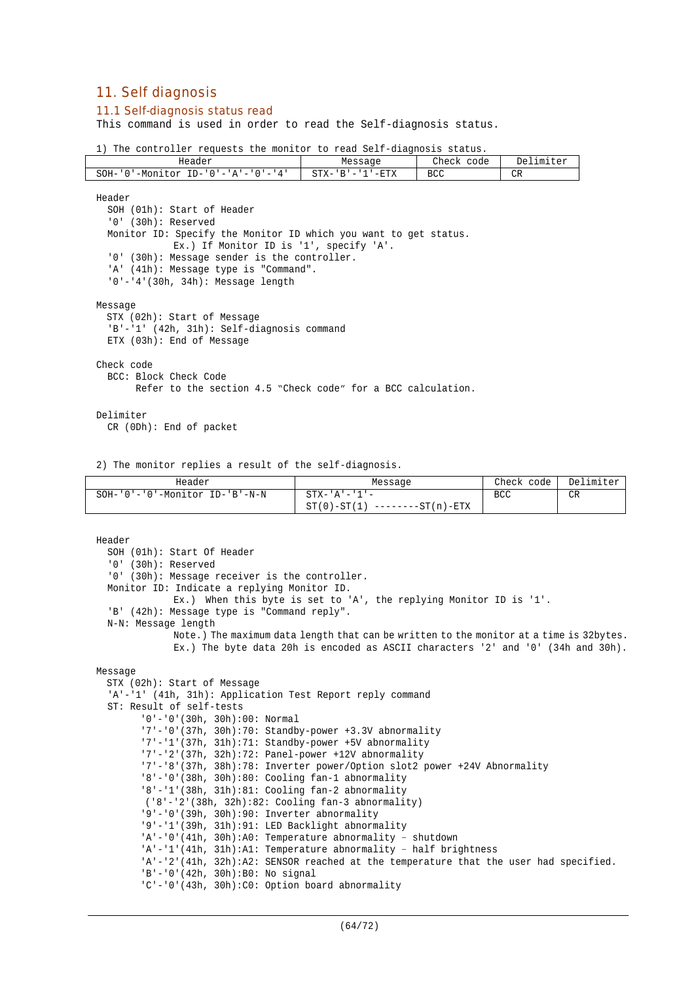# 11. Self diagnosis

### 11.1 Self-diagnosis status read

This command is used in order to read the Self-diagnosis status.

1) The controller requests the monitor to read Self-diagnosis status.

| Header                                                                 | Message                           | Check<br>code | De]<br>$F \cap Y$<br>.ımıter |
|------------------------------------------------------------------------|-----------------------------------|---------------|------------------------------|
| SOH-<br>$TD -$<br>-Moni<br>4<br>⊤nr<br>' () ' = ' A ' = ' () ' = '<br> | $-ETX$<br>$STX-$<br>R<br>-<br>--- | <b>BCC</b>    | CR                           |

Header SOH (01h): Start of Header '0' (30h): Reserved Monitor ID: Specify the Monitor ID which you want to get status. Ex.) If Monitor ID is '1', specify 'A'. '0' (30h): Message sender is the controller. 'A' (41h): Message type is "Command". '0'-'4'(30h, 34h): Message length Message STX (02h): Start of Message 'B'-'1' (42h, 31h): Self-diagnosis command ETX (03h): End of Message Check code BCC: Block Check Code Refer to the section 4.5 "Check code" for a BCC calculation. Delimiter

CR (0Dh): End of packet

2) The monitor replies a result of the self-diagnosis.

| Header                               | Message                           | Check code | Delimiter |
|--------------------------------------|-----------------------------------|------------|-----------|
| $SOH-101-101-10$ -Monitor ID-1B'-N-N | $STX - 'A' - '1' -$               | BCC        | CR        |
|                                      | $ST(0) - ST(1)$ --------ST(n)-ETX |            |           |

```
Header
  SOH (01h): Start Of Header
  '0' (30h): Reserved
  '0' (30h): Message receiver is the controller.
  Monitor ID: Indicate a replying Monitor ID.
             Ex.) When this byte is set to 'A', the replying Monitor ID is '1'.
  'B' (42h): Message type is "Command reply".
  N-N: Message length
             Note.) The maximum data length that can be written to the monitor at a time is 32bytes.
              Ex.) The byte data 20h is encoded as ASCII characters '2' and '0' (34h and 30h).
Message
  STX (02h): Start of Message
  'A'-'1' (41h, 31h): Application Test Report reply command
  ST: Result of self-tests
        '0'-'0'(30h, 30h):00: Normal
        '7'-'0'(37h, 30h):70: Standby-power +3.3V abnormality
        '7'-'1'(37h, 31h):71: Standby-power +5V abnormality
        '7'-'2'(37h, 32h):72: Panel-power +12V abnormality
        '7'-'8'(37h, 38h):78: Inverter power/Option slot2 power +24V Abnormality
        '8'-'0'(38h, 30h):80: Cooling fan-1 abnormality
        '8'-'1'(38h, 31h):81: Cooling fan-2 abnormality
        ('8'-'2'(38h, 32h):82: Cooling fan-3 abnormality)
        '9'-'0'(39h, 30h):90: Inverter abnormality
        '9'-'1'(39h, 31h):91: LED Backlight abnormality
        'A'-'0'(41h, 30h):A0: Temperature abnormality – shutdown
        'A'-'1'(41h, 31h):A1: Temperature abnormality – half brightness
        'A'-'2'(41h, 32h):A2: SENSOR reached at the temperature that the user had specified.
        'B'-'0'(42h, 30h):B0: No signal
        'C'-'0'(43h, 30h):C0: Option board abnormality
```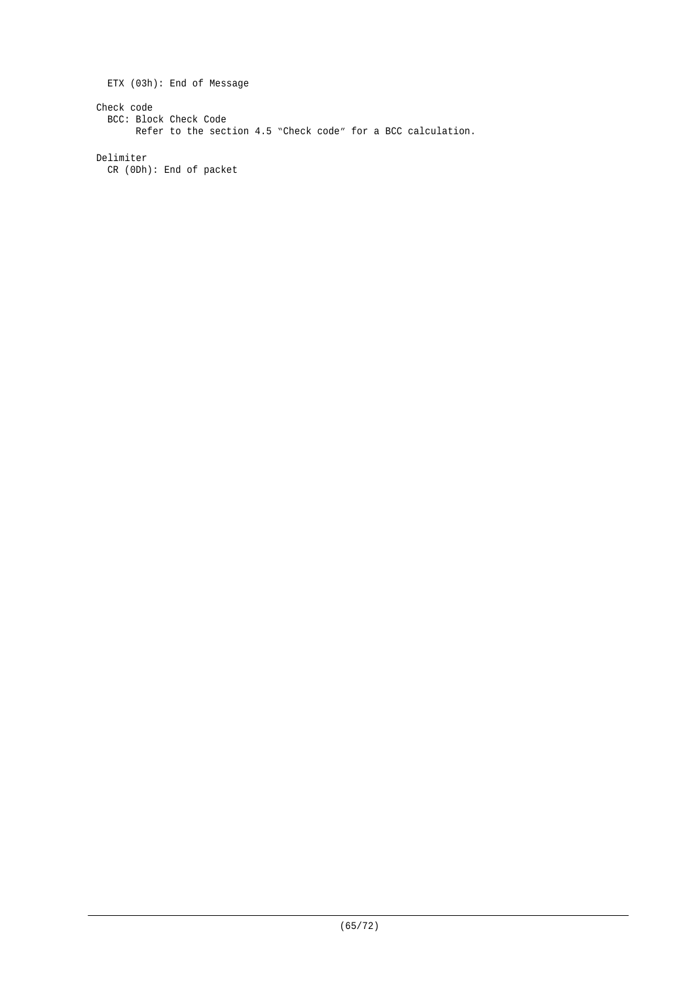ETX (03h): End of Message Check code BCC: Block Check Code Refer to the section 4.5 "Check code" for a BCC calculation.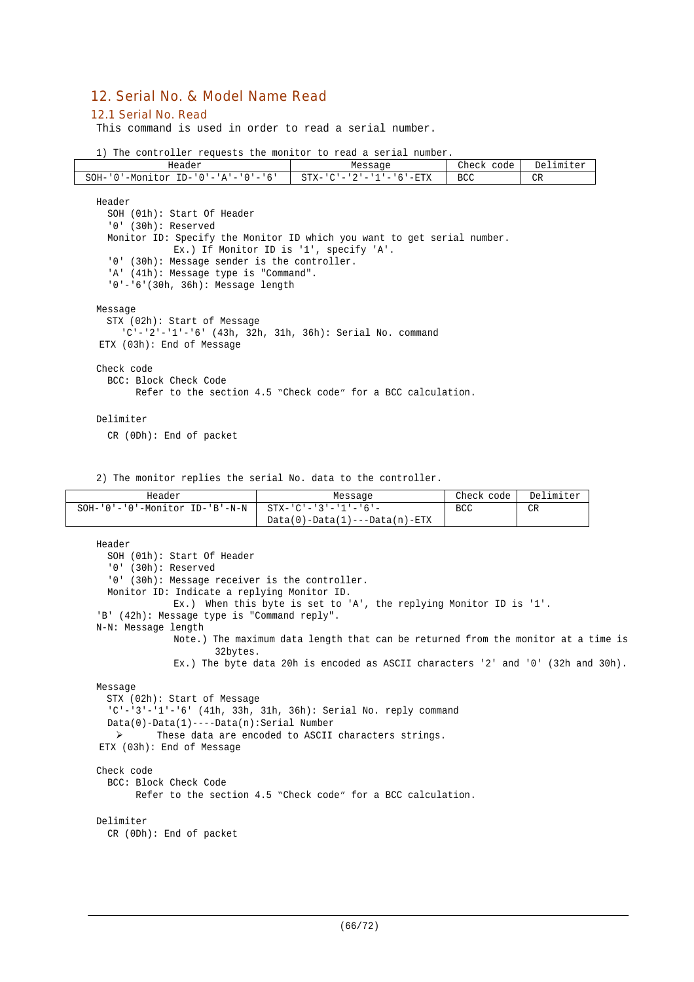# 12. Serial No. & Model Name Read

#### 12.1 Serial No. Read

This command is used in order to read a serial number.

|  |  | 1) The controller requests the monitor to read a serial number. |  |  |  |  |  |  |  |  |
|--|--|-----------------------------------------------------------------|--|--|--|--|--|--|--|--|
|--|--|-----------------------------------------------------------------|--|--|--|--|--|--|--|--|

| Header                                                                                                                                                                                                                                                                                                                 | Message                                                      | Check code | Delimiter      |
|------------------------------------------------------------------------------------------------------------------------------------------------------------------------------------------------------------------------------------------------------------------------------------------------------------------------|--------------------------------------------------------------|------------|----------------|
| $SOH - '0' - Monitor ID - '0' - 'A' - '0' - '6'$                                                                                                                                                                                                                                                                       | $STX - 'C' - '2' - '1' - '6' - ETX$                          | <b>BCC</b> | C <sub>R</sub> |
| Header<br>SOH (01h): Start Of Header<br>$'0'$ (30h): Reserved<br>Monitor ID: Specify the Monitor ID which you want to get serial number.<br>Ex.) If Monitor ID is '1', specify 'A'.<br>'0' (30h): Message sender is the controller.<br>'A' (41h): Message type is "Command".<br>$'0' - '6'$ (30h, 36h): Message length |                                                              |            |                |
| Message<br>STX (02h): Start of Message<br>'C'-'2'-'1'-'6' (43h, 32h, 31h, 36h): Serial No. command<br>ETX (03h): End of Message                                                                                                                                                                                        |                                                              |            |                |
| Check code<br>BCC: Block Check Code                                                                                                                                                                                                                                                                                    | Refer to the section 4.5 "Check code" for a BCC calculation. |            |                |
| Delimiter<br>$CR$ (ODh): End of packet                                                                                                                                                                                                                                                                                 |                                                              |            |                |

2) The monitor replies the serial No. data to the controller.

| Header                                                | Message                         | Check code | Delimiter |
|-------------------------------------------------------|---------------------------------|------------|-----------|
| SOH-'0'-'0'-Monitor ID-'B'-N-N   STX-'C'-'3'-'1'-'6'- |                                 | <b>BCC</b> | CR        |
|                                                       | $Data(0)-Data(1)---Data(n)-ETX$ |            |           |

```
Header
  SOH (01h): Start Of Header
  '0' (30h): Reserved
 '0' (30h): Message receiver is the controller.
 Monitor ID: Indicate a replying Monitor ID.
             Ex.) When this byte is set to 'A', the replying Monitor ID is '1'.
'B' (42h): Message type is "Command reply".
N-N: Message length
             Note.) The maximum data length that can be returned from the monitor at a time is
                    32bytes.
             Ex.) The byte data 20h is encoded as ASCII characters '2' and '0' (32h and 30h).
Message
 STX (02h): Start of Message
  'C'-'3'-'1'-'6' (41h, 33h, 31h, 36h): Serial No. reply command
 Data(0)-Data(1)----Data(n):Serial Number
  > These data are encoded to ASCII characters strings.
ETX (03h): End of Message
Check code
 BCC: Block Check Code
       Refer to the section 4.5 "Check code" for a BCC calculation.
Delimiter
 CR (0Dh): End of packet
```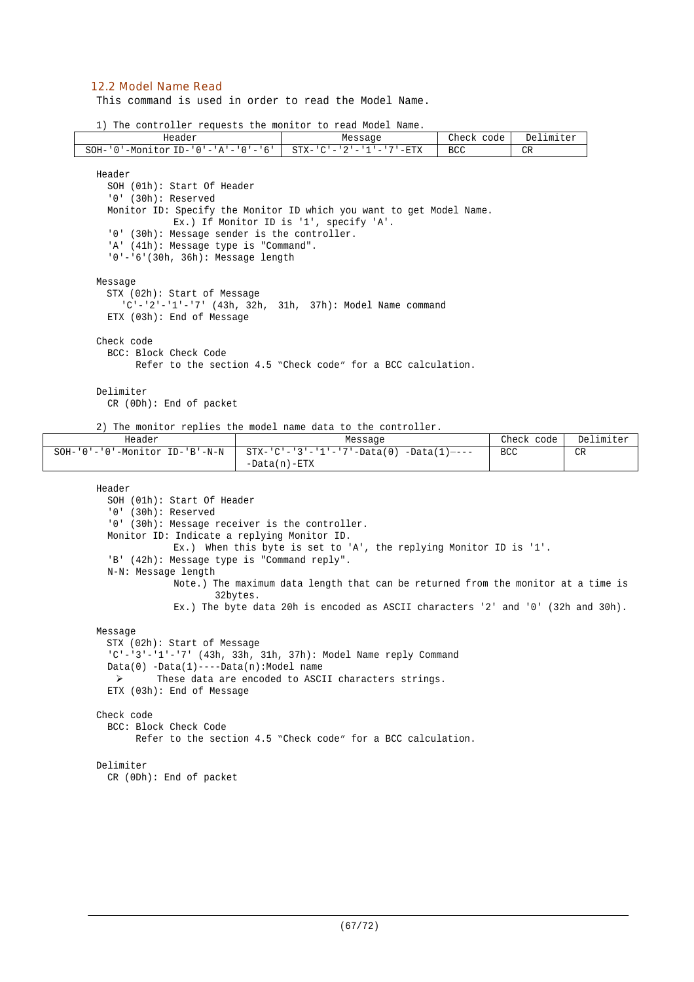### 12.2 Model Name Read

This command is used in order to read the Model Name.

1) The controller requests the monitor to read Model Name.

| Header                                                                                                                                                                                                                               |          | Message                                                                                                                                                                                                                                         | Check code | Delimiter  |           |
|--------------------------------------------------------------------------------------------------------------------------------------------------------------------------------------------------------------------------------------|----------|-------------------------------------------------------------------------------------------------------------------------------------------------------------------------------------------------------------------------------------------------|------------|------------|-----------|
| SOH- $'0'$ -Monitor ID- $'0'$ -'A'-'0'-'6'                                                                                                                                                                                           |          | $STX - 'C' - '2' - '1' - '7' - ETX$                                                                                                                                                                                                             | <b>BCC</b> | CR         |           |
| Header<br>SOH (01h): Start Of Header<br>'0' (30h): Reserved<br>'0' (30h): Message sender is the controller.<br>'A' (41h): Message type is "Command".<br>'0'-'6'(30h, 36h): Message length                                            |          | Monitor ID: Specify the Monitor ID which you want to get Model Name.<br>Ex.) If Monitor ID is '1', specify 'A'.                                                                                                                                 |            |            |           |
| Message<br>STX (02h): Start of Message<br>ETX (03h): End of Message                                                                                                                                                                  |          | 'C'-'2'-'1'-'7' (43h, 32h, 31h, 37h): Model Name command                                                                                                                                                                                        |            |            |           |
| Check code<br>BCC: Block Check Code                                                                                                                                                                                                  |          | Refer to the section 4.5 "Check code" for a BCC calculation.                                                                                                                                                                                    |            |            |           |
| Delimiter<br>CR (ODh): End of packet                                                                                                                                                                                                 |          | 2) The monitor replies the model name data to the controller.                                                                                                                                                                                   |            |            |           |
| Header                                                                                                                                                                                                                               |          | Message                                                                                                                                                                                                                                         |            | Check code | Delimiter |
| SOH-'0'-'0'-Monitor ID-'B'-N-N                                                                                                                                                                                                       |          | $STX - 'C' - '3' - '1' - '7' - Data(0) - Data(1) - -$<br>$-Data(n) - ETX$                                                                                                                                                                       |            | <b>BCC</b> | <b>CR</b> |
| Header<br>SOH (01h): Start Of Header<br>$'0'$ (30h): Reserved<br>'0' (30h): Message receiver is the controller.<br>Monitor ID: Indicate a replying Monitor ID.<br>'B' (42h): Message type is "Command reply".<br>N-N: Message length | 32bytes. | Ex.) When this byte is set to 'A', the replying Monitor ID is '1'.<br>Note.) The maximum data length that can be returned from the monitor at a time is<br>Ex.) The byte data 20h is encoded as ASCII characters $'2'$ and $'0'$ (32h and 30h). |            |            |           |
| Message                                                                                                                                                                                                                              |          |                                                                                                                                                                                                                                                 |            |            |           |

```
STX (02h): Start of Message
  'C'-'3'-'1'-'7' (43h, 33h, 31h, 37h): Model Name reply Command
 Data(0) -Data(1)----Data(n):Model name
   These data are encoded to ASCII characters strings.
 ETX (03h): End of Message
Check code
 BCC: Block Check Code
       Refer to the section 4.5 "Check code" for a BCC calculation.
Delimiter
```

```
CR (0Dh): End of packet
```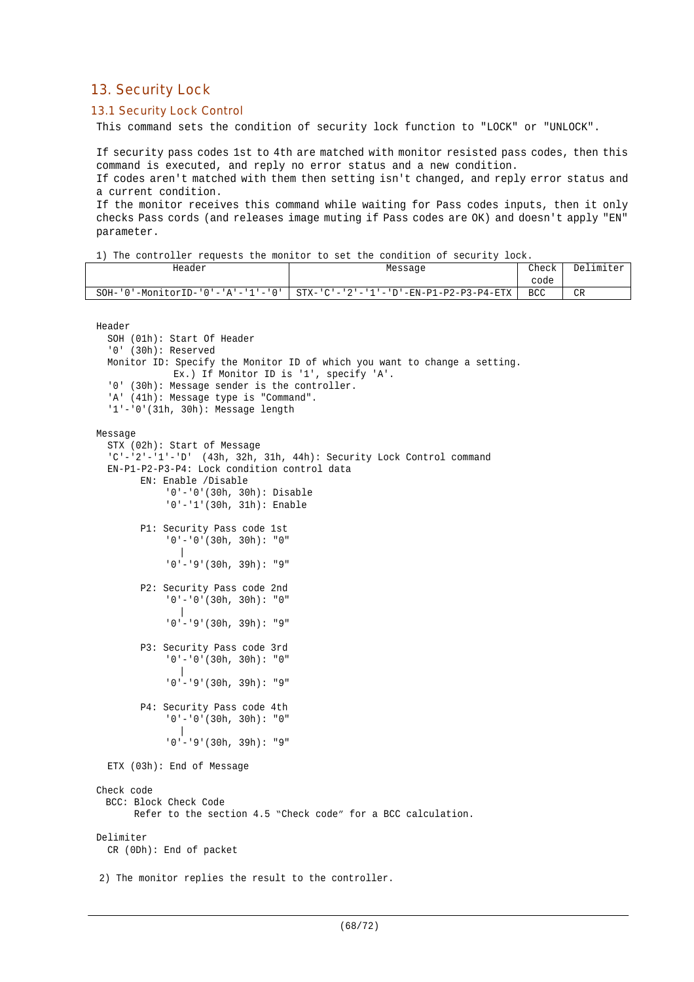# 13. Security Lock

# 13.1 Security Lock Control

This command sets the condition of security lock function to "LOCK" or "UNLOCK".

If security pass codes 1st to 4th are matched with monitor resisted pass codes, then this command is executed, and reply no error status and a new condition.

If codes aren't matched with them then setting isn't changed, and reply error status and a current condition.

If the monitor receives this command while waiting for Pass codes inputs, then it only checks Pass cords (and releases image muting if Pass codes are OK) and doesn't apply "EN" parameter.

Header Research Message Research Check

Delimiter

1) The controller requests the monitor to set the condition of security lock.

|                                                                                                                                                                               |                                                                           | code       |    |
|-------------------------------------------------------------------------------------------------------------------------------------------------------------------------------|---------------------------------------------------------------------------|------------|----|
| $SOH - '0' - MonitorID - '0' - 'A' - '1' - '0'$                                                                                                                               | $STX - 'C' - '2' - '1' - 'D' - EN - P1 - P2 - P3 - P4 - ETX$              | <b>BCC</b> | CR |
| Header<br>SOH (01h): Start Of Header<br>$'0'$ (30h): Reserved<br>Ex.) If Monitor ID is '1', specify 'A'.                                                                      | Monitor ID: Specify the Monitor ID of which you want to change a setting. |            |    |
| '0' (30h): Message sender is the controller.<br>'A' (41h): Message type is "Command".<br>$'1'$ - '0' (31h, 30h): Message length                                               |                                                                           |            |    |
| Message<br>STX (02h): Start of Message<br>EN-P1-P2-P3-P4: Lock condition control data<br>EN: Enable /Disable<br>$'0'$ -'0'(30h, 30h): Disable<br>$'0'$ -'1'(30h, 31h): Enable | $C'$ -'2'-'1'-'D' (43h, 32h, 31h, 44h): Security Lock Control command     |            |    |
| P1: Security Pass code 1st<br>$'0'$ - '0' (30h, 30h): "0"<br>$'0'$ - $'9'$ (30h, 39h): "9"                                                                                    |                                                                           |            |    |
| P2: Security Pass code 2nd<br>$'0'$ - $'0'$ (30h, 30h): "0"<br>$'0'$ - $'9'$ (30h, 39h): "9"                                                                                  |                                                                           |            |    |
| P3: Security Pass code 3rd<br>$'0'$ - $'0'$ (30h, 30h): "0"<br>$'0'$ - $'9'$ (30h, 39h): "9"                                                                                  |                                                                           |            |    |
| P4: Security Pass code 4th<br>$'0' - '0'$ (30h, 30h): "0"<br>$'0'$ - $'9'$ (30h, 39h): "9"                                                                                    |                                                                           |            |    |
| ETX (03h): End of Message                                                                                                                                                     |                                                                           |            |    |
| Check code<br>BCC: Block Check Code                                                                                                                                           | Refer to the section 4.5 "Check code" for a BCC calculation.              |            |    |
| Delimiter<br>CR (ODh): End of packet                                                                                                                                          |                                                                           |            |    |
| 2) The monitor replies the result to the controller.                                                                                                                          |                                                                           |            |    |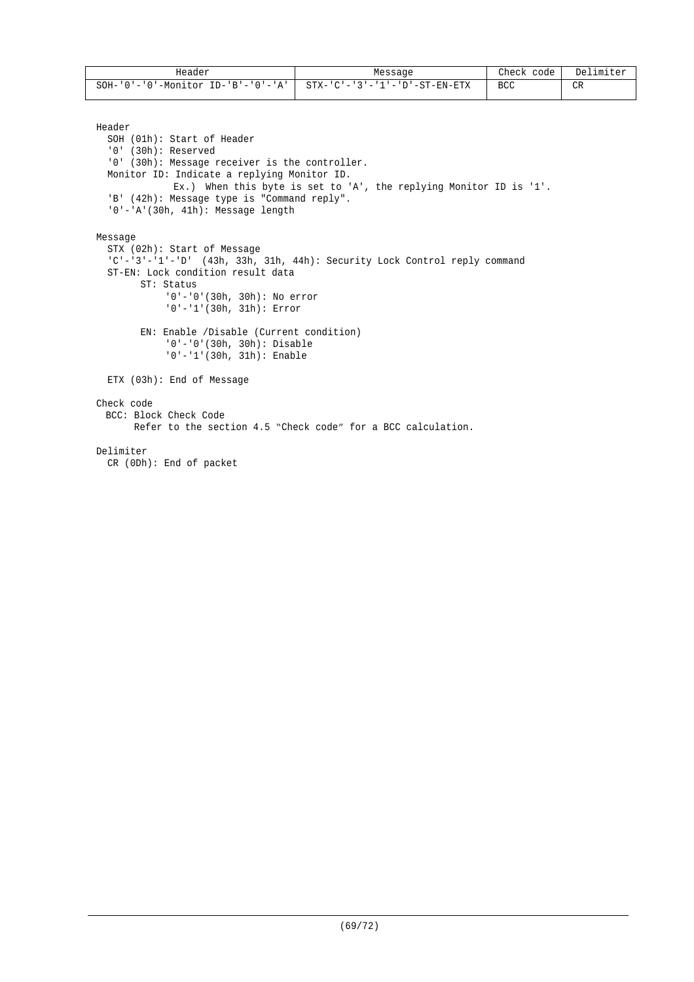| Header                                          | Message                       | Check<br>code | Delimiter |
|-------------------------------------------------|-------------------------------|---------------|-----------|
| $\cdot$ ID-'B'-'0'-'A'  <br>SOH-'0'-'0'-Monitor | STX-'C'-'3'-'1'-'D'-ST-EN-ETX | <b>BCC</b>    | CR        |

Header

```
SOH (01h): Start of Header
  '0' (30h): Reserved
  '0' (30h): Message receiver is the controller.
 Monitor ID: Indicate a replying Monitor ID.
             Ex.) When this byte is set to 'A', the replying Monitor ID is '1'.
  'B' (42h): Message type is "Command reply".
  '0'-'A'(30h, 41h): Message length
Message
  STX (02h): Start of Message
  'C'-'3'-'1'-'D' (43h, 33h, 31h, 44h): Security Lock Control reply command
  ST-EN: Lock condition result data
       ST: Status
            '0'-'0'(30h, 30h): No error
            '0'-'1'(30h, 31h): Error
       EN: Enable /Disable (Current condition)
            '0'-'0'(30h, 30h): Disable
            '0'-'1'(30h, 31h): Enable
  ETX (03h): End of Message
Check code
 BCC: Block Check Code
       Refer to the section 4.5 "Check code" for a BCC calculation.
Delimiter
  CR (0Dh): End of packet
```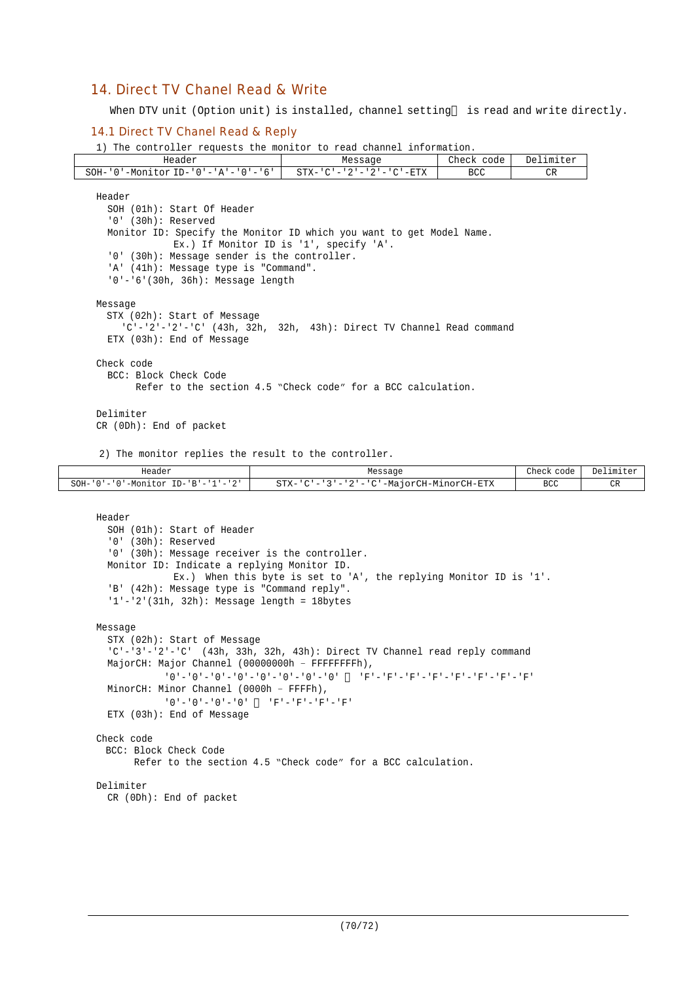# 14. Direct TV Chanel Read & Write

When DTV unit (Option unit) is installed, channel setting is read and write directly.

#### 14.1 Direct TV Chanel Read & Reply

1) The controller requests the monitor to read channel information.

| Header                                                                 | Message                                                      | Check code | Delimiter |
|------------------------------------------------------------------------|--------------------------------------------------------------|------------|-----------|
| $SOH - '0'$ -Monitor ID-'0'-'A'-'0'-'6'                                | $STX - 'C' - '2' - '2' - 'C' - ETX$                          | <b>BCC</b> | CR        |
| Header                                                                 |                                                              |            |           |
| SOH (01h): Start Of Header                                             |                                                              |            |           |
| '0' (30h): Reserved                                                    |                                                              |            |           |
| Monitor ID: Specify the Monitor ID which you want to get Model Name.   |                                                              |            |           |
|                                                                        | Ex.) If Monitor ID is '1', specify 'A'.                      |            |           |
| '0' (30h): Message sender is the controller.                           |                                                              |            |           |
| 'A' (41h): Message type is "Command".                                  |                                                              |            |           |
| $'0' - '6'$ (30h, 36h): Message length                                 |                                                              |            |           |
|                                                                        |                                                              |            |           |
| Message                                                                |                                                              |            |           |
| STX (02h): Start of Message                                            |                                                              |            |           |
| $C'$ -'2'-'2'-'C' (43h, 32h, 32h, 43h): Direct TV Channel Read command |                                                              |            |           |
| ETX (03h): End of Message                                              |                                                              |            |           |
| Check code                                                             |                                                              |            |           |
| BCC: Block Check Code                                                  |                                                              |            |           |
|                                                                        | Refer to the section 4.5 "Check code" for a BCC calculation. |            |           |
|                                                                        |                                                              |            |           |
| Delimiter                                                              |                                                              |            |           |
| $CR$ (ODh): End of packet                                              |                                                              |            |           |
|                                                                        |                                                              |            |           |
| 2) The monitor replies the result to the controller.                   |                                                              |            |           |

| Header                             | Message                                          | Check code        | Delimiter |
|------------------------------------|--------------------------------------------------|-------------------|-----------|
| SOH-'0'-'0'-Monitor ID-'B'-'1'-'2' | -'3'-'2'-'C'-MajorCH-MinorCH-ETX<br>STX-'C'<br>I | <b>BCC</b><br>___ |           |

```
Header
```

```
SOH (01h): Start of Header
  '0' (30h): Reserved
  '0' (30h): Message receiver is the controller.
 Monitor ID: Indicate a replying Monitor ID.
             Ex.) When this byte is set to 'A', the replying Monitor ID is '1'.
  'B' (42h): Message type is "Command reply".
  '1'-'2'(31h, 32h): Message length = 18bytes
Message
  STX (02h): Start of Message
  'C'-'3'-'2'-'C' (43h, 33h, 32h, 43h): Direct TV Channel read reply command
 MajorCH: Major Channel (00000000h – FFFFFFFFh),
           '0'-'0'-'0'-'0'-'0'-'0'-'0'-'0' 'F'-'F'-'F'-'F'-'F'-'F'-'F'-'F'
 MinorCH: Minor Channel (0000h – FFFFh),
           '0'-'0'-'0'-'0' 'F'-'F'-'F'-'F'
 ETX (03h): End of Message
Check code
 BCC: Block Check Code
       Refer to the section 4.5 "Check code" for a BCC calculation.
Delimiter
  CR (0Dh): End of packet
```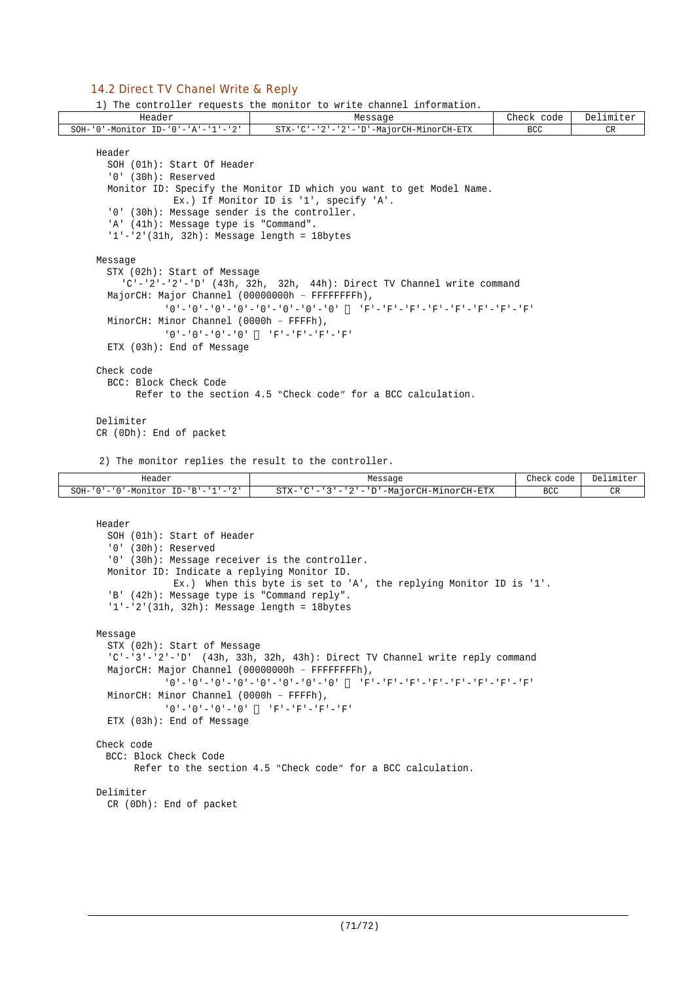### 14.2 Direct TV Chanel Write & Reply

1) The controller requests the monitor to write channel information.

| Header                                          | Message                                                                                             | Check code | Delimiter |
|-------------------------------------------------|-----------------------------------------------------------------------------------------------------|------------|-----------|
| SOH-'0'-Monitor ID-'0'-'A'-'1'-'2'              | STX-'C'-'2'-'2'-'D'-MajorCH-MinorCH-ETX                                                             | BCC.       | CR        |
| Header                                          |                                                                                                     |            |           |
| SOH (01h): Start Of Header                      |                                                                                                     |            |           |
| $'0'$ (30h): Reserved                           |                                                                                                     |            |           |
|                                                 | Monitor ID: Specify the Monitor ID which you want to get Model Name.                                |            |           |
|                                                 | Ex.) If Monitor ID is '1', specify 'A'.                                                             |            |           |
| '0' (30h): Message sender is the controller.    |                                                                                                     |            |           |
| 'A' (41h): Message type is "Command".           |                                                                                                     |            |           |
| $1'-2'$ (31h, 32h): Message length = 18bytes    |                                                                                                     |            |           |
|                                                 |                                                                                                     |            |           |
| Message                                         |                                                                                                     |            |           |
| STX (02h): Start of Message                     |                                                                                                     |            |           |
|                                                 | $C'$ -'2'-'2'-'D' (43h, 32h, 32h, 44h): Direct TV Channel write command                             |            |           |
| MajorCH: Major Channel (00000000h - FFFFFFFFh), |                                                                                                     |            |           |
|                                                 | יתי – יתי – יתי – יתי – יתי – יתי – יתי – יתי – יחי – יחי – יחי – יחי – יחי – יחי – יחי – יחי – יחי |            |           |
| MinorCH: Minor Channel (0000h - FFFFh),         |                                                                                                     |            |           |
|                                                 | $101 - 101 - 101 - 101$                                                                             |            |           |
| ETX (03h): End of Message                       |                                                                                                     |            |           |
| Check code                                      |                                                                                                     |            |           |
| BCC: Block Check Code                           |                                                                                                     |            |           |
|                                                 | Refer to the section 4.5 "Check code" for a BCC calculation.                                        |            |           |
|                                                 |                                                                                                     |            |           |
| Delimiter                                       |                                                                                                     |            |           |
| $CR$ (ODh): End of packet                       |                                                                                                     |            |           |

2) The monitor replies the result to the controller.

| Header<br>.                                                                                                                                              | Message                                                                               | Check code | Delimiter           |
|----------------------------------------------------------------------------------------------------------------------------------------------------------|---------------------------------------------------------------------------------------|------------|---------------------|
| $\cap$<br>$SOH -$<br>$\mathbf{R}$ $\mathbf{R}$<br><sup>10</sup> '-Monitul<br>T <sub>D</sub><br>$\cdot$ $\cdot$ $\cdot$ $\cdot$<br>$\cdot$ $\cdot$ $\sim$ | '-MajorCH-MinorCH-ETX<br>$\sim$ $\sim$<br>$STX-$<br>.<br>$\qquad \qquad \blacksquare$ | BCC        | n <sub>n</sub><br>◡ |

```
Header
  SOH (01h): Start of Header
  '0' (30h): Reserved
  '0' (30h): Message receiver is the controller.
  Monitor ID: Indicate a replying Monitor ID.
             Ex.) When this byte is set to 'A', the replying Monitor ID is '1'.
  'B' (42h): Message type is "Command reply".
  '1'-'2'(31h, 32h): Message length = 18bytes
Message
  STX (02h): Start of Message
  'C'-'3'-'2'-'D' (43h, 33h, 32h, 43h): Direct TV Channel write reply command
 MajorCH: Major Channel (00000000h – FFFFFFFFh),
            '0'-'0'-'0'-'0'-'0'-'0'-'0'-'0' 'F'-'F'-'F'-'F'-'F'-'F'-'F'-'F'
 MinorCH: Minor Channel (0000h – FFFFh),
           '0' -'0'-'0'-'0' 'F'-'F'-'F'-'F'
  ETX (03h): End of Message
Check code
 BCC: Block Check Code
       Refer to the section 4.5 "Check code" for a BCC calculation.
Delimiter
 CR (0Dh): End of packet
```